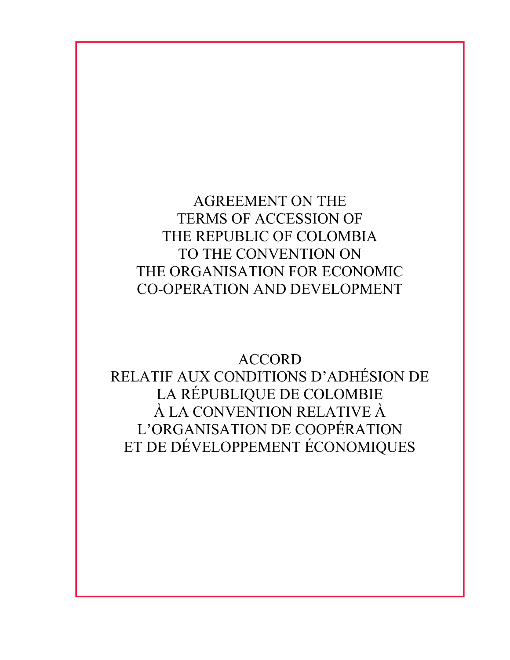AGREEMENT ON THE TERMS OF ACCESSION OF THE REPUBLIC OF COLOMBIA TO THE CONVENTION ON THE ORGANISATION FOR ECONOMIC CO-OPERATION AND DEVELOPMENT

ACCORD RELATIF AUX CONDITIONS D'ADHÉSION DE LA RÉPUBLIQUE DE COLOMBIE À LA CONVENTION RELATIVE À L'ORGANISATION DE COOPÉRATION ET DE DÉVELOPPEMENT ÉCONOMIQUES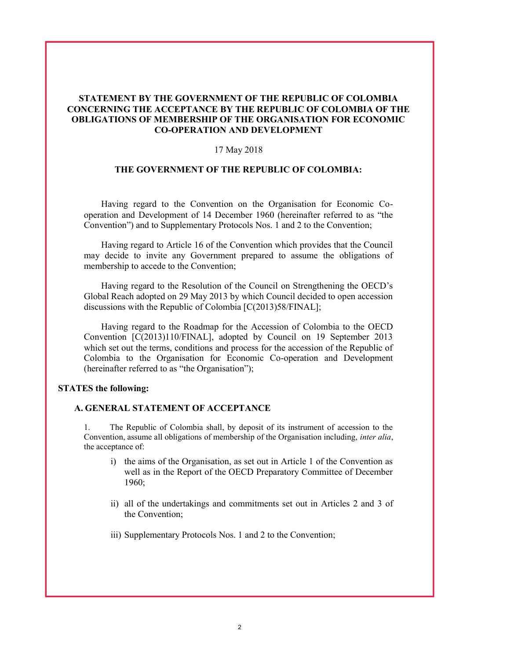### STATEMENT BY THE GOVERNMENT OF THE REPUBLIC OF COLOMBIA CONCERNING THE ACCEPTANCE BY THE REPUBLIC OF COLOMBIA OF THE OBLIGATIONS OF MEMBERSHIP OF THE ORGANISATION FOR ECONOMIC CO-OPERATION AND DEVELOPMENT

#### 17 May 2018

### THE GOVERNMENT OF THE REPUBLIC OF COLOMBIA:

Having regard to the Convention on the Organisation for Economic Cooperation and Development of 14 December 1960 (hereinafter referred to as "the Convention") and to Supplementary Protocols Nos. 1 and 2 to the Convention;

Having regard to Article 16 of the Convention which provides that the Council may decide to invite any Government prepared to assume the obligations of membership to accede to the Convention;

Having regard to the Resolution of the Council on Strengthening the OECD's Global Reach adopted on 29 May 2013 by which Council decided to open accession discussions with the Republic of Colombia [C(2013)58/FINAL];

Having regard to the Roadmap for the Accession of Colombia to the OECD Convention [C(2013)110/FINAL], adopted by Council on 19 September 2013 which set out the terms, conditions and process for the accession of the Republic of Colombia to the Organisation for Economic Co-operation and Development (hereinafter referred to as "the Organisation");

#### STATES the following:

#### A. GENERAL STATEMENT OF ACCEPTANCE

1. The Republic of Colombia shall, by deposit of its instrument of accession to the Convention, assume all obligations of membership of the Organisation including, inter alia, the acceptance of:

- i) the aims of the Organisation, as set out in Article 1 of the Convention as well as in the Report of the OECD Preparatory Committee of December 1960;
- ii) all of the undertakings and commitments set out in Articles 2 and 3 of the Convention;
- iii) Supplementary Protocols Nos. 1 and 2 to the Convention;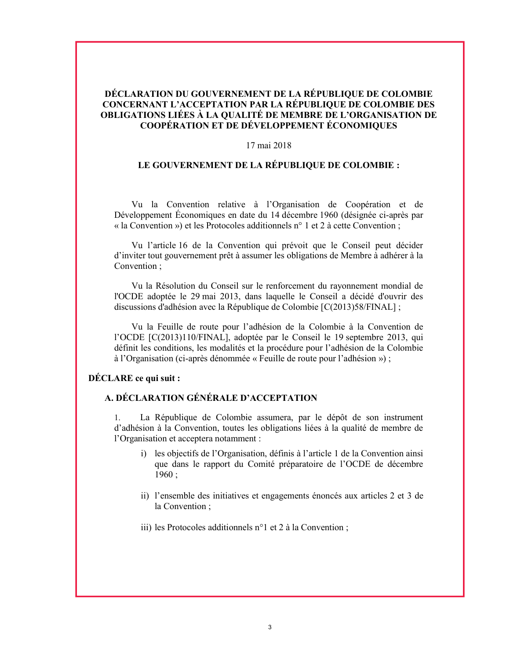# DÉCLARATION DU GOUVERNEMENT DE LA RÉPUBLIQUE DE COLOMBIE CONCERNANT L'ACCEPTATION PAR LA RÉPUBLIQUE DE COLOMBIE DES OBLIGATIONS LIÉES À LA QUALITÉ DE MEMBRE DE L'ORGANISATION DE COOPÉRATION ET DE DÉVELOPPEMENT ÉCONOMIQUES

#### 17 mai 2018

# LE GOUVERNEMENT DE LA RÉPUBLIQUE DE COLOMBIE :

Vu la Convention relative à l'Organisation de Coopération et de Développement Économiques en date du 14 décembre 1960 (désignée ci-après par « la Convention ») et les Protocoles additionnels n° 1 et 2 à cette Convention ;

Vu l'article 16 de la Convention qui prévoit que le Conseil peut décider d'inviter tout gouvernement prêt à assumer les obligations de Membre à adhérer à la Convention ;

Vu la Résolution du Conseil sur le renforcement du rayonnement mondial de l'OCDE adoptée le 29 mai 2013, dans laquelle le Conseil a décidé d'ouvrir des discussions d'adhésion avec la République de Colombie [C(2013)58/FINAL] ;

Vu la Feuille de route pour l'adhésion de la Colombie à la Convention de l'OCDE [C(2013)110/FINAL], adoptée par le Conseil le 19 septembre 2013, qui définit les conditions, les modalités et la procédure pour l'adhésion de la Colombie à l'Organisation (ci-après dénommée « Feuille de route pour l'adhésion ») ;

#### DÉCLARE ce qui suit :

# A. DÉCLARATION GÉNÉRALE D'ACCEPTATION

1. La République de Colombie assumera, par le dépôt de son instrument d'adhésion à la Convention, toutes les obligations liées à la qualité de membre de l'Organisation et acceptera notamment :

- i) les objectifs de l'Organisation, définis à l'article 1 de la Convention ainsi que dans le rapport du Comité préparatoire de l'OCDE de décembre  $1960;$
- ii) l'ensemble des initiatives et engagements énoncés aux articles 2 et 3 de la Convention ;
- iii) les Protocoles additionnels n°1 et 2 à la Convention ;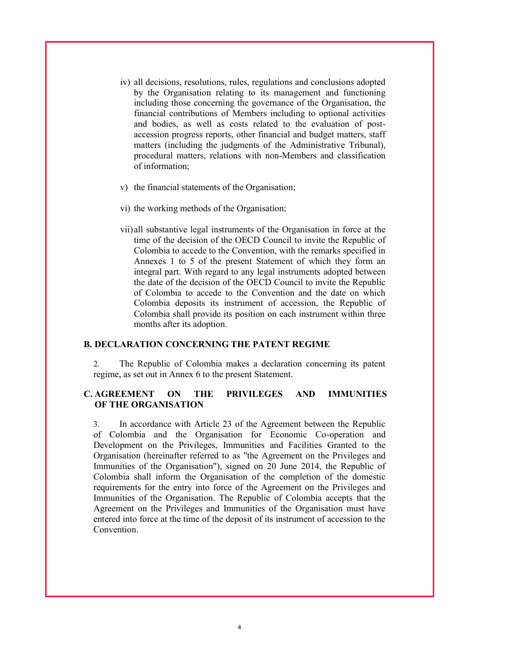- iv) all decisions, resolutions, rules, regulations and conclusions adopted by the Organisation relating to its management and functioning including those concerning the governance of the Organisation, the financial contributions of Members including to optional activities and bodies, as well as costs related to the evaluation of postaccession progress reports, other financial and budget matters, staff matters (including the judgments of the Administrative Tribunal), procedural matters, relations with non-Members and classification of information;
- v) the financial statements of the Organisation;
- vi) the working methods of the Organisation;
- vii)all substantive legal instruments of the Organisation in force at the time of the decision of the OECD Council to invite the Republic of Colombia to accede to the Convention, with the remarks specified in Annexes 1 to 5 of the present Statement of which they form an integral part. With regard to any legal instruments adopted between the date of the decision of the OECD Council to invite the Republic of Colombia to accede to the Convention and the date on which Colombia deposits its instrument of accession, the Republic of Colombia shall provide its position on each instrument within three months after its adoption.

#### B. DECLARATION CONCERNING THE PATENT REGIME

2. The Republic of Colombia makes a declaration concerning its patent regime, as set out in Annex 6 to the present Statement.

## C. AGREEMENT ON THE PRIVILEGES AND IMMUNITIES OF THE ORGANISATION

3. In accordance with Article 23 of the Agreement between the Republic of Colombia and the Organisation for Economic Co-operation and Development on the Privileges, Immunities and Facilities Granted to the Organisation (hereinafter referred to as "the Agreement on the Privileges and Immunities of the Organisation"), signed on 20 June 2014, the Republic of Colombia shall inform the Organisation of the completion of the domestic requirements for the entry into force of the Agreement on the Privileges and Immunities of the Organisation. The Republic of Colombia accepts that the Agreement on the Privileges and Immunities of the Organisation must have entered into force at the time of the deposit of its instrument of accession to the Convention.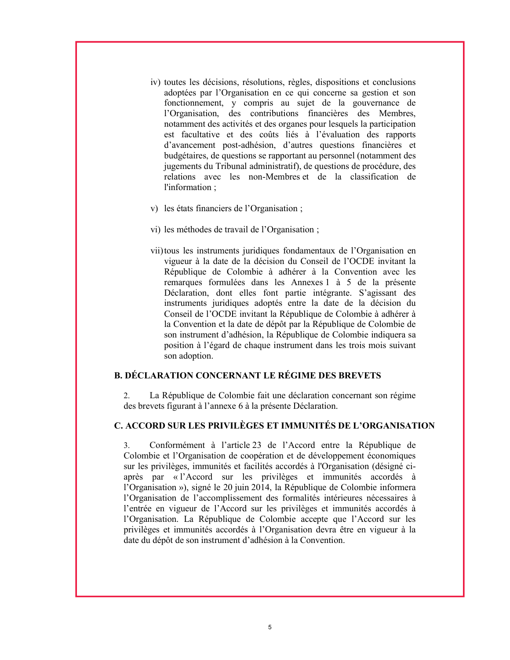- iv) toutes les décisions, résolutions, règles, dispositions et conclusions adoptées par l'Organisation en ce qui concerne sa gestion et son fonctionnement, y compris au sujet de la gouvernance de l'Organisation, des contributions financières des Membres, notamment des activités et des organes pour lesquels la participation est facultative et des coûts liés à l'évaluation des rapports d'avancement post-adhésion, d'autres questions financières et budgétaires, de questions se rapportant au personnel (notamment des jugements du Tribunal administratif), de questions de procédure, des relations avec les non-Membres et de la classification de l'information ;
- v) les états financiers de l'Organisation ;
- vi) les méthodes de travail de l'Organisation ;
- vii)tous les instruments juridiques fondamentaux de l'Organisation en vigueur à la date de la décision du Conseil de l'OCDE invitant la République de Colombie à adhérer à la Convention avec les remarques formulées dans les Annexes 1 à 5 de la présente Déclaration, dont elles font partie intégrante. S'agissant des instruments juridiques adoptés entre la date de la décision du Conseil de l'OCDE invitant la République de Colombie à adhérer à la Convention et la date de dépôt par la République de Colombie de son instrument d'adhésion, la République de Colombie indiquera sa position à l'égard de chaque instrument dans les trois mois suivant son adoption.

#### B. DÉCLARATION CONCERNANT LE RÉGIME DES BREVETS

2. La République de Colombie fait une déclaration concernant son régime des brevets figurant à l'annexe 6 à la présente Déclaration.

# C. ACCORD SUR LES PRIVILÈGES ET IMMUNITÉS DE L'ORGANISATION

3. Conformément à l'article 23 de l'Accord entre la République de Colombie et l'Organisation de coopération et de développement économiques sur les privilèges, immunités et facilités accordés à l'Organisation (désigné ciaprès par « l'Accord sur les privilèges et immunités accordés à l'Organisation »), signé le 20 juin 2014, la République de Colombie informera l'Organisation de l'accomplissement des formalités intérieures nécessaires à l'entrée en vigueur de l'Accord sur les privilèges et immunités accordés à l'Organisation. La République de Colombie accepte que l'Accord sur les privilèges et immunités accordés à l'Organisation devra être en vigueur à la date du dépôt de son instrument d'adhésion à la Convention.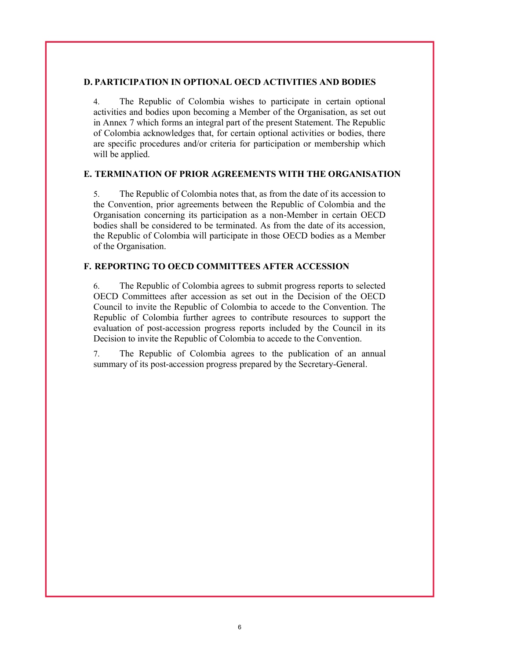#### D. PARTICIPATION IN OPTIONAL OECD ACTIVITIES AND BODIES

4. The Republic of Colombia wishes to participate in certain optional activities and bodies upon becoming a Member of the Organisation, as set out in Annex 7 which forms an integral part of the present Statement. The Republic of Colombia acknowledges that, for certain optional activities or bodies, there are specific procedures and/or criteria for participation or membership which will be applied.

### E. TERMINATION OF PRIOR AGREEMENTS WITH THE ORGANISATION

5. The Republic of Colombia notes that, as from the date of its accession to the Convention, prior agreements between the Republic of Colombia and the Organisation concerning its participation as a non-Member in certain OECD bodies shall be considered to be terminated. As from the date of its accession, the Republic of Colombia will participate in those OECD bodies as a Member of the Organisation.

#### F. REPORTING TO OECD COMMITTEES AFTER ACCESSION

6. The Republic of Colombia agrees to submit progress reports to selected OECD Committees after accession as set out in the Decision of the OECD Council to invite the Republic of Colombia to accede to the Convention. The Republic of Colombia further agrees to contribute resources to support the evaluation of post-accession progress reports included by the Council in its Decision to invite the Republic of Colombia to accede to the Convention.

7. The Republic of Colombia agrees to the publication of an annual summary of its post-accession progress prepared by the Secretary-General.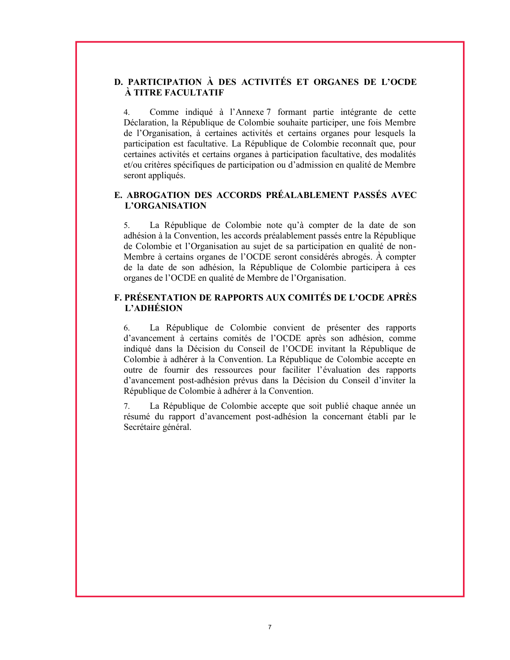# D. PARTICIPATION À DES ACTIVITÉS ET ORGANES DE L'OCDE À TITRE FACULTATIF

4. Comme indiqué à l'Annexe 7 formant partie intégrante de cette Déclaration, la République de Colombie souhaite participer, une fois Membre de l'Organisation, à certaines activités et certains organes pour lesquels la participation est facultative. La République de Colombie reconnaît que, pour certaines activités et certains organes à participation facultative, des modalités et/ou critères spécifiques de participation ou d'admission en qualité de Membre seront appliqués.

# E. ABROGATION DES ACCORDS PRÉALABLEMENT PASSÉS AVEC L'ORGANISATION

5. La République de Colombie note qu'à compter de la date de son adhésion à la Convention, les accords préalablement passés entre la République de Colombie et l'Organisation au sujet de sa participation en qualité de non-Membre à certains organes de l'OCDE seront considérés abrogés. À compter de la date de son adhésion, la République de Colombie participera à ces organes de l'OCDE en qualité de Membre de l'Organisation.

## F. PRÉSENTATION DE RAPPORTS AUX COMITÉS DE L'OCDE APRÈS L'ADHÉSION

6. La République de Colombie convient de présenter des rapports d'avancement à certains comités de l'OCDE après son adhésion, comme indiqué dans la Décision du Conseil de l'OCDE invitant la République de Colombie à adhérer à la Convention. La République de Colombie accepte en outre de fournir des ressources pour faciliter l'évaluation des rapports d'avancement post-adhésion prévus dans la Décision du Conseil d'inviter la République de Colombie à adhérer à la Convention.

7. La République de Colombie accepte que soit publié chaque année un résumé du rapport d'avancement post-adhésion la concernant établi par le Secrétaire général.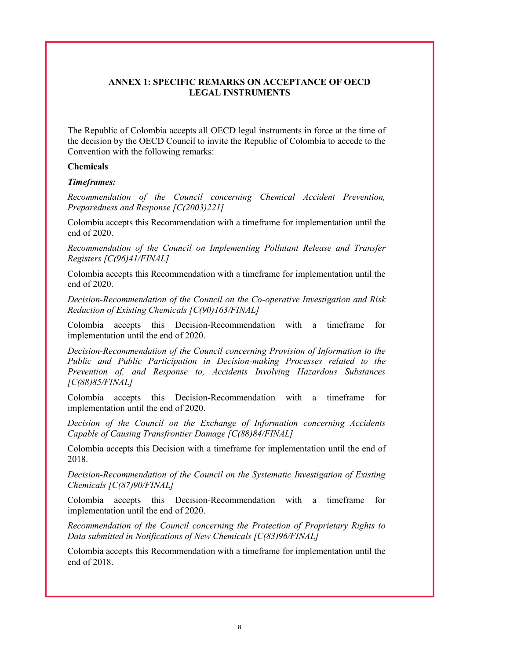## ANNEX 1: SPECIFIC REMARKS ON ACCEPTANCE OF OECD LEGAL INSTRUMENTS

The Republic of Colombia accepts all OECD legal instruments in force at the time of the decision by the OECD Council to invite the Republic of Colombia to accede to the Convention with the following remarks:

#### Chemicals

#### Timeframes:

Recommendation of the Council concerning Chemical Accident Prevention, Preparedness and Response [C(2003)221]

Colombia accepts this Recommendation with a timeframe for implementation until the end of 2020.

Recommendation of the Council on Implementing Pollutant Release and Transfer Registers [C(96)41/FINAL]

Colombia accepts this Recommendation with a timeframe for implementation until the end of 2020.

Decision-Recommendation of the Council on the Co-operative Investigation and Risk Reduction of Existing Chemicals [C(90)163/FINAL]

Colombia accepts this Decision-Recommendation with a timeframe for implementation until the end of 2020.

Decision-Recommendation of the Council concerning Provision of Information to the Public and Public Participation in Decision-making Processes related to the Prevention of, and Response to, Accidents Involving Hazardous Substances [C(88)85/FINAL]

Colombia accepts this Decision-Recommendation with a timeframe for implementation until the end of 2020.

Decision of the Council on the Exchange of Information concerning Accidents Capable of Causing Transfrontier Damage [C(88)84/FINAL]

Colombia accepts this Decision with a timeframe for implementation until the end of 2018.

Decision-Recommendation of the Council on the Systematic Investigation of Existing Chemicals [C(87)90/FINAL]

Colombia accepts this Decision-Recommendation with a timeframe for implementation until the end of 2020.

Recommendation of the Council concerning the Protection of Proprietary Rights to Data submitted in Notifications of New Chemicals [C(83)96/FINAL]

Colombia accepts this Recommendation with a timeframe for implementation until the end of 2018.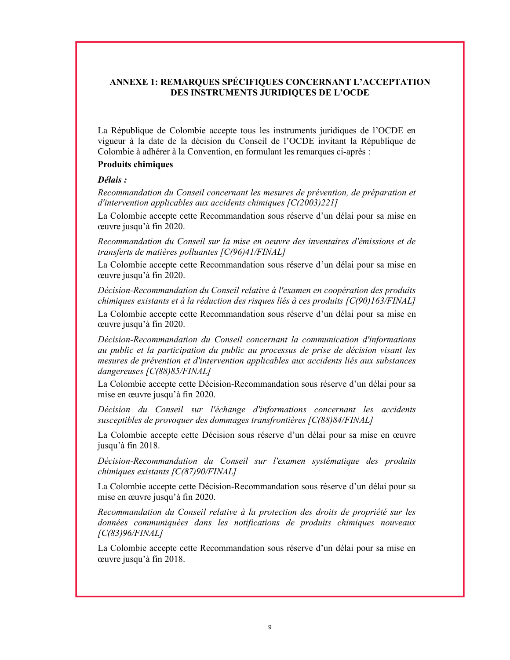# ANNEXE 1: REMARQUES SPÉCIFIQUES CONCERNANT L'ACCEPTATION DES INSTRUMENTS JURIDIQUES DE L'OCDE

La République de Colombie accepte tous les instruments juridiques de l'OCDE en vigueur à la date de la décision du Conseil de l'OCDE invitant la République de Colombie à adhérer à la Convention, en formulant les remarques ci-après :

# Produits chimiques

### Délais :

Recommandation du Conseil concernant les mesures de prévention, de préparation et d'intervention applicables aux accidents chimiques [C(2003)221]

La Colombie accepte cette Recommandation sous réserve d'un délai pour sa mise en œuvre jusqu'à fin 2020.

Recommandation du Conseil sur la mise en oeuvre des inventaires d'émissions et de transferts de matières polluantes [C(96)41/FINAL]

La Colombie accepte cette Recommandation sous réserve d'un délai pour sa mise en œuvre jusqu'à fin 2020.

Décision-Recommandation du Conseil relative à l'examen en coopération des produits chimiques existants et à la réduction des risques liés à ces produits [C(90)163/FINAL]

La Colombie accepte cette Recommandation sous réserve d'un délai pour sa mise en œuvre jusqu'à fin 2020.

Décision-Recommandation du Conseil concernant la communication d'informations au public et la participation du public au processus de prise de décision visant les mesures de prévention et d'intervention applicables aux accidents liés aux substances dangereuses [C(88)85/FINAL]

La Colombie accepte cette Décision-Recommandation sous réserve d'un délai pour sa mise en œuvre jusqu'à fin 2020.

Décision du Conseil sur l'échange d'informations concernant les accidents susceptibles de provoquer des dommages transfrontières [C(88)84/FINAL]

La Colombie accepte cette Décision sous réserve d'un délai pour sa mise en œuvre jusqu'à fin 2018.

Décision-Recommandation du Conseil sur l'examen systématique des produits chimiques existants  $\sqrt{\frac{C(87)90}{\text{FINAL}}}$ 

La Colombie accepte cette Décision-Recommandation sous réserve d'un délai pour sa mise en œuvre jusqu'à fin 2020.

Recommandation du Conseil relative à la protection des droits de propriété sur les données communiquées dans les notifications de produits chimiques nouveaux [C(83)96/FINAL]

La Colombie accepte cette Recommandation sous réserve d'un délai pour sa mise en œuvre jusqu'à fin 2018.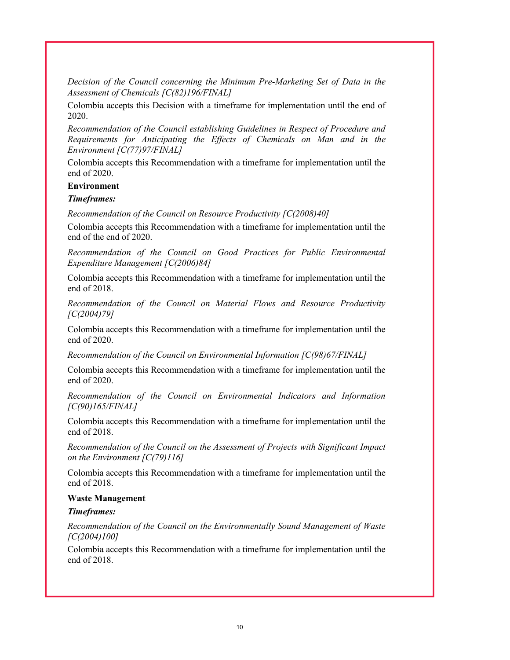Decision of the Council concerning the Minimum Pre-Marketing Set of Data in the Assessment of Chemicals [C(82)196/FINAL]

Colombia accepts this Decision with a timeframe for implementation until the end of 2020.

Recommendation of the Council establishing Guidelines in Respect of Procedure and Requirements for Anticipating the Effects of Chemicals on Man and in the Environment [C(77)97/FINAL]

Colombia accepts this Recommendation with a timeframe for implementation until the end of 2020.

#### Environment

#### Timeframes:

Recommendation of the Council on Resource Productivity [C(2008)40]

Colombia accepts this Recommendation with a timeframe for implementation until the end of the end of 2020.

Recommendation of the Council on Good Practices for Public Environmental Expenditure Management [C(2006)84]

Colombia accepts this Recommendation with a timeframe for implementation until the end of 2018.

Recommendation of the Council on Material Flows and Resource Productivity [C(2004)79]

Colombia accepts this Recommendation with a timeframe for implementation until the end of 2020.

Recommendation of the Council on Environmental Information [C(98)67/FINAL]

Colombia accepts this Recommendation with a timeframe for implementation until the end of 2020.

Recommendation of the Council on Environmental Indicators and Information [C(90)165/FINAL]

Colombia accepts this Recommendation with a timeframe for implementation until the end of 2018.

Recommendation of the Council on the Assessment of Projects with Significant Impact on the Environment  $[C(79)116]$ 

Colombia accepts this Recommendation with a timeframe for implementation until the end of 2018.

#### Waste Management

#### Timeframes:

Recommendation of the Council on the Environmentally Sound Management of Waste [C(2004)100]

Colombia accepts this Recommendation with a timeframe for implementation until the end of 2018.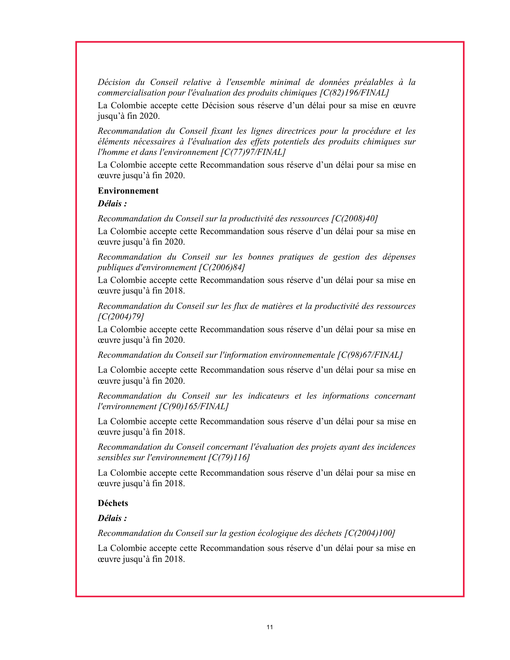Décision du Conseil relative à l'ensemble minimal de données préalables à la commercialisation pour l'évaluation des produits chimiques [C(82)196/FINAL]

La Colombie accepte cette Décision sous réserve d'un délai pour sa mise en œuvre jusqu'à fin 2020.

Recommandation du Conseil fixant les lignes directrices pour la procédure et les éléments nécessaires à l'évaluation des effets potentiels des produits chimiques sur l'homme et dans l'environnement [C(77)97/FINAL]

La Colombie accepte cette Recommandation sous réserve d'un délai pour sa mise en œuvre jusqu'à fin 2020.

#### Environnement

Délais :

Recommandation du Conseil sur la productivité des ressources [C(2008)40]

La Colombie accepte cette Recommandation sous réserve d'un délai pour sa mise en œuvre jusqu'à fin 2020.

Recommandation du Conseil sur les bonnes pratiques de gestion des dépenses publiques d'environnement [C(2006)84]

La Colombie accepte cette Recommandation sous réserve d'un délai pour sa mise en œuvre jusqu'à fin 2018.

Recommandation du Conseil sur les flux de matières et la productivité des ressources [C(2004)79]

La Colombie accepte cette Recommandation sous réserve d'un délai pour sa mise en œuvre jusqu'à fin 2020.

Recommandation du Conseil sur l'information environnementale [C(98)67/FINAL]

La Colombie accepte cette Recommandation sous réserve d'un délai pour sa mise en œuvre jusqu'à fin 2020.

Recommandation du Conseil sur les indicateurs et les informations concernant l'environnement [C(90)165/FINAL]

La Colombie accepte cette Recommandation sous réserve d'un délai pour sa mise en œuvre jusqu'à fin 2018.

Recommandation du Conseil concernant l'évaluation des projets ayant des incidences sensibles sur l'environnement [C(79)116]

La Colombie accepte cette Recommandation sous réserve d'un délai pour sa mise en œuvre jusqu'à fin 2018.

#### Déchets

### Délais :

Recommandation du Conseil sur la gestion écologique des déchets [C(2004)100]

La Colombie accepte cette Recommandation sous réserve d'un délai pour sa mise en œuvre jusqu'à fin 2018.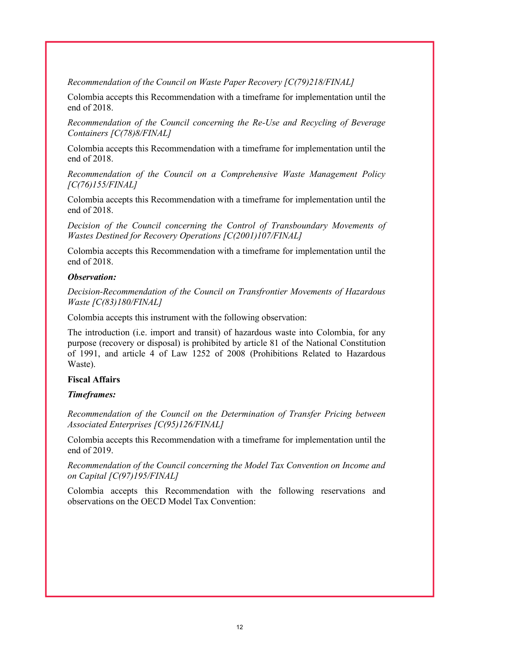Recommendation of the Council on Waste Paper Recovery [C(79)218/FINAL]

Colombia accepts this Recommendation with a timeframe for implementation until the end of 2018.

Recommendation of the Council concerning the Re-Use and Recycling of Beverage Containers [C(78)8/FINAL]

Colombia accepts this Recommendation with a timeframe for implementation until the end of 2018.

Recommendation of the Council on a Comprehensive Waste Management Policy [C(76)155/FINAL]

Colombia accepts this Recommendation with a timeframe for implementation until the end of 2018.

Decision of the Council concerning the Control of Transboundary Movements of Wastes Destined for Recovery Operations [C(2001)107/FINAL]

Colombia accepts this Recommendation with a timeframe for implementation until the end of 2018.

#### Observation:

Decision-Recommendation of the Council on Transfrontier Movements of Hazardous Waste [C(83)180/FINAL]

Colombia accepts this instrument with the following observation:

The introduction (i.e. import and transit) of hazardous waste into Colombia, for any purpose (recovery or disposal) is prohibited by article 81 of the National Constitution of 1991, and article 4 of Law 1252 of 2008 (Prohibitions Related to Hazardous Waste).

### Fiscal Affairs

#### Timeframes:

Recommendation of the Council on the Determination of Transfer Pricing between Associated Enterprises [C(95)126/FINAL]

Colombia accepts this Recommendation with a timeframe for implementation until the end of 2019.

Recommendation of the Council concerning the Model Tax Convention on Income and on Capital [C(97)195/FINAL]

Colombia accepts this Recommendation with the following reservations and observations on the OECD Model Tax Convention: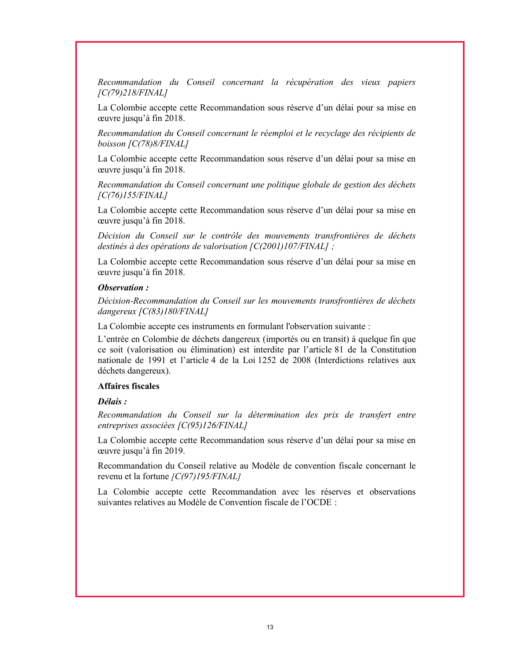Recommandation du Conseil concernant la récupération des vieux papiers [C(79)218/FINAL]

La Colombie accepte cette Recommandation sous réserve d'un délai pour sa mise en œuvre jusqu'à fin 2018.

Recommandation du Conseil concernant le réemploi et le recyclage des récipients de boisson [C(78)8/FINAL]

La Colombie accepte cette Recommandation sous réserve d'un délai pour sa mise en œuvre jusqu'à fin 2018.

Recommandation du Conseil concernant une politique globale de gestion des déchets [C(76)155/FINAL]

La Colombie accepte cette Recommandation sous réserve d'un délai pour sa mise en œuvre jusqu'à fin 2018.

Décision du Conseil sur le contrôle des mouvements transfrontières de déchets destinés à des opérations de valorisation [C(2001)107/FINAL] ;

La Colombie accepte cette Recommandation sous réserve d'un délai pour sa mise en œuvre jusqu'à fin 2018.

#### Observation :

Décision-Recommandation du Conseil sur les mouvements transfrontières de déchets dangereux [C(83)180/FINAL]

La Colombie accepte ces instruments en formulant l'observation suivante :

L'entrée en Colombie de déchets dangereux (importés ou en transit) à quelque fin que ce soit (valorisation ou élimination) est interdite par l'article 81 de la Constitution nationale de 1991 et l'article 4 de la Loi 1252 de 2008 (Interdictions relatives aux déchets dangereux).

#### Affaires fiscales

#### Délais :

Recommandation du Conseil sur la détermination des prix de transfert entre entreprises associées [C(95)126/FINAL]

La Colombie accepte cette Recommandation sous réserve d'un délai pour sa mise en œuvre jusqu'à fin 2019.

Recommandation du Conseil relative au Modèle de convention fiscale concernant le revenu et la fortune [C(97)195/FINAL]

La Colombie accepte cette Recommandation avec les réserves et observations suivantes relatives au Modèle de Convention fiscale de l'OCDE :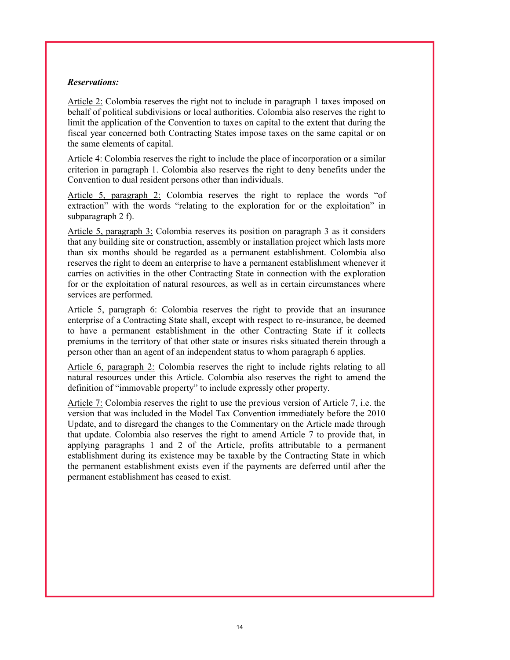#### Reservations:

Article 2: Colombia reserves the right not to include in paragraph 1 taxes imposed on behalf of political subdivisions or local authorities. Colombia also reserves the right to limit the application of the Convention to taxes on capital to the extent that during the fiscal year concerned both Contracting States impose taxes on the same capital or on the same elements of capital.

Article 4: Colombia reserves the right to include the place of incorporation or a similar criterion in paragraph 1. Colombia also reserves the right to deny benefits under the Convention to dual resident persons other than individuals.

Article 5, paragraph 2: Colombia reserves the right to replace the words "of extraction" with the words "relating to the exploration for or the exploitation" in subparagraph 2 f).

Article 5, paragraph 3: Colombia reserves its position on paragraph 3 as it considers that any building site or construction, assembly or installation project which lasts more than six months should be regarded as a permanent establishment. Colombia also reserves the right to deem an enterprise to have a permanent establishment whenever it carries on activities in the other Contracting State in connection with the exploration for or the exploitation of natural resources, as well as in certain circumstances where services are performed.

Article 5, paragraph  $6$ : Colombia reserves the right to provide that an insurance enterprise of a Contracting State shall, except with respect to re-insurance, be deemed to have a permanent establishment in the other Contracting State if it collects premiums in the territory of that other state or insures risks situated therein through a person other than an agent of an independent status to whom paragraph 6 applies.

Article 6, paragraph 2: Colombia reserves the right to include rights relating to all natural resources under this Article. Colombia also reserves the right to amend the definition of "immovable property" to include expressly other property.

Article 7: Colombia reserves the right to use the previous version of Article 7, i.e. the version that was included in the Model Tax Convention immediately before the 2010 Update, and to disregard the changes to the Commentary on the Article made through that update. Colombia also reserves the right to amend Article 7 to provide that, in applying paragraphs 1 and 2 of the Article, profits attributable to a permanent establishment during its existence may be taxable by the Contracting State in which the permanent establishment exists even if the payments are deferred until after the permanent establishment has ceased to exist.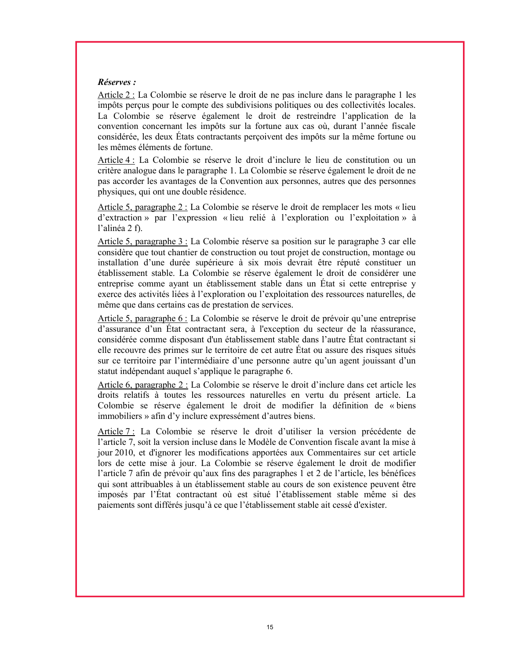### Réserves :

Article 2 : La Colombie se réserve le droit de ne pas inclure dans le paragraphe 1 les impôts perçus pour le compte des subdivisions politiques ou des collectivités locales. La Colombie se réserve également le droit de restreindre l'application de la convention concernant les impôts sur la fortune aux cas où, durant l'année fiscale considérée, les deux États contractants perçoivent des impôts sur la même fortune ou les mêmes éléments de fortune.

Article 4 : La Colombie se réserve le droit d'inclure le lieu de constitution ou un critère analogue dans le paragraphe 1. La Colombie se réserve également le droit de ne pas accorder les avantages de la Convention aux personnes, autres que des personnes physiques, qui ont une double résidence.

Article 5, paragraphe 2 : La Colombie se réserve le droit de remplacer les mots « lieu d'extraction » par l'expression « lieu relié à l'exploration ou l'exploitation » à l'alinéa 2 f).

Article 5, paragraphe 3 : La Colombie réserve sa position sur le paragraphe 3 car elle considère que tout chantier de construction ou tout projet de construction, montage ou installation d'une durée supérieure à six mois devrait être réputé constituer un établissement stable. La Colombie se réserve également le droit de considérer une entreprise comme ayant un établissement stable dans un État si cette entreprise y exerce des activités liées à l'exploration ou l'exploitation des ressources naturelles, de même que dans certains cas de prestation de services.

Article 5, paragraphe 6 : La Colombie se réserve le droit de prévoir qu'une entreprise d'assurance d'un État contractant sera, à l'exception du secteur de la réassurance, considérée comme disposant d'un établissement stable dans l'autre État contractant si elle recouvre des primes sur le territoire de cet autre État ou assure des risques situés sur ce territoire par l'intermédiaire d'une personne autre qu'un agent jouissant d'un statut indépendant auquel s'applique le paragraphe 6.

Article 6, paragraphe 2 : La Colombie se réserve le droit d'inclure dans cet article les droits relatifs à toutes les ressources naturelles en vertu du présent article. La Colombie se réserve également le droit de modifier la définition de « biens immobiliers » afin d'y inclure expressément d'autres biens.

Article 7 : La Colombie se réserve le droit d'utiliser la version précédente de l'article 7, soit la version incluse dans le Modèle de Convention fiscale avant la mise à jour 2010, et d'ignorer les modifications apportées aux Commentaires sur cet article lors de cette mise à jour. La Colombie se réserve également le droit de modifier l'article 7 afin de prévoir qu'aux fins des paragraphes 1 et 2 de l'article, les bénéfices qui sont attribuables à un établissement stable au cours de son existence peuvent être imposés par l'État contractant où est situé l'établissement stable même si des paiements sont différés jusqu'à ce que l'établissement stable ait cessé d'exister.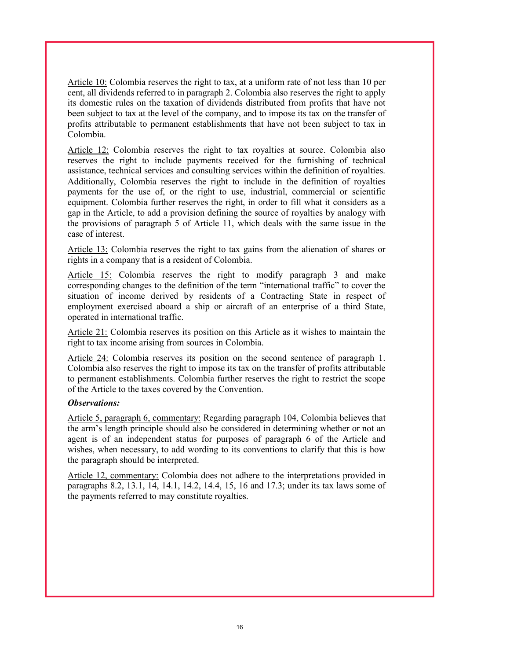Article 10: Colombia reserves the right to tax, at a uniform rate of not less than 10 per cent, all dividends referred to in paragraph 2. Colombia also reserves the right to apply its domestic rules on the taxation of dividends distributed from profits that have not been subject to tax at the level of the company, and to impose its tax on the transfer of profits attributable to permanent establishments that have not been subject to tax in Colombia.

Article 12: Colombia reserves the right to tax royalties at source. Colombia also reserves the right to include payments received for the furnishing of technical assistance, technical services and consulting services within the definition of royalties. Additionally, Colombia reserves the right to include in the definition of royalties payments for the use of, or the right to use, industrial, commercial or scientific equipment. Colombia further reserves the right, in order to fill what it considers as a gap in the Article, to add a provision defining the source of royalties by analogy with the provisions of paragraph 5 of Article 11, which deals with the same issue in the case of interest.

Article 13: Colombia reserves the right to tax gains from the alienation of shares or rights in a company that is a resident of Colombia.

Article 15: Colombia reserves the right to modify paragraph 3 and make corresponding changes to the definition of the term "international traffic" to cover the situation of income derived by residents of a Contracting State in respect of employment exercised aboard a ship or aircraft of an enterprise of a third State, operated in international traffic.

Article 21: Colombia reserves its position on this Article as it wishes to maintain the right to tax income arising from sources in Colombia.

Article 24: Colombia reserves its position on the second sentence of paragraph 1. Colombia also reserves the right to impose its tax on the transfer of profits attributable to permanent establishments. Colombia further reserves the right to restrict the scope of the Article to the taxes covered by the Convention.

#### Observations:

Article 5, paragraph 6, commentary: Regarding paragraph 104, Colombia believes that the arm's length principle should also be considered in determining whether or not an agent is of an independent status for purposes of paragraph 6 of the Article and wishes, when necessary, to add wording to its conventions to clarify that this is how the paragraph should be interpreted.

Article 12, commentary: Colombia does not adhere to the interpretations provided in paragraphs 8.2, 13.1, 14, 14.1, 14.2, 14.4, 15, 16 and 17.3; under its tax laws some of the payments referred to may constitute royalties.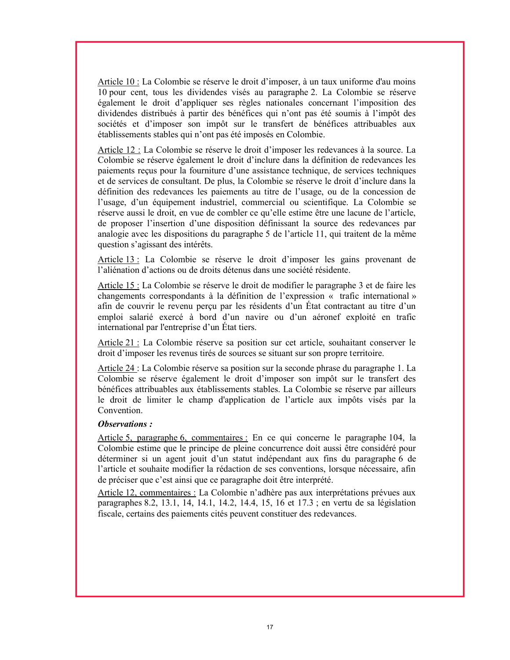Article 10 : La Colombie se réserve le droit d'imposer, à un taux uniforme d'au moins 10 pour cent, tous les dividendes visés au paragraphe 2. La Colombie se réserve également le droit d'appliquer ses règles nationales concernant l'imposition des dividendes distribués à partir des bénéfices qui n'ont pas été soumis à l'impôt des sociétés et d'imposer son impôt sur le transfert de bénéfices attribuables aux établissements stables qui n'ont pas été imposés en Colombie.

Article 12 : La Colombie se réserve le droit d'imposer les redevances à la source. La Colombie se réserve également le droit d'inclure dans la définition de redevances les paiements reçus pour la fourniture d'une assistance technique, de services techniques et de services de consultant. De plus, la Colombie se réserve le droit d'inclure dans la définition des redevances les paiements au titre de l'usage, ou de la concession de l'usage, d'un équipement industriel, commercial ou scientifique. La Colombie se réserve aussi le droit, en vue de combler ce qu'elle estime être une lacune de l'article, de proposer l'insertion d'une disposition définissant la source des redevances par analogie avec les dispositions du paragraphe 5 de l'article 11, qui traitent de la même question s'agissant des intérêts.

Article 13 : La Colombie se réserve le droit d'imposer les gains provenant de l'aliénation d'actions ou de droits détenus dans une société résidente.

Article 15 : La Colombie se réserve le droit de modifier le paragraphe 3 et de faire les changements correspondants à la définition de l'expression « trafic international » afin de couvrir le revenu perçu par les résidents d'un État contractant au titre d'un emploi salarié exercé à bord d'un navire ou d'un aéronef exploité en trafic international par l'entreprise d'un État tiers.

Article 21 : La Colombie réserve sa position sur cet article, souhaitant conserver le droit d'imposer les revenus tirés de sources se situant sur son propre territoire.

Article 24 : La Colombie réserve sa position sur la seconde phrase du paragraphe 1. La Colombie se réserve également le droit d'imposer son impôt sur le transfert des bénéfices attribuables aux établissements stables. La Colombie se réserve par ailleurs le droit de limiter le champ d'application de l'article aux impôts visés par la Convention.

#### Observations :

Article 5, paragraphe 6, commentaires : En ce qui concerne le paragraphe 104, la Colombie estime que le principe de pleine concurrence doit aussi être considéré pour déterminer si un agent jouit d'un statut indépendant aux fins du paragraphe 6 de l'article et souhaite modifier la rédaction de ses conventions, lorsque nécessaire, afin de préciser que c'est ainsi que ce paragraphe doit être interprété.

Article 12, commentaires : La Colombie n'adhère pas aux interprétations prévues aux paragraphes 8.2, 13.1, 14, 14.1, 14.2, 14.4, 15, 16 et 17.3 ; en vertu de sa législation fiscale, certains des paiements cités peuvent constituer des redevances.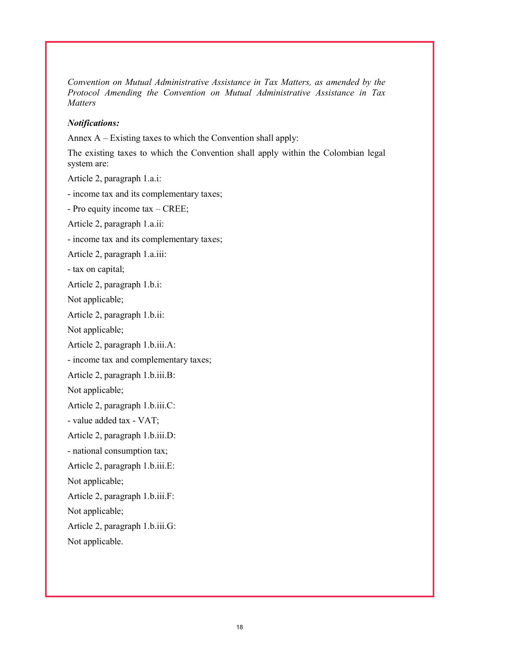Convention on Mutual Administrative Assistance in Tax Matters, as amended by the Protocol Amending the Convention on Mutual Administrative Assistance in Tax **Matters** 

#### Notifications:

Annex A – Existing taxes to which the Convention shall apply:

The existing taxes to which the Convention shall apply within the Colombian legal system are:

Article 2, paragraph 1.a.i:

- income tax and its complementary taxes;

- Pro equity income tax – CREE;

Article 2, paragraph 1.a.ii:

- income tax and its complementary taxes;

Article 2, paragraph 1.a.iii:

- tax on capital;

Article 2, paragraph 1.b.i:

Not applicable;

Article 2, paragraph 1.b.ii:

Not applicable;

Article 2, paragraph 1.b.iii.A:

- income tax and complementary taxes;

Article 2, paragraph 1.b.iii.B:

Not applicable;

Article 2, paragraph 1.b.iii.C:

- value added tax - VAT;

Article 2, paragraph 1.b.iii.D:

- national consumption tax;

Article 2, paragraph 1.b.iii.E:

Not applicable;

Article 2, paragraph 1.b.iii.F:

Not applicable;

Article 2, paragraph 1.b.iii.G:

Not applicable.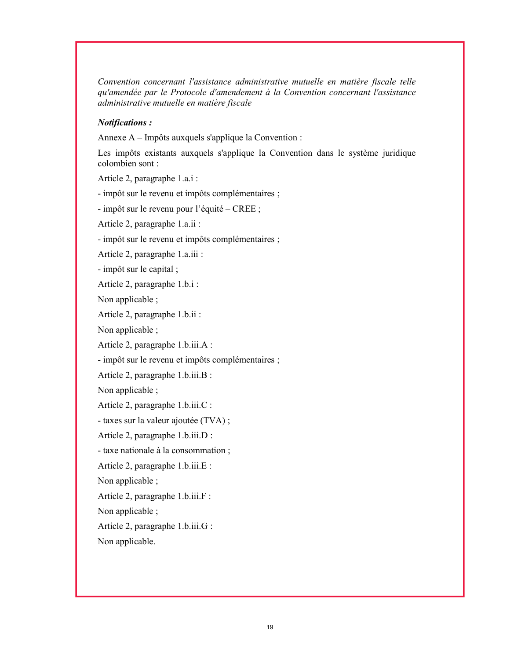Convention concernant l'assistance administrative mutuelle en matière fiscale telle qu'amendée par le Protocole d'amendement à la Convention concernant l'assistance administrative mutuelle en matière fiscale

### Notifications :

Annexe A – Impôts auxquels s'applique la Convention :

Les impôts existants auxquels s'applique la Convention dans le système juridique colombien sont :

Article 2, paragraphe 1.a.i :

- impôt sur le revenu et impôts complémentaires ;

- impôt sur le revenu pour l'équité – CREE ;

Article 2, paragraphe 1.a.ii :

- impôt sur le revenu et impôts complémentaires ;

Article 2, paragraphe 1.a.iii :

- impôt sur le capital ;

Article 2, paragraphe 1.b.i :

Non applicable ;

Article 2, paragraphe 1.b.ii :

Non applicable ;

Article 2, paragraphe 1.b.iii.A :

- impôt sur le revenu et impôts complémentaires ;

Article 2, paragraphe 1.b.iii.B :

Non applicable ;

Article 2, paragraphe 1.b.iii.C :

- taxes sur la valeur ajoutée (TVA) ;

Article 2, paragraphe 1.b.iii.D :

- taxe nationale à la consommation ;

Article 2, paragraphe 1.b.iii.E :

Non applicable ;

Article 2, paragraphe 1.b.iii.F :

Non applicable ;

Article 2, paragraphe 1.b.iii.G :

Non applicable.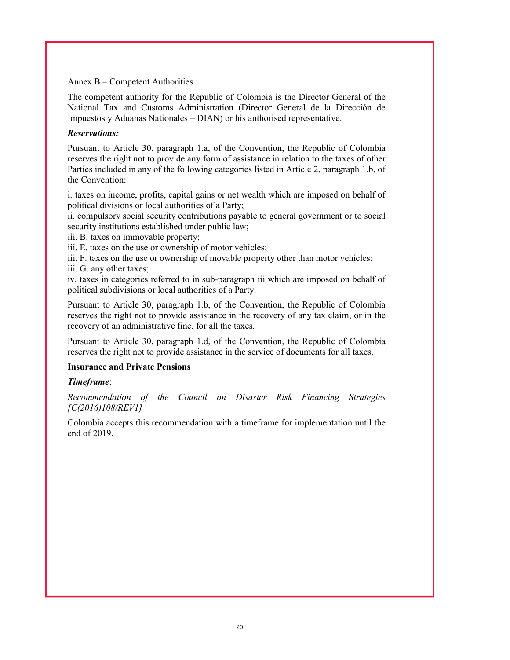#### Annex B – Competent Authorities

The competent authority for the Republic of Colombia is the Director General of the National Tax and Customs Administration (Director General de la Dirección de Impuestos y Aduanas Nationales – DIAN) or his authorised representative.

### Reservations:

Pursuant to Article 30, paragraph 1.a, of the Convention, the Republic of Colombia reserves the right not to provide any form of assistance in relation to the taxes of other Parties included in any of the following categories listed in Article 2, paragraph 1.b, of the Convention:

i. taxes on income, profits, capital gains or net wealth which are imposed on behalf of political divisions or local authorities of a Party;

ii. compulsory social security contributions payable to general government or to social security institutions established under public law;

iii. B. taxes on immovable property;

iii. E. taxes on the use or ownership of motor vehicles;

iii. F. taxes on the use or ownership of movable property other than motor vehicles;

iii. G. any other taxes;

iv. taxes in categories referred to in sub-paragraph iii which are imposed on behalf of political subdivisions or local authorities of a Party.

Pursuant to Article 30, paragraph 1.b, of the Convention, the Republic of Colombia reserves the right not to provide assistance in the recovery of any tax claim, or in the recovery of an administrative fine, for all the taxes.

Pursuant to Article 30, paragraph 1.d, of the Convention, the Republic of Colombia reserves the right not to provide assistance in the service of documents for all taxes.

### Insurance and Private Pensions

### Timeframe:

Recommendation of the Council on Disaster Risk Financing Strategies [C(2016)108/REV1]

Colombia accepts this recommendation with a timeframe for implementation until the end of 2019.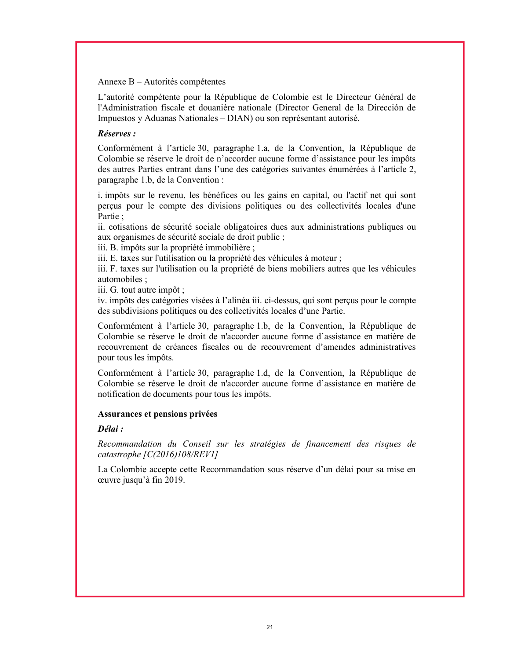#### Annexe B – Autorités compétentes

L'autorité compétente pour la République de Colombie est le Directeur Général de l'Administration fiscale et douanière nationale (Director General de la Dirección de Impuestos y Aduanas Nationales – DIAN) ou son représentant autorisé.

## Réserves :

Conformément à l'article 30, paragraphe 1.a, de la Convention, la République de Colombie se réserve le droit de n'accorder aucune forme d'assistance pour les impôts des autres Parties entrant dans l'une des catégories suivantes énumérées à l'article 2, paragraphe 1.b, de la Convention :

i. impôts sur le revenu, les bénéfices ou les gains en capital, ou l'actif net qui sont perçus pour le compte des divisions politiques ou des collectivités locales d'une Partie ;

ii. cotisations de sécurité sociale obligatoires dues aux administrations publiques ou aux organismes de sécurité sociale de droit public ;

iii. B. impôts sur la propriété immobilière ;

iii. E. taxes sur l'utilisation ou la propriété des véhicules à moteur ;

iii. F. taxes sur l'utilisation ou la propriété de biens mobiliers autres que les véhicules automobiles ;

iii. G. tout autre impôt ;

iv. impôts des catégories visées à l'alinéa iii. ci-dessus, qui sont perçus pour le compte des subdivisions politiques ou des collectivités locales d'une Partie.

Conformément à l'article 30, paragraphe 1.b, de la Convention, la République de Colombie se réserve le droit de n'accorder aucune forme d'assistance en matière de recouvrement de créances fiscales ou de recouvrement d'amendes administratives pour tous les impôts.

Conformément à l'article 30, paragraphe 1.d, de la Convention, la République de Colombie se réserve le droit de n'accorder aucune forme d'assistance en matière de notification de documents pour tous les impôts.

### Assurances et pensions privées

### Délai :

Recommandation du Conseil sur les stratégies de financement des risques de catastrophe [C(2016)108/REV1]

La Colombie accepte cette Recommandation sous réserve d'un délai pour sa mise en œuvre jusqu'à fin 2019.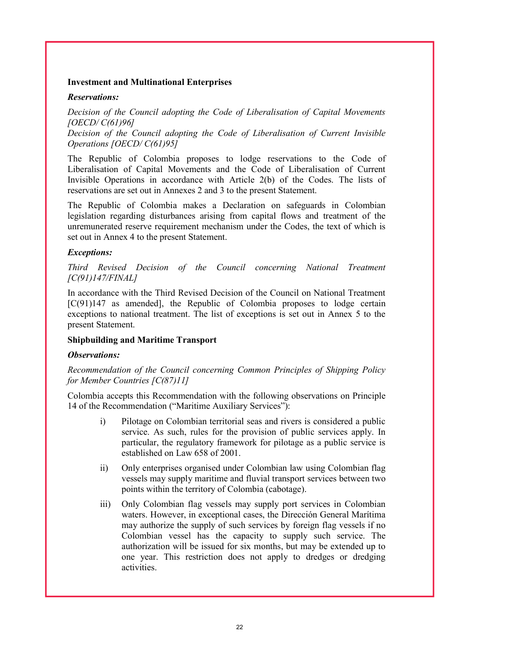#### Investment and Multinational Enterprises

#### Reservations:

Decision of the Council adopting the Code of Liberalisation of Capital Movements [OECD/ C(61)96]

Decision of the Council adopting the Code of Liberalisation of Current Invisible Operations [OECD/ C(61)95]

The Republic of Colombia proposes to lodge reservations to the Code of Liberalisation of Capital Movements and the Code of Liberalisation of Current Invisible Operations in accordance with Article 2(b) of the Codes. The lists of reservations are set out in Annexes 2 and 3 to the present Statement.

The Republic of Colombia makes a Declaration on safeguards in Colombian legislation regarding disturbances arising from capital flows and treatment of the unremunerated reserve requirement mechanism under the Codes, the text of which is set out in Annex 4 to the present Statement.

### Exceptions:

Third Revised Decision of the Council concerning National Treatment [C(91)147/FINAL]

In accordance with the Third Revised Decision of the Council on National Treatment [C(91)147 as amended], the Republic of Colombia proposes to lodge certain exceptions to national treatment. The list of exceptions is set out in Annex 5 to the present Statement.

### Shipbuilding and Maritime Transport

### Observations:

### Recommendation of the Council concerning Common Principles of Shipping Policy for Member Countries [C(87)11]

Colombia accepts this Recommendation with the following observations on Principle 14 of the Recommendation ("Maritime Auxiliary Services"):

- i) Pilotage on Colombian territorial seas and rivers is considered a public service. As such, rules for the provision of public services apply. In particular, the regulatory framework for pilotage as a public service is established on Law 658 of 2001.
- ii) Only enterprises organised under Colombian law using Colombian flag vessels may supply maritime and fluvial transport services between two points within the territory of Colombia (cabotage).
- iii) Only Colombian flag vessels may supply port services in Colombian waters. However, in exceptional cases, the Dirección General Marítima may authorize the supply of such services by foreign flag vessels if no Colombian vessel has the capacity to supply such service. The authorization will be issued for six months, but may be extended up to one year. This restriction does not apply to dredges or dredging activities.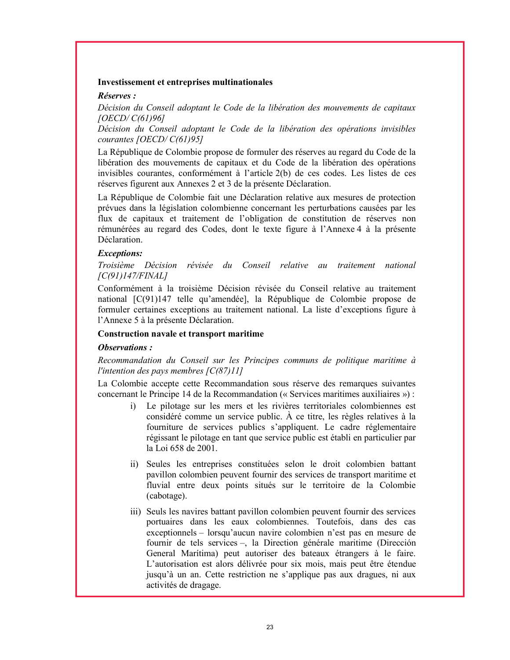#### Investissement et entreprises multinationales

#### Réserves :

Décision du Conseil adoptant le Code de la libération des mouvements de capitaux [OECD/ C(61)96]

Décision du Conseil adoptant le Code de la libération des opérations invisibles courantes [OECD/ C(61)95]

La République de Colombie propose de formuler des réserves au regard du Code de la libération des mouvements de capitaux et du Code de la libération des opérations invisibles courantes, conformément à l'article 2(b) de ces codes. Les listes de ces réserves figurent aux Annexes 2 et 3 de la présente Déclaration.

La République de Colombie fait une Déclaration relative aux mesures de protection prévues dans la législation colombienne concernant les perturbations causées par les flux de capitaux et traitement de l'obligation de constitution de réserves non rémunérées au regard des Codes, dont le texte figure à l'Annexe 4 à la présente Déclaration.

#### Exceptions:

Troisième Décision révisée du Conseil relative au traitement national [C(91)147/FINAL]

Conformément à la troisième Décision révisée du Conseil relative au traitement national [C(91)147 telle qu'amendée], la République de Colombie propose de formuler certaines exceptions au traitement national. La liste d'exceptions figure à l'Annexe 5 à la présente Déclaration.

#### Construction navale et transport maritime

#### Observations :

Recommandation du Conseil sur les Principes communs de politique maritime à l'intention des pays membres  $[C(87)11]$ 

La Colombie accepte cette Recommandation sous réserve des remarques suivantes concernant le Principe 14 de la Recommandation (« Services maritimes auxiliaires ») :

- i) Le pilotage sur les mers et les rivières territoriales colombiennes est considéré comme un service public. À ce titre, les règles relatives à la fourniture de services publics s'appliquent. Le cadre réglementaire régissant le pilotage en tant que service public est établi en particulier par la Loi 658 de 2001.
- ii) Seules les entreprises constituées selon le droit colombien battant pavillon colombien peuvent fournir des services de transport maritime et fluvial entre deux points situés sur le territoire de la Colombie (cabotage).
- iii) Seuls les navires battant pavillon colombien peuvent fournir des services portuaires dans les eaux colombiennes. Toutefois, dans des cas exceptionnels – lorsqu'aucun navire colombien n'est pas en mesure de fournir de tels services –, la Direction générale maritime (Dirección General Marítima) peut autoriser des bateaux étrangers à le faire. L'autorisation est alors délivrée pour six mois, mais peut être étendue jusqu'à un an. Cette restriction ne s'applique pas aux dragues, ni aux activités de dragage.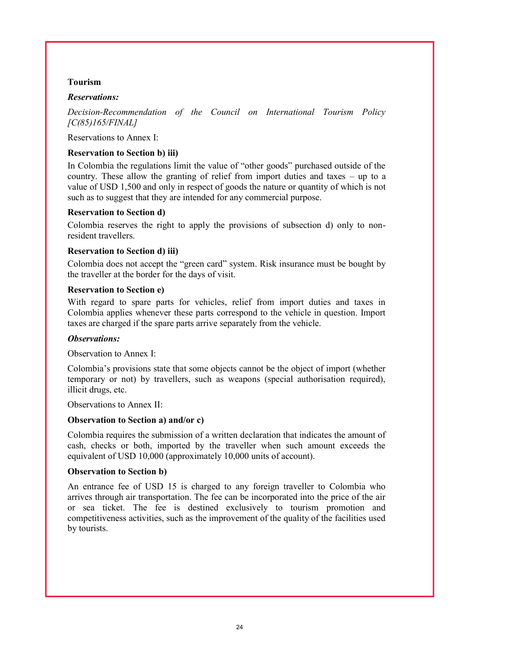#### Tourism

#### Reservations:

Decision-Recommendation of the Council on International Tourism Policy [C(85)165/FINAL]

Reservations to Annex I:

### Reservation to Section b) iii)

In Colombia the regulations limit the value of "other goods" purchased outside of the country. These allow the granting of relief from import duties and taxes – up to a value of USD 1,500 and only in respect of goods the nature or quantity of which is not such as to suggest that they are intended for any commercial purpose.

#### Reservation to Section d)

Colombia reserves the right to apply the provisions of subsection d) only to nonresident travellers.

#### Reservation to Section d) iii)

Colombia does not accept the "green card" system. Risk insurance must be bought by the traveller at the border for the days of visit.

#### Reservation to Section e)

With regard to spare parts for vehicles, relief from import duties and taxes in Colombia applies whenever these parts correspond to the vehicle in question. Import taxes are charged if the spare parts arrive separately from the vehicle.

#### Observations:

Observation to Annex I:

Colombia's provisions state that some objects cannot be the object of import (whether temporary or not) by travellers, such as weapons (special authorisation required), illicit drugs, etc.

Observations to Annex II:

### Observation to Section a) and/or c)

Colombia requires the submission of a written declaration that indicates the amount of cash, checks or both, imported by the traveller when such amount exceeds the equivalent of USD 10,000 (approximately 10,000 units of account).

#### Observation to Section b)

An entrance fee of USD 15 is charged to any foreign traveller to Colombia who arrives through air transportation. The fee can be incorporated into the price of the air or sea ticket. The fee is destined exclusively to tourism promotion and competitiveness activities, such as the improvement of the quality of the facilities used by tourists.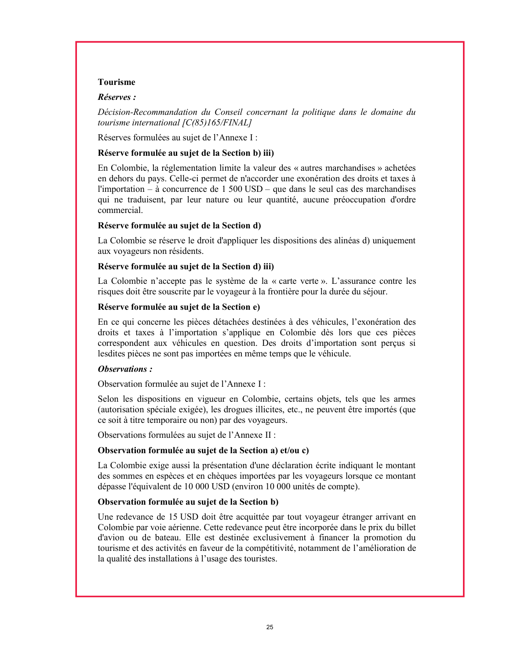#### Tourisme

#### Réserves :

Décision-Recommandation du Conseil concernant la politique dans le domaine du tourisme international  $\left[ C(85) 165/FINAL \right]$ 

Réserves formulées au sujet de l'Annexe I :

#### Réserve formulée au sujet de la Section b) iii)

En Colombie, la réglementation limite la valeur des « autres marchandises » achetées en dehors du pays. Celle-ci permet de n'accorder une exonération des droits et taxes à l'importation – à concurrence de 1 500 USD – que dans le seul cas des marchandises qui ne traduisent, par leur nature ou leur quantité, aucune préoccupation d'ordre commercial.

#### Réserve formulée au sujet de la Section d)

La Colombie se réserve le droit d'appliquer les dispositions des alinéas d) uniquement aux voyageurs non résidents.

#### Réserve formulée au sujet de la Section d) iii)

La Colombie n'accepte pas le système de la « carte verte ». L'assurance contre les risques doit être souscrite par le voyageur à la frontière pour la durée du séjour.

#### Réserve formulée au sujet de la Section e)

En ce qui concerne les pièces détachées destinées à des véhicules, l'exonération des droits et taxes à l'importation s'applique en Colombie dès lors que ces pièces correspondent aux véhicules en question. Des droits d'importation sont perçus si lesdites pièces ne sont pas importées en même temps que le véhicule.

### Observations :

Observation formulée au sujet de l'Annexe I :

Selon les dispositions en vigueur en Colombie, certains objets, tels que les armes (autorisation spéciale exigée), les drogues illicites, etc., ne peuvent être importés (que ce soit à titre temporaire ou non) par des voyageurs.

Observations formulées au sujet de l'Annexe II :

#### Observation formulée au sujet de la Section a) et/ou c)

La Colombie exige aussi la présentation d'une déclaration écrite indiquant le montant des sommes en espèces et en chèques importées par les voyageurs lorsque ce montant dépasse l'équivalent de 10 000 USD (environ 10 000 unités de compte).

### Observation formulée au sujet de la Section b)

Une redevance de 15 USD doit être acquittée par tout voyageur étranger arrivant en Colombie par voie aérienne. Cette redevance peut être incorporée dans le prix du billet d'avion ou de bateau. Elle est destinée exclusivement à financer la promotion du tourisme et des activités en faveur de la compétitivité, notamment de l'amélioration de la qualité des installations à l'usage des touristes.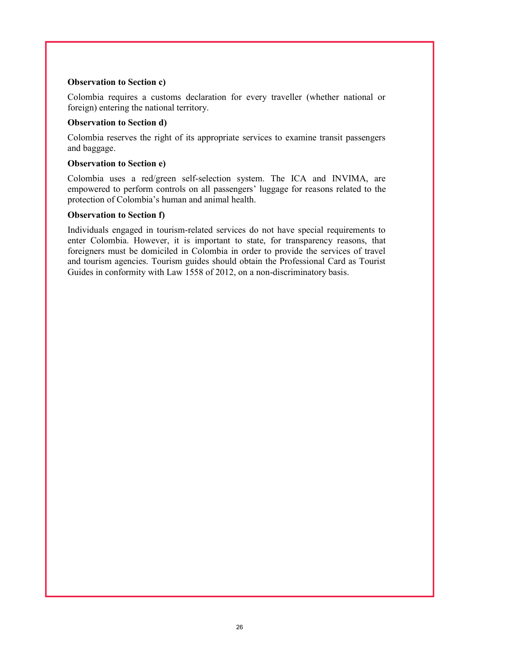## Observation to Section c)

Colombia requires a customs declaration for every traveller (whether national or foreign) entering the national territory.

## Observation to Section d)

Colombia reserves the right of its appropriate services to examine transit passengers and baggage.

## Observation to Section e)

Colombia uses a red/green self-selection system. The ICA and INVIMA, are empowered to perform controls on all passengers' luggage for reasons related to the protection of Colombia's human and animal health.

# Observation to Section f)

Individuals engaged in tourism-related services do not have special requirements to enter Colombia. However, it is important to state, for transparency reasons, that foreigners must be domiciled in Colombia in order to provide the services of travel and tourism agencies. Tourism guides should obtain the Professional Card as Tourist Guides in conformity with Law 1558 of 2012, on a non-discriminatory basis.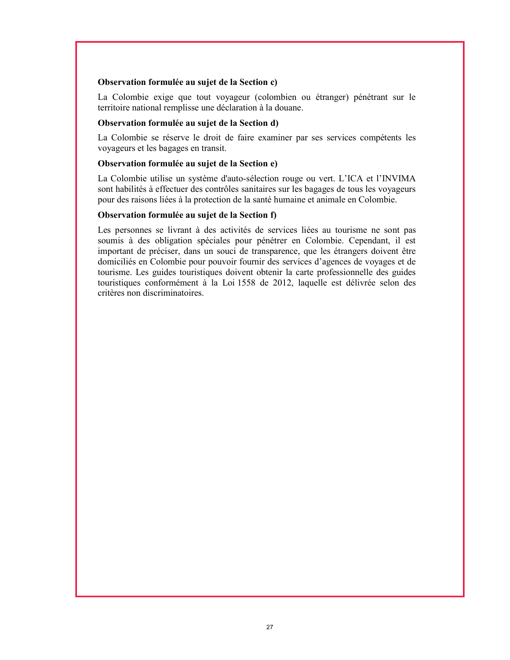#### Observation formulée au sujet de la Section c)

La Colombie exige que tout voyageur (colombien ou étranger) pénétrant sur le territoire national remplisse une déclaration à la douane.

#### Observation formulée au sujet de la Section d)

La Colombie se réserve le droit de faire examiner par ses services compétents les voyageurs et les bagages en transit.

#### Observation formulée au sujet de la Section e)

La Colombie utilise un système d'auto-sélection rouge ou vert. L'ICA et l'INVIMA sont habilités à effectuer des contrôles sanitaires sur les bagages de tous les voyageurs pour des raisons liées à la protection de la santé humaine et animale en Colombie.

### Observation formulée au sujet de la Section f)

Les personnes se livrant à des activités de services liées au tourisme ne sont pas soumis à des obligation spéciales pour pénétrer en Colombie. Cependant, il est important de préciser, dans un souci de transparence, que les étrangers doivent être domiciliés en Colombie pour pouvoir fournir des services d'agences de voyages et de tourisme. Les guides touristiques doivent obtenir la carte professionnelle des guides touristiques conformément à la Loi 1558 de 2012, laquelle est délivrée selon des critères non discriminatoires.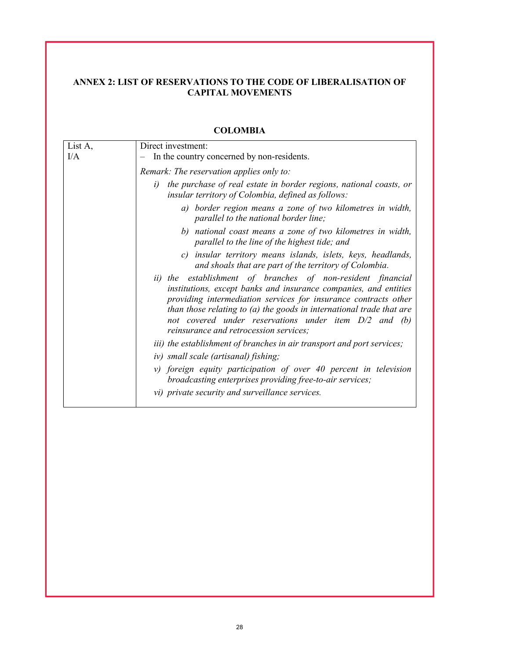# ANNEX 2: LIST OF RESERVATIONS TO THE CODE OF LIBERALISATION OF CAPITAL MOVEMENTS

| List A, | Direct investment:                                                                                                                                                                                                                                                                                                                                                              |
|---------|---------------------------------------------------------------------------------------------------------------------------------------------------------------------------------------------------------------------------------------------------------------------------------------------------------------------------------------------------------------------------------|
| I/A     | In the country concerned by non-residents.                                                                                                                                                                                                                                                                                                                                      |
|         | Remark: The reservation applies only to:                                                                                                                                                                                                                                                                                                                                        |
|         | the purchase of real estate in border regions, national coasts, or<br>i)<br>insular territory of Colombia, defined as follows:                                                                                                                                                                                                                                                  |
|         | a) border region means a zone of two kilometres in width,<br>parallel to the national border line;                                                                                                                                                                                                                                                                              |
|         | b) national coast means a zone of two kilometres in width,<br>parallel to the line of the highest tide; and                                                                                                                                                                                                                                                                     |
|         | insular territory means islands, islets, keys, headlands,<br>c)<br>and shoals that are part of the territory of Colombia.                                                                                                                                                                                                                                                       |
|         | ii) the establishment of branches of non-resident financial<br>institutions, except banks and insurance companies, and entities<br>providing intermediation services for insurance contracts other<br>than those relating to (a) the goods in international trade that are<br>not covered under reservations under item $D/2$ and (b)<br>reinsurance and retrocession services; |
|         | <i>iii</i> ) the establishment of branches in air transport and port services;                                                                                                                                                                                                                                                                                                  |
|         | iv) small scale (artisanal) fishing;                                                                                                                                                                                                                                                                                                                                            |
|         | v) foreign equity participation of over 40 percent in television<br>broadcasting enterprises providing free-to-air services;                                                                                                                                                                                                                                                    |
|         | vi) private security and surveillance services.                                                                                                                                                                                                                                                                                                                                 |

# **COLOMBIA**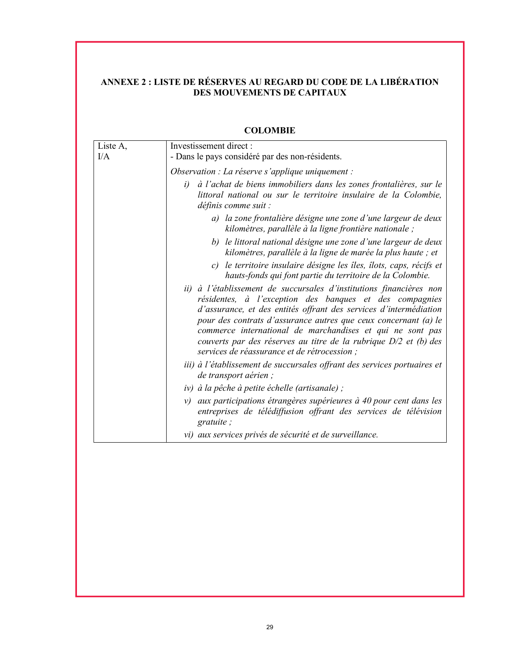# ANNEXE 2 : LISTE DE RÉSERVES AU REGARD DU CODE DE LA LIBÉRATION DES MOUVEMENTS DE CAPITAUX

| Liste A,<br>I/A | Investissement direct:<br>- Dans le pays considéré par des non-résidents.                                                                                                                                                                                                                                                                                                                                                                                 |
|-----------------|-----------------------------------------------------------------------------------------------------------------------------------------------------------------------------------------------------------------------------------------------------------------------------------------------------------------------------------------------------------------------------------------------------------------------------------------------------------|
|                 | Observation : La réserve s'applique uniquement :                                                                                                                                                                                                                                                                                                                                                                                                          |
|                 | à l'achat de biens immobiliers dans les zones frontalières, sur le<br>i)<br>littoral national ou sur le territoire insulaire de la Colombie,<br>définis comme suit :                                                                                                                                                                                                                                                                                      |
|                 | a) la zone frontalière désigne une zone d'une largeur de deux<br>kilomètres, parallèle à la ligne frontière nationale ;                                                                                                                                                                                                                                                                                                                                   |
|                 | b) le littoral national désigne une zone d'une largeur de deux<br>kilomètres, parallèle à la ligne de marée la plus haute ; et                                                                                                                                                                                                                                                                                                                            |
|                 | c) le territoire insulaire désigne les îles, îlots, caps, récifs et<br>hauts-fonds qui font partie du territoire de la Colombie.                                                                                                                                                                                                                                                                                                                          |
|                 | ii) à l'établissement de succursales d'institutions financières non<br>résidentes, à l'exception des banques et des compagnies<br>d'assurance, et des entités offrant des services d'intermédiation<br>pour des contrats d'assurance autres que ceux concernant (a) le<br>commerce international de marchandises et qui ne sont pas<br>couverts par des réserves au titre de la rubrique $D/2$ et (b) des<br>services de réassurance et de rétrocession ; |
|                 | iii) à l'établissement de succursales offrant des services portuaires et<br>de transport aérien;                                                                                                                                                                                                                                                                                                                                                          |
|                 | iv) à la pêche à petite échelle (artisanale);                                                                                                                                                                                                                                                                                                                                                                                                             |
|                 | v) aux participations étrangères supérieures à 40 pour cent dans les<br>entreprises de télédiffusion offrant des services de télévision<br>gratuite;                                                                                                                                                                                                                                                                                                      |
|                 | vi) aux services privés de sécurité et de surveillance.                                                                                                                                                                                                                                                                                                                                                                                                   |

# COLOMBIE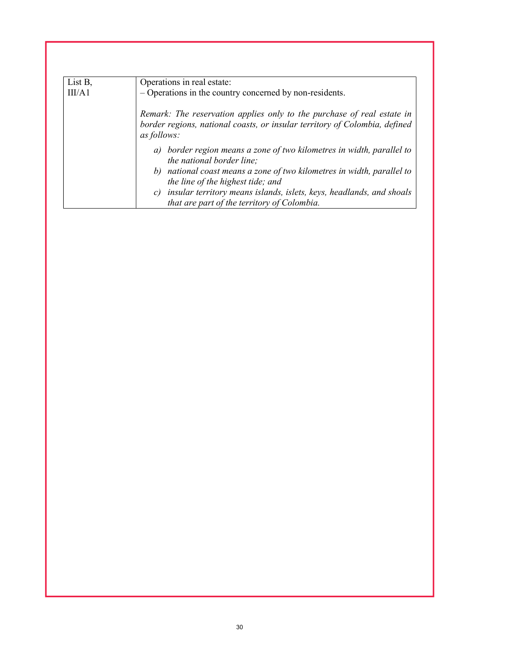| List B, | Operations in real estate:                                                                                                                                          |
|---------|---------------------------------------------------------------------------------------------------------------------------------------------------------------------|
| III/A1  | - Operations in the country concerned by non-residents.                                                                                                             |
|         | Remark: The reservation applies only to the purchase of real estate in<br>border regions, national coasts, or insular territory of Colombia, defined<br>as follows: |
|         | a) border region means a zone of two kilometres in width, parallel to<br><i>the national border line;</i>                                                           |
|         | b) national coast means a zone of two kilometres in width, parallel to<br>the line of the highest tide; and                                                         |
|         | insular territory means islands, islets, keys, headlands, and shoals<br>$\mathcal{C}$<br>that are part of the territory of Colombia.                                |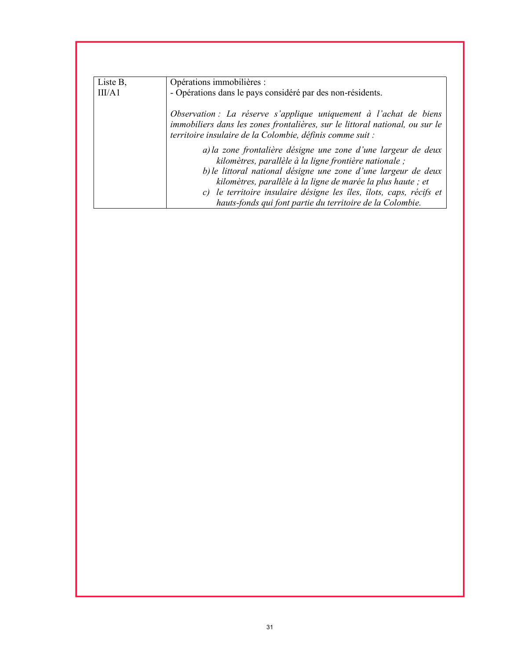| Liste B, | Opérations immobilières :                                                                                                                                                                                                                                                                                                       |
|----------|---------------------------------------------------------------------------------------------------------------------------------------------------------------------------------------------------------------------------------------------------------------------------------------------------------------------------------|
| III/A1   | - Opérations dans le pays considéré par des non-résidents.                                                                                                                                                                                                                                                                      |
|          | Observation : La réserve s'applique uniquement à l'achat de biens<br>immobiliers dans les zones frontalières, sur le littoral national, ou sur le<br>territoire insulaire de la Colombie, définis comme suit :                                                                                                                  |
|          | a) la zone frontalière désigne une zone d'une largeur de deux<br>kilomètres, parallèle à la ligne frontière nationale;<br>b) le littoral national désigne une zone d'une largeur de deux<br>kilomètres, parallèle à la ligne de marée la plus haute ; et<br>c) le territoire insulaire désigne les îles, îlots, caps, récifs et |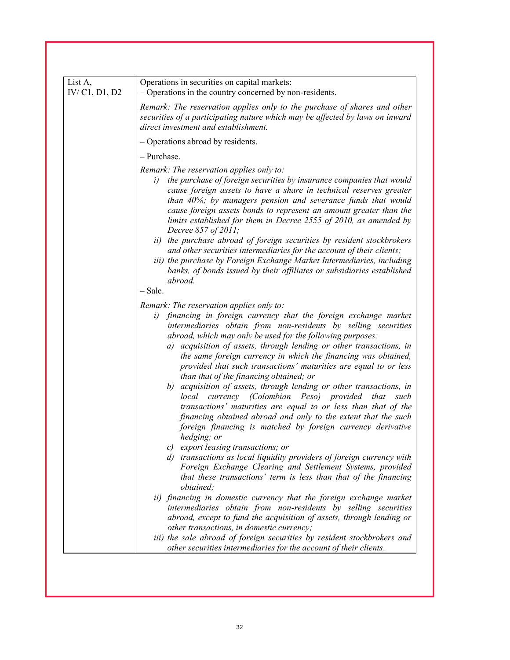| List A,<br>IV/C1, D1, D2 | Operations in securities on capital markets:<br>- Operations in the country concerned by non-residents.                                                                                                                                                                                                                                                                                                                                                                                                                                                                                                                                                                                                                                                                                                                                                                                                                                                                                                                                                                                                                        |
|--------------------------|--------------------------------------------------------------------------------------------------------------------------------------------------------------------------------------------------------------------------------------------------------------------------------------------------------------------------------------------------------------------------------------------------------------------------------------------------------------------------------------------------------------------------------------------------------------------------------------------------------------------------------------------------------------------------------------------------------------------------------------------------------------------------------------------------------------------------------------------------------------------------------------------------------------------------------------------------------------------------------------------------------------------------------------------------------------------------------------------------------------------------------|
|                          | Remark: The reservation applies only to the purchase of shares and other<br>securities of a participating nature which may be affected by laws on inward<br>direct investment and establishment.                                                                                                                                                                                                                                                                                                                                                                                                                                                                                                                                                                                                                                                                                                                                                                                                                                                                                                                               |
|                          | - Operations abroad by residents.                                                                                                                                                                                                                                                                                                                                                                                                                                                                                                                                                                                                                                                                                                                                                                                                                                                                                                                                                                                                                                                                                              |
|                          | - Purchase.                                                                                                                                                                                                                                                                                                                                                                                                                                                                                                                                                                                                                                                                                                                                                                                                                                                                                                                                                                                                                                                                                                                    |
|                          | Remark: The reservation applies only to:<br>the purchase of foreign securities by insurance companies that would<br>i)<br>cause foreign assets to have a share in technical reserves greater<br>than 40%; by managers pension and severance funds that would<br>cause foreign assets bonds to represent an amount greater than the<br>limits established for them in Decree 2555 of 2010, as amended by<br>Decree 857 of 2011;                                                                                                                                                                                                                                                                                                                                                                                                                                                                                                                                                                                                                                                                                                 |
|                          | ii) the purchase abroad of foreign securities by resident stockbrokers<br>and other securities intermediaries for the account of their clients;<br>iii) the purchase by Foreign Exchange Market Intermediaries, including<br>banks, of bonds issued by their affiliates or subsidiaries established<br>abroad.                                                                                                                                                                                                                                                                                                                                                                                                                                                                                                                                                                                                                                                                                                                                                                                                                 |
|                          | $-$ Sale.                                                                                                                                                                                                                                                                                                                                                                                                                                                                                                                                                                                                                                                                                                                                                                                                                                                                                                                                                                                                                                                                                                                      |
|                          | Remark: The reservation applies only to:<br>financing in foreign currency that the foreign exchange market<br>i)<br>intermediaries obtain from non-residents by selling securities<br>abroad, which may only be used for the following purposes:<br>a) acquisition of assets, through lending or other transactions, in<br>the same foreign currency in which the financing was obtained,<br>provided that such transactions' maturities are equal to or less<br>than that of the financing obtained; or<br>b) acquisition of assets, through lending or other transactions, in<br>currency (Colombian Peso) provided<br>local<br>that<br>such<br>transactions' maturities are equal to or less than that of the<br>financing obtained abroad and only to the extent that the such<br>foreign financing is matched by foreign currency derivative<br>hedging; or<br>c) export leasing transactions; or<br>d) transactions as local liquidity providers of foreign currency with<br>Foreign Exchange Clearing and Settlement Systems, provided<br>that these transactions' term is less than that of the financing<br>obtained: |
|                          | ii) financing in domestic currency that the foreign exchange market<br>intermediaries obtain from non-residents by selling securities<br>abroad, except to fund the acquisition of assets, through lending or<br>other transactions, in domestic currency;<br>iii) the sale abroad of foreign securities by resident stockbrokers and                                                                                                                                                                                                                                                                                                                                                                                                                                                                                                                                                                                                                                                                                                                                                                                          |
|                          | other securities intermediaries for the account of their clients.                                                                                                                                                                                                                                                                                                                                                                                                                                                                                                                                                                                                                                                                                                                                                                                                                                                                                                                                                                                                                                                              |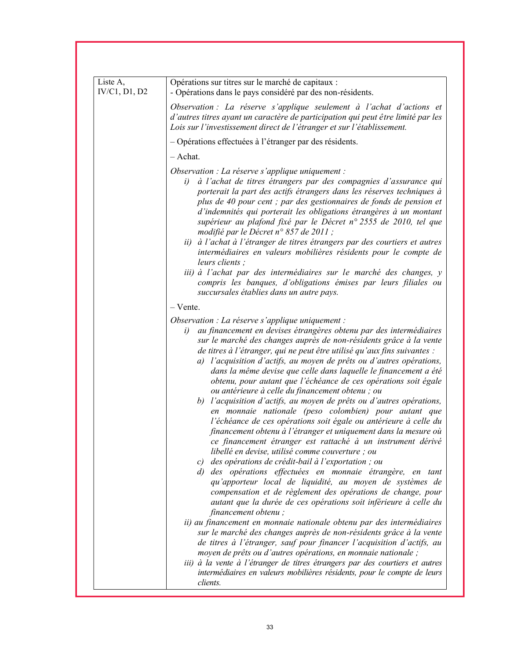| Liste A,<br>IV/C1, D1, D2 | Opérations sur titres sur le marché de capitaux :<br>- Opérations dans le pays considéré par des non-résidents.                                                                                                                                                                                                                                                                                                                                                                                                                                                                                                                                                                                                                                                                                                                                                                                                                                                                                                                                                                                                                                                                                                                                                                           |
|---------------------------|-------------------------------------------------------------------------------------------------------------------------------------------------------------------------------------------------------------------------------------------------------------------------------------------------------------------------------------------------------------------------------------------------------------------------------------------------------------------------------------------------------------------------------------------------------------------------------------------------------------------------------------------------------------------------------------------------------------------------------------------------------------------------------------------------------------------------------------------------------------------------------------------------------------------------------------------------------------------------------------------------------------------------------------------------------------------------------------------------------------------------------------------------------------------------------------------------------------------------------------------------------------------------------------------|
|                           | Observation : La réserve s'applique seulement à l'achat d'actions et<br>d'autres titres ayant un caractère de participation qui peut être limité par les<br>Lois sur l'investissement direct de l'étranger et sur l'établissement.                                                                                                                                                                                                                                                                                                                                                                                                                                                                                                                                                                                                                                                                                                                                                                                                                                                                                                                                                                                                                                                        |
|                           | - Opérations effectuées à l'étranger par des résidents.                                                                                                                                                                                                                                                                                                                                                                                                                                                                                                                                                                                                                                                                                                                                                                                                                                                                                                                                                                                                                                                                                                                                                                                                                                   |
|                           | $-$ Achat.                                                                                                                                                                                                                                                                                                                                                                                                                                                                                                                                                                                                                                                                                                                                                                                                                                                                                                                                                                                                                                                                                                                                                                                                                                                                                |
|                           | Observation : La réserve s'applique uniquement :<br>à l'achat de titres étrangers par des compagnies d'assurance qui<br>i)<br>porterait la part des actifs étrangers dans les réserves techniques à<br>plus de 40 pour cent ; par des gestionnaires de fonds de pension et<br>d'indemnités qui porterait les obligations étrangères à un montant<br>supérieur au plafond fixé par le Décret n° 2555 de 2010, tel que<br>modifié par le Décret n° 857 de 2011 ;<br>ii) à l'achat à l'étranger de titres étrangers par des courtiers et autres<br>intermédiaires en valeurs mobilières résidents pour le compte de<br>leurs clients :<br>iii) à l'achat par des intermédiaires sur le marché des changes, y<br>compris les banques, d'obligations émises par leurs filiales ou                                                                                                                                                                                                                                                                                                                                                                                                                                                                                                              |
|                           | succursales établies dans un autre pays.                                                                                                                                                                                                                                                                                                                                                                                                                                                                                                                                                                                                                                                                                                                                                                                                                                                                                                                                                                                                                                                                                                                                                                                                                                                  |
|                           | $-$ Vente.                                                                                                                                                                                                                                                                                                                                                                                                                                                                                                                                                                                                                                                                                                                                                                                                                                                                                                                                                                                                                                                                                                                                                                                                                                                                                |
|                           | Observation : La réserve s'applique uniquement :<br>au financement en devises étrangères obtenu par des intermédiaires<br>i)<br>sur le marché des changes auprès de non-résidents grâce à la vente<br>de titres à l'étranger, qui ne peut être utilisé qu'aux fins suivantes :<br>a) l'acquisition d'actifs, au moyen de prêts ou d'autres opérations,<br>dans la même devise que celle dans laquelle le financement a été<br>obtenu, pour autant que l'échéance de ces opérations soit égale<br>ou antérieure à celle du financement obtenu ; ou<br>b) l'acquisition d'actifs, au moyen de prêts ou d'autres opérations,<br>en monnaie nationale (peso colombien) pour autant que<br>l'échéance de ces opérations soit égale ou antérieure à celle du<br>financement obtenu à l'étranger et uniquement dans la mesure où<br>ce financement étranger est rattaché à un instrument dérivé<br>libellé en devise, utilisé comme couverture ; ou<br>c) des opérations de crédit-bail à l'exportation ; ou<br>d) des opérations effectuées en monnaie étrangère, en tant<br>qu'apporteur local de liquidité, au moyen de systèmes de<br>compensation et de règlement des opérations de change, pour<br>autant que la durée de ces opérations soit inférieure à celle du<br>financement obtenu; |
|                           | ii) au financement en monnaie nationale obtenu par des intermédiaires<br>sur le marché des changes auprès de non-résidents grâce à la vente<br>de titres à l'étranger, sauf pour financer l'acquisition d'actifs, au<br>moyen de prêts ou d'autres opérations, en monnaie nationale ;<br>iii) à la vente à l'étranger de titres étrangers par des courtiers et autres<br>intermédiaires en valeurs mobilières résidents, pour le compte de leurs<br>clients.                                                                                                                                                                                                                                                                                                                                                                                                                                                                                                                                                                                                                                                                                                                                                                                                                              |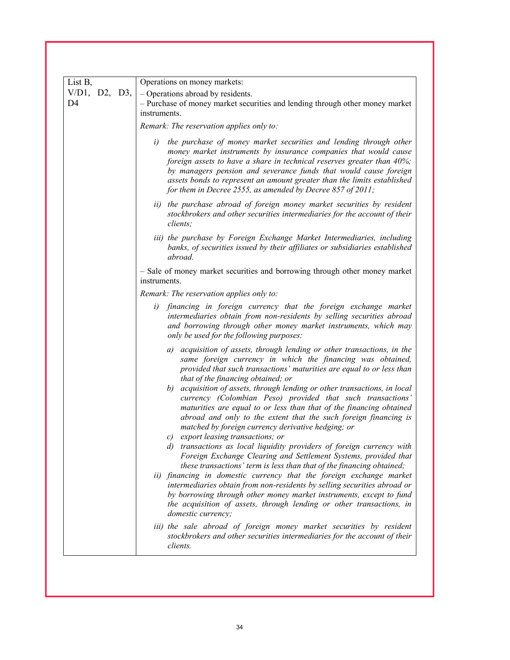| List B,                            | Operations on money markets:                                                                                                                                                                                                                                                                                                                                                                                                       |
|------------------------------------|------------------------------------------------------------------------------------------------------------------------------------------------------------------------------------------------------------------------------------------------------------------------------------------------------------------------------------------------------------------------------------------------------------------------------------|
| $V/D1$ , D2, D3,<br>D <sub>4</sub> | - Operations abroad by residents.<br>- Purchase of money market securities and lending through other money market<br>instruments.                                                                                                                                                                                                                                                                                                  |
|                                    | Remark: The reservation applies only to:                                                                                                                                                                                                                                                                                                                                                                                           |
|                                    | the purchase of money market securities and lending through other<br>i)<br>money market instruments by insurance companies that would cause<br>foreign assets to have a share in technical reserves greater than 40%;<br>by managers pension and severance funds that would cause foreign<br>assets bonds to represent an amount greater than the limits established<br>for them in Decree 2555, as amended by Decree 857 of 2011; |
|                                    | ii) the purchase abroad of foreign money market securities by resident<br>stockbrokers and other securities intermediaries for the account of their<br>clients:                                                                                                                                                                                                                                                                    |
|                                    | iii) the purchase by Foreign Exchange Market Intermediaries, including<br>banks, of securities issued by their affiliates or subsidiaries established<br>abroad.                                                                                                                                                                                                                                                                   |
|                                    | - Sale of money market securities and borrowing through other money market<br>instruments.                                                                                                                                                                                                                                                                                                                                         |
|                                    | Remark: The reservation applies only to:                                                                                                                                                                                                                                                                                                                                                                                           |
|                                    | financing in foreign currency that the foreign exchange market<br>i)<br>intermediaries obtain from non-residents by selling securities abroad<br>and borrowing through other money market instruments, which may<br>only be used for the following purposes:                                                                                                                                                                       |
|                                    | a) acquisition of assets, through lending or other transactions, in the<br>same foreign currency in which the financing was obtained,<br>provided that such transactions' maturities are equal to or less than<br>that of the financing obtained; or                                                                                                                                                                               |
|                                    | b) acquisition of assets, through lending or other transactions, in local<br>currency (Colombian Peso) provided that such transactions'<br>maturities are equal to or less than that of the financing obtained<br>abroad and only to the extent that the such foreign financing is<br>matched by foreign currency derivative hedging; or<br>c) export leasing transactions; or                                                     |
|                                    | d) transactions as local liquidity providers of foreign currency with<br>Foreign Exchange Clearing and Settlement Systems, provided that<br>these transactions' term is less than that of the financing obtained;                                                                                                                                                                                                                  |
|                                    | ii) financing in domestic currency that the foreign exchange market<br>intermediaries obtain from non-residents by selling securities abroad or<br>by borrowing through other money market instruments, except to fund<br>the acquisition of assets, through lending or other transactions, in<br>domestic currency;                                                                                                               |
|                                    | iii) the sale abroad of foreign money market securities by resident<br>stockbrokers and other securities intermediaries for the account of their<br>clients.                                                                                                                                                                                                                                                                       |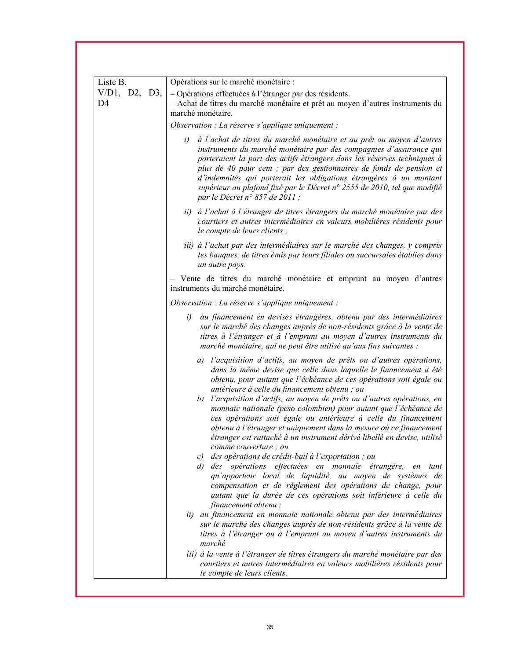| Liste B,                           | Opérations sur le marché monétaire :                                                                                                                                                                                                                                                                                                                                                                                                                                                                                                                                                                                                                         |
|------------------------------------|--------------------------------------------------------------------------------------------------------------------------------------------------------------------------------------------------------------------------------------------------------------------------------------------------------------------------------------------------------------------------------------------------------------------------------------------------------------------------------------------------------------------------------------------------------------------------------------------------------------------------------------------------------------|
| $V/D1$ , D2, D3,<br>D <sub>4</sub> | - Opérations effectuées à l'étranger par des résidents.<br>- Achat de titres du marché monétaire et prêt au moyen d'autres instruments du<br>marché monétaire.                                                                                                                                                                                                                                                                                                                                                                                                                                                                                               |
|                                    | Observation : La réserve s'applique uniquement :                                                                                                                                                                                                                                                                                                                                                                                                                                                                                                                                                                                                             |
|                                    | à l'achat de titres du marché monétaire et au prêt au moyen d'autres<br>i)<br>instruments du marché monétaire par des compagnies d'assurance qui<br>porteraient la part des actifs étrangers dans les réserves techniques à<br>plus de 40 pour cent ; par des gestionnaires de fonds de pension et<br>d'indemnités qui porterait les obligations étrangères à un montant<br>supérieur au plafond fixé par le Décret n° 2555 de 2010, tel que modifié<br>par le Décret n° 857 de 2011 ;                                                                                                                                                                       |
|                                    | ii) à l'achat à l'étranger de titres étrangers du marché monétaire par des<br>courtiers et autres intermédiaires en valeurs mobilières résidents pour<br>le compte de leurs clients ;                                                                                                                                                                                                                                                                                                                                                                                                                                                                        |
|                                    | iii) à l'achat par des intermédiaires sur le marché des changes, y compris<br>les banques, de titres émis par leurs filiales ou succursales établies dans<br>un autre pays.                                                                                                                                                                                                                                                                                                                                                                                                                                                                                  |
|                                    | - Vente de titres du marché monétaire et emprunt au moyen d'autres<br>instruments du marché monétaire.                                                                                                                                                                                                                                                                                                                                                                                                                                                                                                                                                       |
|                                    | Observation : La réserve s'applique uniquement :                                                                                                                                                                                                                                                                                                                                                                                                                                                                                                                                                                                                             |
|                                    | au financement en devises étrangères, obtenu par des intermédiaires<br>i)<br>sur le marché des changes auprès de non-résidents grâce à la vente de<br>titres à l'étranger et à l'emprunt au moyen d'autres instruments du<br>marché monétaire, qui ne peut être utilisé qu'aux fins suivantes :                                                                                                                                                                                                                                                                                                                                                              |
|                                    | a) l'acquisition d'actifs, au moyen de prêts ou d'autres opérations,<br>dans la même devise que celle dans laquelle le financement a été<br>obtenu, pour autant que l'échéance de ces opérations soit égale ou<br>antérieure à celle du financement obtenu ; ou<br>l'acquisition d'actifs, au moyen de prêts ou d'autres opérations, en<br>b)<br>monnaie nationale (peso colombien) pour autant que l'échéance de<br>ces opérations soit égale ou antérieure à celle du financement<br>obtenu à l'étranger et uniquement dans la mesure où ce financement<br>étranger est rattaché à un instrument dérivé libellé en devise, utilisé<br>comme couverture; ou |
|                                    | c) des opérations de crédit-bail à l'exportation ; ou<br>d) des opérations effectuées en monnaie étrangère, en<br>tant<br>qu'apporteur local de liquidité, au moyen de systèmes de<br>compensation et de règlement des opérations de change, pour<br>autant que la durée de ces opérations soit inférieure à celle du<br>financement obtenu;                                                                                                                                                                                                                                                                                                                 |
|                                    | ii) au financement en monnaie nationale obtenu par des intermédiaires<br>sur le marché des changes auprès de non-résidents grâce à la vente de<br>titres à l'étranger ou à l'emprunt au moyen d'autres instruments du<br>marché                                                                                                                                                                                                                                                                                                                                                                                                                              |
|                                    | iii) à la vente à l'étranger de titres étrangers du marché monétaire par des<br>courtiers et autres intermédiaires en valeurs mobilières résidents pour<br>le compte de leurs clients.                                                                                                                                                                                                                                                                                                                                                                                                                                                                       |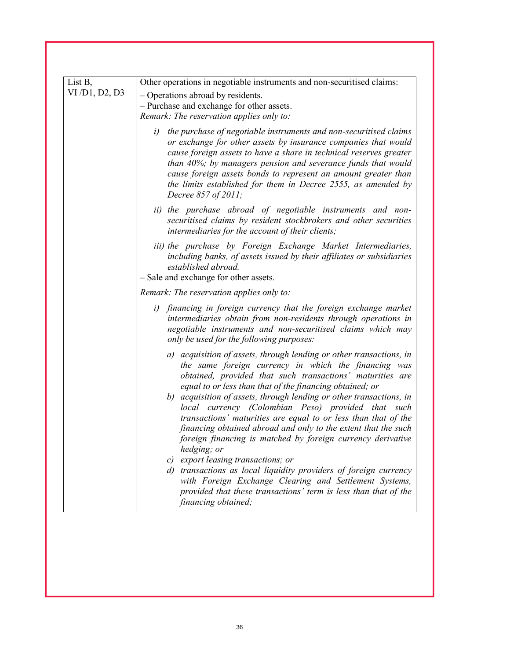| List B,       | Other operations in negotiable instruments and non-securitised claims:                                                                                                                                                                                                                                                                                                                                                                                                                                                                                                                                                                                                                                                                                                                                                                     |
|---------------|--------------------------------------------------------------------------------------------------------------------------------------------------------------------------------------------------------------------------------------------------------------------------------------------------------------------------------------------------------------------------------------------------------------------------------------------------------------------------------------------------------------------------------------------------------------------------------------------------------------------------------------------------------------------------------------------------------------------------------------------------------------------------------------------------------------------------------------------|
| VI/D1, D2, D3 | - Operations abroad by residents.                                                                                                                                                                                                                                                                                                                                                                                                                                                                                                                                                                                                                                                                                                                                                                                                          |
|               | - Purchase and exchange for other assets.                                                                                                                                                                                                                                                                                                                                                                                                                                                                                                                                                                                                                                                                                                                                                                                                  |
|               | Remark: The reservation applies only to:                                                                                                                                                                                                                                                                                                                                                                                                                                                                                                                                                                                                                                                                                                                                                                                                   |
|               | the purchase of negotiable instruments and non-securitised claims<br>i)<br>or exchange for other assets by insurance companies that would<br>cause foreign assets to have a share in technical reserves greater<br>than 40%; by managers pension and severance funds that would<br>cause foreign assets bonds to represent an amount greater than<br>the limits established for them in Decree 2555, as amended by<br>Decree 857 of 2011;                                                                                                                                                                                                                                                                                                                                                                                                  |
|               | ii) the purchase abroad of negotiable instruments and non-<br>securitised claims by resident stockbrokers and other securities<br>intermediaries for the account of their clients;                                                                                                                                                                                                                                                                                                                                                                                                                                                                                                                                                                                                                                                         |
|               | iii) the purchase by Foreign Exchange Market Intermediaries,<br>including banks, of assets issued by their affiliates or subsidiaries<br>established abroad.<br>- Sale and exchange for other assets.                                                                                                                                                                                                                                                                                                                                                                                                                                                                                                                                                                                                                                      |
|               | Remark: The reservation applies only to:                                                                                                                                                                                                                                                                                                                                                                                                                                                                                                                                                                                                                                                                                                                                                                                                   |
|               | i) financing in foreign currency that the foreign exchange market<br>intermediaries obtain from non-residents through operations in<br>negotiable instruments and non-securitised claims which may<br>only be used for the following purposes:                                                                                                                                                                                                                                                                                                                                                                                                                                                                                                                                                                                             |
|               | a) acquisition of assets, through lending or other transactions, in<br>the same foreign currency in which the financing was<br>obtained, provided that such transactions' maturities are<br>equal to or less than that of the financing obtained; or<br>b) acquisition of assets, through lending or other transactions, in<br>local currency (Colombian Peso) provided that such<br>transactions' maturities are equal to or less than that of the<br>financing obtained abroad and only to the extent that the such<br>foreign financing is matched by foreign currency derivative<br>hedging; or<br>c) export leasing transactions; or<br>d) transactions as local liquidity providers of foreign currency<br>with Foreign Exchange Clearing and Settlement Systems,<br>provided that these transactions' term is less than that of the |
|               | financing obtained;                                                                                                                                                                                                                                                                                                                                                                                                                                                                                                                                                                                                                                                                                                                                                                                                                        |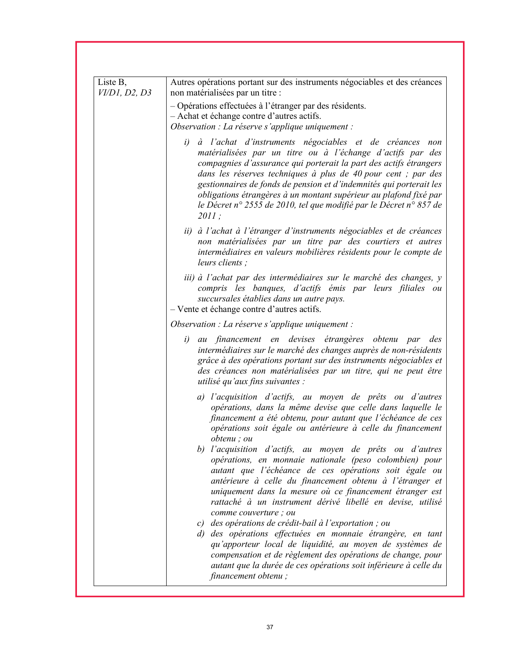| Liste B,<br>VI/D1, D2, D3 | Autres opérations portant sur des instruments négociables et des créances<br>non matérialisées par un titre :                                                                                                                                                                                                                                                                                                                                                                               |
|---------------------------|---------------------------------------------------------------------------------------------------------------------------------------------------------------------------------------------------------------------------------------------------------------------------------------------------------------------------------------------------------------------------------------------------------------------------------------------------------------------------------------------|
|                           | - Opérations effectuées à l'étranger par des résidents.<br>- Achat et échange contre d'autres actifs.<br>Observation : La réserve s'applique uniquement :                                                                                                                                                                                                                                                                                                                                   |
|                           | i)<br>à l'achat d'instruments négociables et de créances non<br>matérialisées par un titre ou à l'échange d'actifs par des<br>compagnies d'assurance qui porterait la part des actifs étrangers<br>dans les réserves techniques à plus de 40 pour cent ; par des<br>gestionnaires de fonds de pension et d'indemnités qui porterait les<br>obligations étrangères à un montant supérieur au plafond fixé par<br>le Décret n° 2555 de 2010, tel que modifié par le Décret n° 857 de<br>2011; |
|                           | ii) à l'achat à l'étranger d'instruments négociables et de créances<br>non matérialisées par un titre par des courtiers et autres<br>intermédiaires en valeurs mobilières résidents pour le compte de<br>leurs clients;                                                                                                                                                                                                                                                                     |
|                           | iii) à l'achat par des intermédiaires sur le marché des changes, y<br>compris les banques, d'actifs émis par leurs filiales ou<br>succursales établies dans un autre pays.<br>- Vente et échange contre d'autres actifs.                                                                                                                                                                                                                                                                    |
|                           | Observation : La réserve s'applique uniquement :                                                                                                                                                                                                                                                                                                                                                                                                                                            |
|                           | au financement en devises étrangères obtenu par<br>i)<br>des<br>intermédiaires sur le marché des changes auprès de non-résidents<br>grâce à des opérations portant sur des instruments négociables et<br>des créances non matérialisées par un titre, qui ne peut être<br>utilisé qu'aux fins suivantes :                                                                                                                                                                                   |
|                           | a) l'acquisition d'actifs, au moyen de prêts ou d'autres<br>opérations, dans la même devise que celle dans laquelle le<br>financement a été obtenu, pour autant que l'échéance de ces<br>opérations soit égale ou antérieure à celle du financement<br>obtenu; ou<br>b) l'acquisition d'actifs, au moyen de prêts ou d'autres                                                                                                                                                               |
|                           | opérations, en monnaie nationale (peso colombien) pour<br>autant que l'échéance de ces opérations soit égale ou<br>antérieure à celle du financement obtenu à l'étranger et<br>uniquement dans la mesure où ce financement étranger est<br>rattaché à un instrument dérivé libellé en devise, utilisé<br>comme couverture ; ou                                                                                                                                                              |
|                           | c) des opérations de crédit-bail à l'exportation; ou<br>d) des opérations effectuées en monnaie étrangère, en tant<br>qu'apporteur local de liquidité, au moyen de systèmes de<br>compensation et de règlement des opérations de change, pour<br>autant que la durée de ces opérations soit inférieure à celle du<br>financement obtenu;                                                                                                                                                    |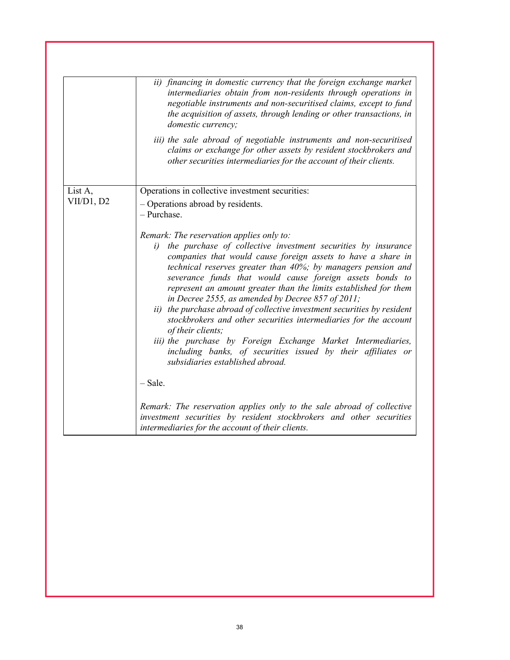|            | ii) financing in domestic currency that the foreign exchange market<br>intermediaries obtain from non-residents through operations in<br>negotiable instruments and non-securitised claims, except to fund<br>the acquisition of assets, through lending or other transactions, in<br>domestic currency;                                                                                                                                                                                                                                                                                                                                                                                                                                                                     |
|------------|------------------------------------------------------------------------------------------------------------------------------------------------------------------------------------------------------------------------------------------------------------------------------------------------------------------------------------------------------------------------------------------------------------------------------------------------------------------------------------------------------------------------------------------------------------------------------------------------------------------------------------------------------------------------------------------------------------------------------------------------------------------------------|
|            | iii) the sale abroad of negotiable instruments and non-securitised<br>claims or exchange for other assets by resident stockbrokers and<br>other securities intermediaries for the account of their clients.                                                                                                                                                                                                                                                                                                                                                                                                                                                                                                                                                                  |
| List A,    | Operations in collective investment securities:                                                                                                                                                                                                                                                                                                                                                                                                                                                                                                                                                                                                                                                                                                                              |
| VII/D1, D2 | - Operations abroad by residents.<br>- Purchase.                                                                                                                                                                                                                                                                                                                                                                                                                                                                                                                                                                                                                                                                                                                             |
|            | Remark: The reservation applies only to:<br>the purchase of collective investment securities by insurance<br>i)<br>companies that would cause foreign assets to have a share in<br>technical reserves greater than 40%; by managers pension and<br>severance funds that would cause foreign assets bonds to<br>represent an amount greater than the limits established for them<br>in Decree 2555, as amended by Decree 857 of 2011;<br>ii) the purchase abroad of collective investment securities by resident<br>stockbrokers and other securities intermediaries for the account<br>of their clients;<br>iii) the purchase by Foreign Exchange Market Intermediaries,<br>including banks, of securities issued by their affiliates or<br>subsidiaries established abroad. |
|            | $-$ Sale.<br>Remark: The reservation applies only to the sale abroad of collective<br>investment securities by resident stockbrokers and other securities<br>intermediaries for the account of their clients.                                                                                                                                                                                                                                                                                                                                                                                                                                                                                                                                                                |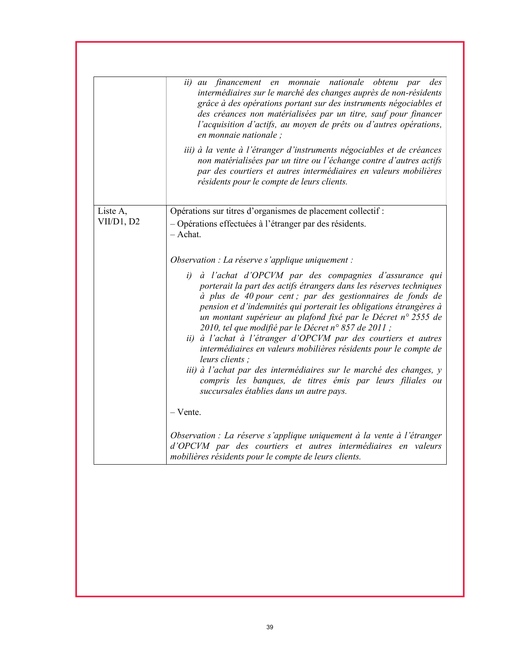|            | monnaie<br>nationale obtenu<br>ii) au<br>financement<br>des<br>en<br>par<br>intermédiaires sur le marché des changes auprès de non-résidents<br>grâce à des opérations portant sur des instruments négociables et<br>des créances non matérialisées par un titre, sauf pour financer<br>l'acquisition d'actifs, au moyen de prêts ou d'autres opérations,<br>en monnaie nationale ;                                                                                                                                                                                                                                                                                                                                                    |
|------------|----------------------------------------------------------------------------------------------------------------------------------------------------------------------------------------------------------------------------------------------------------------------------------------------------------------------------------------------------------------------------------------------------------------------------------------------------------------------------------------------------------------------------------------------------------------------------------------------------------------------------------------------------------------------------------------------------------------------------------------|
|            | iii) à la vente à l'étranger d'instruments négociables et de créances<br>non matérialisées par un titre ou l'échange contre d'autres actifs<br>par des courtiers et autres intermédiaires en valeurs mobilières<br>résidents pour le compte de leurs clients.                                                                                                                                                                                                                                                                                                                                                                                                                                                                          |
| Liste A,   | Opérations sur titres d'organismes de placement collectif :                                                                                                                                                                                                                                                                                                                                                                                                                                                                                                                                                                                                                                                                            |
| VII/D1, D2 | - Opérations effectuées à l'étranger par des résidents.<br>- Achat.                                                                                                                                                                                                                                                                                                                                                                                                                                                                                                                                                                                                                                                                    |
|            | Observation : La réserve s'applique uniquement :                                                                                                                                                                                                                                                                                                                                                                                                                                                                                                                                                                                                                                                                                       |
|            | à l'achat d'OPCVM par des compagnies d'assurance qui<br>i)<br>porterait la part des actifs étrangers dans les réserves techniques<br>à plus de 40 pour cent ; par des gestionnaires de fonds de<br>pension et d'indemnités qui porterait les obligations étrangères à<br>un montant supérieur au plafond fixé par le Décret n° 2555 de<br>2010, tel que modifié par le Décret n° 857 de 2011 ;<br>ii) à l'achat à l'étranger d'OPCVM par des courtiers et autres<br>intermédiaires en valeurs mobilières résidents pour le compte de<br>leurs clients :<br>iii) à l'achat par des intermédiaires sur le marché des changes, y<br>compris les banques, de titres émis par leurs filiales ou<br>succursales établies dans un autre pays. |
|            | - Vente.                                                                                                                                                                                                                                                                                                                                                                                                                                                                                                                                                                                                                                                                                                                               |
|            | Observation : La réserve s'applique uniquement à la vente à l'étranger<br>d'OPCVM par des courtiers et autres intermédiaires en valeurs<br>mobilières résidents pour le compte de leurs clients.                                                                                                                                                                                                                                                                                                                                                                                                                                                                                                                                       |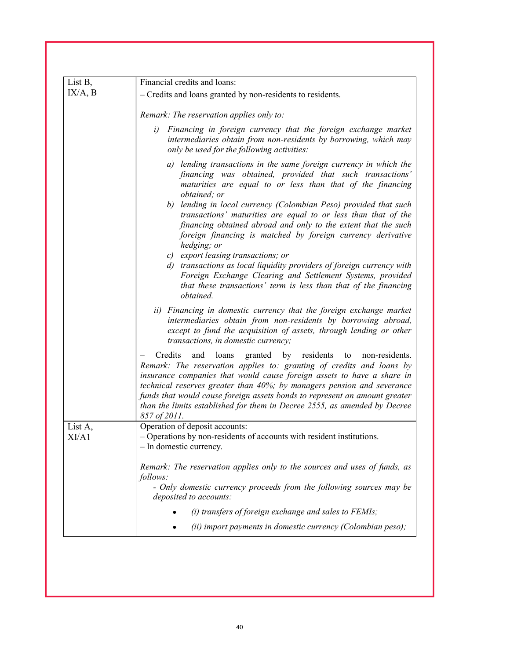| List B,          | Financial credits and loans:                                                                                                                                                                                                                                                                                                                                                                                                                                                                                                                                                                                                                                                                                                                                           |
|------------------|------------------------------------------------------------------------------------------------------------------------------------------------------------------------------------------------------------------------------------------------------------------------------------------------------------------------------------------------------------------------------------------------------------------------------------------------------------------------------------------------------------------------------------------------------------------------------------------------------------------------------------------------------------------------------------------------------------------------------------------------------------------------|
| IX/A, B          | - Credits and loans granted by non-residents to residents.                                                                                                                                                                                                                                                                                                                                                                                                                                                                                                                                                                                                                                                                                                             |
|                  | Remark: The reservation applies only to:                                                                                                                                                                                                                                                                                                                                                                                                                                                                                                                                                                                                                                                                                                                               |
|                  | Financing in foreign currency that the foreign exchange market<br>i)<br>intermediaries obtain from non-residents by borrowing, which may<br>only be used for the following activities:                                                                                                                                                                                                                                                                                                                                                                                                                                                                                                                                                                                 |
|                  | a) lending transactions in the same foreign currency in which the<br>financing was obtained, provided that such transactions'<br>maturities are equal to or less than that of the financing<br>obtained; or<br>b) lending in local currency (Colombian Peso) provided that such<br>transactions' maturities are equal to or less than that of the<br>financing obtained abroad and only to the extent that the such<br>foreign financing is matched by foreign currency derivative<br>hedging; or<br>c) export leasing transactions; or<br>d) transactions as local liquidity providers of foreign currency with<br>Foreign Exchange Clearing and Settlement Systems, provided<br>that these transactions' term is less than that of the financing<br><i>obtained.</i> |
|                  | ii) Financing in domestic currency that the foreign exchange market<br>intermediaries obtain from non-residents by borrowing abroad,<br>except to fund the acquisition of assets, through lending or other<br>transactions, in domestic currency;                                                                                                                                                                                                                                                                                                                                                                                                                                                                                                                      |
|                  | Credits<br>and<br>loans<br>granted by residents<br>non-residents.<br>to<br>Remark: The reservation applies to: granting of credits and loans by<br>insurance companies that would cause foreign assets to have a share in<br>technical reserves greater than 40%; by managers pension and severance<br>funds that would cause foreign assets bonds to represent an amount greater<br>than the limits established for them in Decree 2555, as amended by Decree<br>857 of 2011.                                                                                                                                                                                                                                                                                         |
| List A,<br>XI/A1 | Operation of deposit accounts:<br>- Operations by non-residents of accounts with resident institutions.<br>- In domestic currency.                                                                                                                                                                                                                                                                                                                                                                                                                                                                                                                                                                                                                                     |
|                  | Remark: The reservation applies only to the sources and uses of funds, as<br>follows:<br>- Only domestic currency proceeds from the following sources may be<br>deposited to accounts:                                                                                                                                                                                                                                                                                                                                                                                                                                                                                                                                                                                 |
|                  | (i) transfers of foreign exchange and sales to FEMIs;                                                                                                                                                                                                                                                                                                                                                                                                                                                                                                                                                                                                                                                                                                                  |
|                  | (ii) import payments in domestic currency (Colombian peso);                                                                                                                                                                                                                                                                                                                                                                                                                                                                                                                                                                                                                                                                                                            |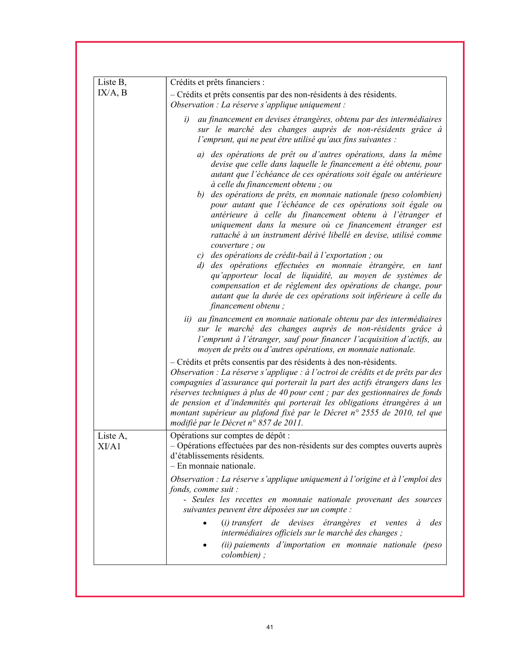| Liste B,          | Crédits et prêts financiers :                                                                                                                                                                                                                                                                                                                                                                                                                                                                                                                                                                 |
|-------------------|-----------------------------------------------------------------------------------------------------------------------------------------------------------------------------------------------------------------------------------------------------------------------------------------------------------------------------------------------------------------------------------------------------------------------------------------------------------------------------------------------------------------------------------------------------------------------------------------------|
| IX/A, B           | - Crédits et prêts consentis par des non-résidents à des résidents.<br>Observation : La réserve s'applique uniquement :                                                                                                                                                                                                                                                                                                                                                                                                                                                                       |
|                   | au financement en devises étrangères, obtenu par des intermédiaires<br>i)<br>sur le marché des changes auprès de non-résidents grâce à<br>l'emprunt, qui ne peut être utilisé qu'aux fins suivantes :                                                                                                                                                                                                                                                                                                                                                                                         |
|                   | a) des opérations de prêt ou d'autres opérations, dans la même<br>devise que celle dans laquelle le financement a été obtenu, pour<br>autant que l'échéance de ces opérations soit égale ou antérieure<br>à celle du financement obtenu; ou<br>b) des opérations de prêts, en monnaie nationale (peso colombien)<br>pour autant que l'échéance de ces opérations soit égale ou<br>antérieure à celle du financement obtenu à l'étranger et<br>uniquement dans la mesure où ce financement étranger est<br>rattaché à un instrument dérivé libellé en devise, utilisé comme<br>couverture : ou |
|                   | c) des opérations de crédit-bail à l'exportation ; ou<br>d) des opérations effectuées en monnaie étrangère, en tant<br>qu'apporteur local de liquidité, au moyen de systèmes de<br>compensation et de règlement des opérations de change, pour<br>autant que la durée de ces opérations soit inférieure à celle du<br>financement obtenu;                                                                                                                                                                                                                                                     |
|                   | ii) au financement en monnaie nationale obtenu par des intermédiaires<br>sur le marché des changes auprès de non-résidents grâce à<br>l'emprunt à l'étranger, sauf pour financer l'acquisition d'actifs, au<br>moyen de prêts ou d'autres opérations, en monnaie nationale.                                                                                                                                                                                                                                                                                                                   |
|                   | - Crédits et prêts consentis par des résidents à des non-résidents.<br>Observation : La réserve s'applique : à l'octroi de crédits et de prêts par des<br>compagnies d'assurance qui porterait la part des actifs étrangers dans les<br>réserves techniques à plus de 40 pour cent ; par des gestionnaires de fonds<br>de pension et d'indemnités qui porterait les obligations étrangères à un<br>montant supérieur au plafond fixé par le Décret n° 2555 de 2010, tel que<br>modifié par le Décret n° 857 de 2011.                                                                          |
| Liste A,<br>XI/A1 | Opérations sur comptes de dépôt :<br>- Opérations effectuées par des non-résidents sur des comptes ouverts auprès<br>d'établissements résidents.<br>- En monnaie nationale.                                                                                                                                                                                                                                                                                                                                                                                                                   |
|                   | Observation : La réserve s'applique uniquement à l'origine et à l'emploi des<br>fonds, comme suit :<br>- Seules les recettes en monnaie nationale provenant des sources<br>suivantes peuvent être déposées sur un compte :                                                                                                                                                                                                                                                                                                                                                                    |
|                   | (i) transfert de devises étrangères et ventes à<br>des<br>intermédiaires officiels sur le marché des changes ;<br>(ii) paiements d'importation en monnaie nationale (peso<br>colombien);                                                                                                                                                                                                                                                                                                                                                                                                      |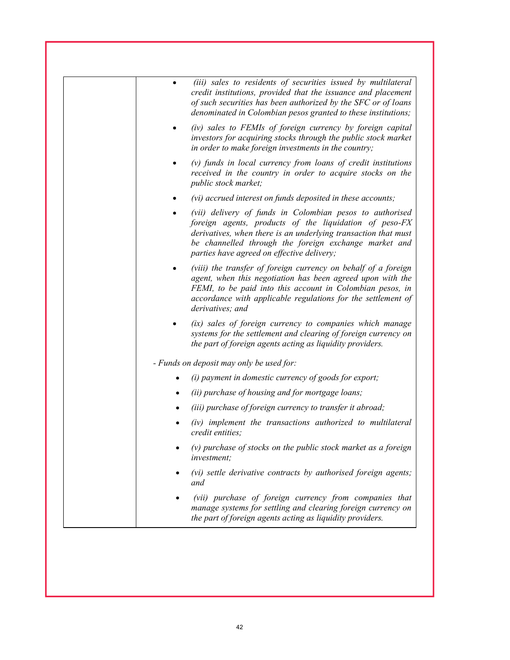| (iii) sales to residents of securities issued by multilateral<br>credit institutions, provided that the issuance and placement<br>of such securities has been authorized by the SFC or of loans<br>denominated in Colombian pesos granted to these institutions;                            |
|---------------------------------------------------------------------------------------------------------------------------------------------------------------------------------------------------------------------------------------------------------------------------------------------|
| (iv) sales to FEMIs of foreign currency by foreign capital<br>investors for acquiring stocks through the public stock market<br>in order to make foreign investments in the country;                                                                                                        |
| $(v)$ funds in local currency from loans of credit institutions<br>received in the country in order to acquire stocks on the<br>public stock market;                                                                                                                                        |
| (vi) accrued interest on funds deposited in these accounts;                                                                                                                                                                                                                                 |
| (vii) delivery of funds in Colombian pesos to authorised<br>foreign agents, products of the liquidation of peso-FX<br>derivatives, when there is an underlying transaction that must<br>be channelled through the foreign exchange market and<br>parties have agreed on effective delivery; |
| (viii) the transfer of foreign currency on behalf of a foreign<br>agent, when this negotiation has been agreed upon with the<br>FEMI, to be paid into this account in Colombian pesos, in<br>accordance with applicable regulations for the settlement of<br>derivatives; and               |
| (ix) sales of foreign currency to companies which manage<br>systems for the settlement and clearing of foreign currency on<br>the part of foreign agents acting as liquidity providers.                                                                                                     |
| - Funds on deposit may only be used for:                                                                                                                                                                                                                                                    |
| (i) payment in domestic currency of goods for export;                                                                                                                                                                                                                                       |
| (ii) purchase of housing and for mortgage loans;                                                                                                                                                                                                                                            |
| (iii) purchase of foreign currency to transfer it abroad;                                                                                                                                                                                                                                   |
| (iv) implement the transactions authorized to multilateral<br>credit entities:                                                                                                                                                                                                              |
| $(v)$ purchase of stocks on the public stock market as a foreign<br>investment;                                                                                                                                                                                                             |
| (vi) settle derivative contracts by authorised foreign agents;<br>and                                                                                                                                                                                                                       |
| (vii) purchase of foreign currency from companies that<br>manage systems for settling and clearing foreign currency on<br>the part of foreign agents acting as liquidity providers.                                                                                                         |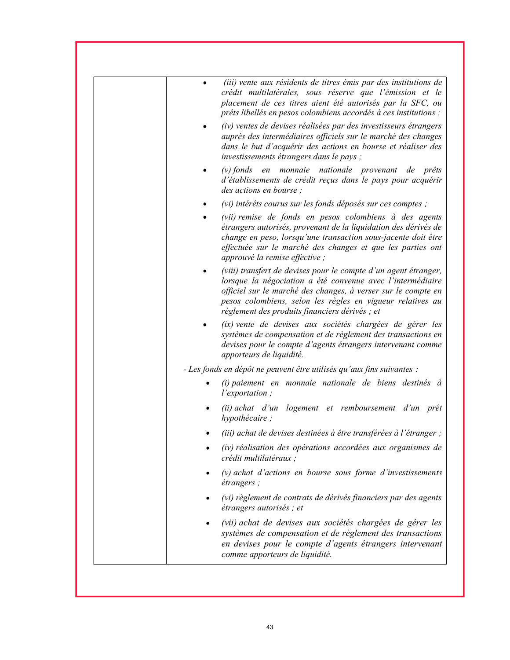|   | (iii) vente aux résidents de titres émis par des institutions de<br>crédit multilatérales, sous réserve que l'émission et le<br>placement de ces titres aient été autorisés par la SFC, ou<br>prêts libellés en pesos colombiens accordés à ces institutions;                                                  |
|---|----------------------------------------------------------------------------------------------------------------------------------------------------------------------------------------------------------------------------------------------------------------------------------------------------------------|
|   | (iv) ventes de devises réalisées par des investisseurs étrangers<br>auprès des intermédiaires officiels sur le marché des changes<br>dans le but d'acquérir des actions en bourse et réaliser des<br><i>investissements étrangers dans le pays ;</i>                                                           |
|   | $(v)$ fonds<br>en monnaie nationale provenant de prêts<br>d'établissements de crédit reçus dans le pays pour acquérir<br>des actions en bourse;                                                                                                                                                                |
| ٠ | (vi) intérêts courus sur les fonds déposés sur ces comptes ;                                                                                                                                                                                                                                                   |
|   | (vii) remise de fonds en pesos colombiens à des agents<br>étrangers autorisés, provenant de la liquidation des dérivés de<br>change en peso, lorsqu'une transaction sous-jacente doit être<br>effectuée sur le marché des changes et que les parties ont<br>approuvé la remise effective ;                     |
|   | (viii) transfert de devises pour le compte d'un agent étranger,<br>lorsque la négociation a été convenue avec l'intermédiaire<br>officiel sur le marché des changes, à verser sur le compte en<br>pesos colombiens, selon les règles en vigueur relatives au<br>règlement des produits financiers dérivés ; et |
|   | (ix) vente de devises aux sociétés chargées de gérer les<br>systèmes de compensation et de règlement des transactions en<br>devises pour le compte d'agents étrangers intervenant comme<br>apporteurs de liquidité.                                                                                            |
|   | - Les fonds en dépôt ne peuvent être utilisés qu'aux fins suivantes :                                                                                                                                                                                                                                          |
|   | (i) paiement en monnaie nationale de biens destinés à<br><i>l'exportation</i> ;                                                                                                                                                                                                                                |
|   | (ii) achat d'un logement et remboursement d'un prêt<br>hypothécaire;                                                                                                                                                                                                                                           |
|   | (iii) achat de devises destinées à être transférées à l'étranger ;                                                                                                                                                                                                                                             |
|   | (iv) réalisation des opérations accordées aux organismes de<br>crédit multilatéraux ;                                                                                                                                                                                                                          |
|   | $(v)$ achat d'actions en bourse sous forme d'investissements<br><i>étrangers</i> ;                                                                                                                                                                                                                             |
|   | (vi) règlement de contrats de dérivés financiers par des agents<br>étrangers autorisés ; et                                                                                                                                                                                                                    |
|   | (vii) achat de devises aux sociétés chargées de gérer les<br>systèmes de compensation et de règlement des transactions<br>en devises pour le compte d'agents étrangers intervenant<br>comme apporteurs de liquidité.                                                                                           |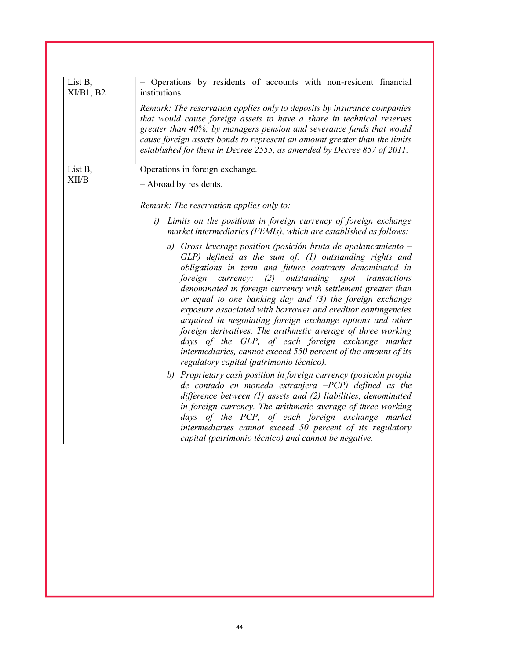| List B,<br>XI/B1, B2 | - Operations by residents of accounts with non-resident financial<br>institutions.                                                                                                                                                                                                                                                                                                                                                                                                                                                                                                                                                                                                                                                                         |
|----------------------|------------------------------------------------------------------------------------------------------------------------------------------------------------------------------------------------------------------------------------------------------------------------------------------------------------------------------------------------------------------------------------------------------------------------------------------------------------------------------------------------------------------------------------------------------------------------------------------------------------------------------------------------------------------------------------------------------------------------------------------------------------|
|                      | Remark: The reservation applies only to deposits by insurance companies<br>that would cause foreign assets to have a share in technical reserves<br>greater than 40%; by managers pension and severance funds that would<br>cause foreign assets bonds to represent an amount greater than the limits<br>established for them in Decree 2555, as amended by Decree 857 of 2011.                                                                                                                                                                                                                                                                                                                                                                            |
| List B,<br>XII/B     | Operations in foreign exchange.<br>- Abroad by residents.                                                                                                                                                                                                                                                                                                                                                                                                                                                                                                                                                                                                                                                                                                  |
|                      | Remark: The reservation applies only to:                                                                                                                                                                                                                                                                                                                                                                                                                                                                                                                                                                                                                                                                                                                   |
|                      | Limits on the positions in foreign currency of foreign exchange<br>i)<br>market intermediaries (FEMIs), which are established as follows:                                                                                                                                                                                                                                                                                                                                                                                                                                                                                                                                                                                                                  |
|                      | a) Gross leverage position (posición bruta de apalancamiento $-$<br>$GLP$ ) defined as the sum of: (1) outstanding rights and<br>obligations in term and future contracts denominated in<br>foreign<br>outstanding<br>currency;<br>(2)<br>spot<br>transactions<br>denominated in foreign currency with settlement greater than<br>or equal to one banking day and (3) the foreign exchange<br>exposure associated with borrower and creditor contingencies<br>acquired in negotiating foreign exchange options and other<br>foreign derivatives. The arithmetic average of three working<br>days of the GLP, of each foreign exchange market<br>intermediaries, cannot exceed 550 percent of the amount of its<br>regulatory capital (patrimonio técnico). |
|                      | b) Proprietary cash position in foreign currency (posición propia<br>de contado en moneda extranjera $-PCP$ ) defined as the<br>difference between $(1)$ assets and $(2)$ liabilities, denominated<br>in foreign currency. The arithmetic average of three working<br>days of the PCP, of each foreign exchange market<br>intermediaries cannot exceed 50 percent of its regulatory<br>capital (patrimonio técnico) and cannot be negative.                                                                                                                                                                                                                                                                                                                |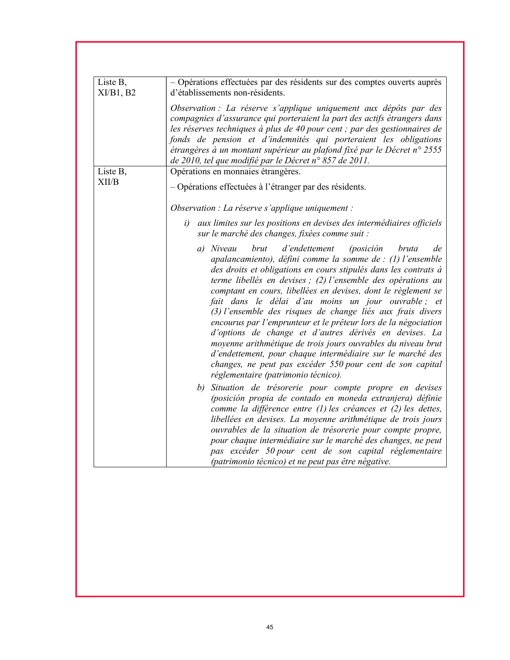| Liste B,<br>$XI/B1$ , B2 | - Opérations effectuées par des résidents sur des comptes ouverts auprès<br>d'établissements non-résidents.                                                                                                                                                                                                                                                                                                                                                                                                                                                                                                                                                                                                                                                                                                                 |
|--------------------------|-----------------------------------------------------------------------------------------------------------------------------------------------------------------------------------------------------------------------------------------------------------------------------------------------------------------------------------------------------------------------------------------------------------------------------------------------------------------------------------------------------------------------------------------------------------------------------------------------------------------------------------------------------------------------------------------------------------------------------------------------------------------------------------------------------------------------------|
|                          | Observation : La réserve s'applique uniquement aux dépôts par des<br>compagnies d'assurance qui porteraient la part des actifs étrangers dans<br>les réserves techniques à plus de 40 pour cent ; par des gestionnaires de<br>fonds de pension et d'indemnités qui porteraient les obligations<br>étrangères à un montant supérieur au plafond fixé par le Décret n° 2555<br>de 2010, tel que modifié par le Décret n° 857 de 2011.                                                                                                                                                                                                                                                                                                                                                                                         |
| Liste B,                 | Opérations en monnaies étrangères.                                                                                                                                                                                                                                                                                                                                                                                                                                                                                                                                                                                                                                                                                                                                                                                          |
| XII/B                    | - Opérations effectuées à l'étranger par des résidents.                                                                                                                                                                                                                                                                                                                                                                                                                                                                                                                                                                                                                                                                                                                                                                     |
|                          | Observation : La réserve s'applique uniquement :                                                                                                                                                                                                                                                                                                                                                                                                                                                                                                                                                                                                                                                                                                                                                                            |
|                          | aux limites sur les positions en devises des intermédiaires officiels<br>i)<br>sur le marché des changes, fixées comme suit :                                                                                                                                                                                                                                                                                                                                                                                                                                                                                                                                                                                                                                                                                               |
|                          | d'endettement<br>a) Niveau<br>brut<br><i>(posición</i><br>bruta<br>de<br>apalancamiento), défini comme la somme de : $(1)$ l'ensemble<br>des droits et obligations en cours stipulés dans les contrats à<br>terme libellés en devises ; (2) l'ensemble des opérations au<br>comptant en cours, libellées en devises, dont le règlement se<br>fait dans le délai d'au moins un jour ouvrable; et<br>(3) l'ensemble des risques de change liés aux frais divers<br>encourus par l'emprunteur et le prêteur lors de la négociation<br>d'options de change et d'autres dérivés en devises. La<br>moyenne arithmétique de trois jours ouvrables du niveau brut<br>d'endettement, pour chaque intermédiaire sur le marché des<br>changes, ne peut pas excéder 550 pour cent de son capital<br>réglementaire (patrimonio técnico). |
|                          | b) Situation de trésorerie pour compte propre en devises<br>(posición propia de contado en moneda extranjera) définie<br>comme la différence entre (1) les créances et (2) les dettes,<br>libellées en devises. La moyenne arithmétique de trois jours<br>ouvrables de la situation de trésorerie pour compte propre,<br>pour chaque intermédiaire sur le marché des changes, ne peut<br>pas excéder 50 pour cent de son capital réglementaire<br>(patrimonio técnico) et ne peut pas être négative.                                                                                                                                                                                                                                                                                                                        |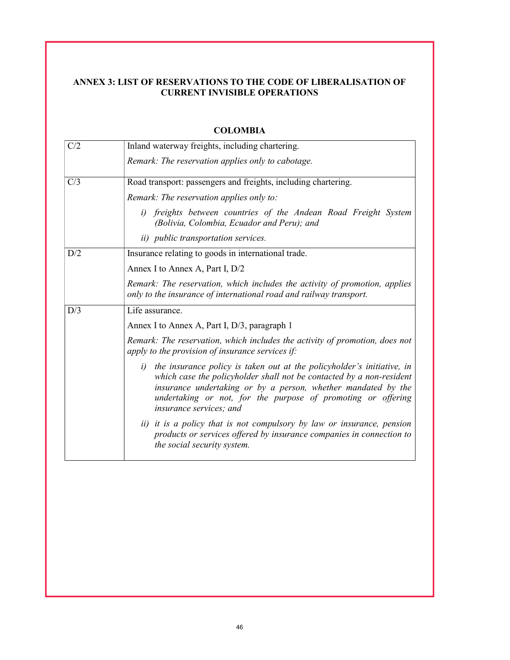# ANNEX 3: LIST OF RESERVATIONS TO THE CODE OF LIBERALISATION OF CURRENT INVISIBLE OPERATIONS

| C/2 | Inland waterway freights, including chartering.                                                                                                                                                                                                                                                               |
|-----|---------------------------------------------------------------------------------------------------------------------------------------------------------------------------------------------------------------------------------------------------------------------------------------------------------------|
|     | Remark: The reservation applies only to cabotage.                                                                                                                                                                                                                                                             |
| C/3 | Road transport: passengers and freights, including chartering.                                                                                                                                                                                                                                                |
|     | Remark: The reservation applies only to:                                                                                                                                                                                                                                                                      |
|     | i) freights between countries of the Andean Road Freight System<br>(Bolivia, Colombia, Ecuador and Peru); and                                                                                                                                                                                                 |
|     | <i>ii</i> ) <i>public transportation services</i> .                                                                                                                                                                                                                                                           |
| D/2 | Insurance relating to goods in international trade.                                                                                                                                                                                                                                                           |
|     | Annex I to Annex A, Part I, D/2                                                                                                                                                                                                                                                                               |
|     | Remark: The reservation, which includes the activity of promotion, applies<br>only to the insurance of international road and railway transport.                                                                                                                                                              |
| D/3 | Life assurance.                                                                                                                                                                                                                                                                                               |
|     | Annex I to Annex A, Part I, D/3, paragraph 1                                                                                                                                                                                                                                                                  |
|     | Remark: The reservation, which includes the activity of promotion, does not<br>apply to the provision of insurance services if:                                                                                                                                                                               |
|     | i) the insurance policy is taken out at the policyholder's initiative, in<br>which case the policyholder shall not be contacted by a non-resident<br>insurance undertaking or by a person, whether mandated by the<br>undertaking or not, for the purpose of promoting or offering<br>insurance services; and |
|     | ii) it is a policy that is not compulsory by law or insurance, pension<br>products or services offered by insurance companies in connection to<br>the social security system.                                                                                                                                 |

### COLOMBIA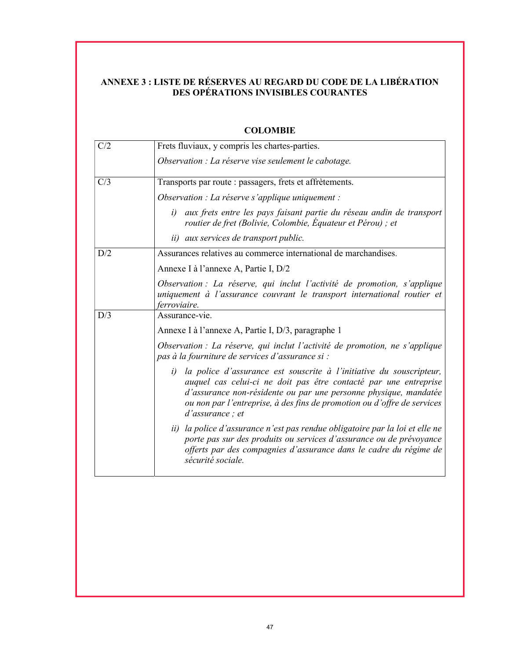## ANNEXE 3 : LISTE DE RÉSERVES AU REGARD DU CODE DE LA LIBÉRATION DES OPÉRATIONS INVISIBLES COURANTES

| C/2 | Frets fluviaux, y compris les chartes-parties.                                                                                                                                                                                                                                                                   |
|-----|------------------------------------------------------------------------------------------------------------------------------------------------------------------------------------------------------------------------------------------------------------------------------------------------------------------|
|     | Observation : La réserve vise seulement le cabotage.                                                                                                                                                                                                                                                             |
| C/3 | Transports par route : passagers, frets et affrètements.                                                                                                                                                                                                                                                         |
|     | Observation : La réserve s'applique uniquement :                                                                                                                                                                                                                                                                 |
|     | aux frets entre les pays faisant partie du réseau andin de transport<br>i)<br>routier de fret (Bolivie, Colombie, Équateur et Pérou); et                                                                                                                                                                         |
|     | <i>ii</i> ) aux services de transport public.                                                                                                                                                                                                                                                                    |
| D/2 | Assurances relatives au commerce international de marchandises.                                                                                                                                                                                                                                                  |
|     | Annexe I à l'annexe A, Partie I, D/2                                                                                                                                                                                                                                                                             |
|     | Observation : La réserve, qui inclut l'activité de promotion, s'applique<br>uniquement à l'assurance couvrant le transport international routier et<br>ferroviaire.                                                                                                                                              |
| D/3 | Assurance-vie.                                                                                                                                                                                                                                                                                                   |
|     | Annexe I à l'annexe A, Partie I, D/3, paragraphe 1                                                                                                                                                                                                                                                               |
|     | Observation : La réserve, qui inclut l'activité de promotion, ne s'applique<br>pas à la fourniture de services d'assurance si :                                                                                                                                                                                  |
|     | la police d'assurance est souscrite à l'initiative du souscripteur,<br>i)<br>auquel cas celui-ci ne doit pas être contacté par une entreprise<br>d'assurance non-résidente ou par une personne physique, mandatée<br>ou non par l'entreprise, à des fins de promotion ou d'offre de services<br>d'assurance ; et |
|     | ii) la police d'assurance n'est pas rendue obligatoire par la loi et elle ne<br>porte pas sur des produits ou services d'assurance ou de prévoyance<br>offerts par des compagnies d'assurance dans le cadre du régime de<br>sécurité sociale.                                                                    |

# **COLOMBIE**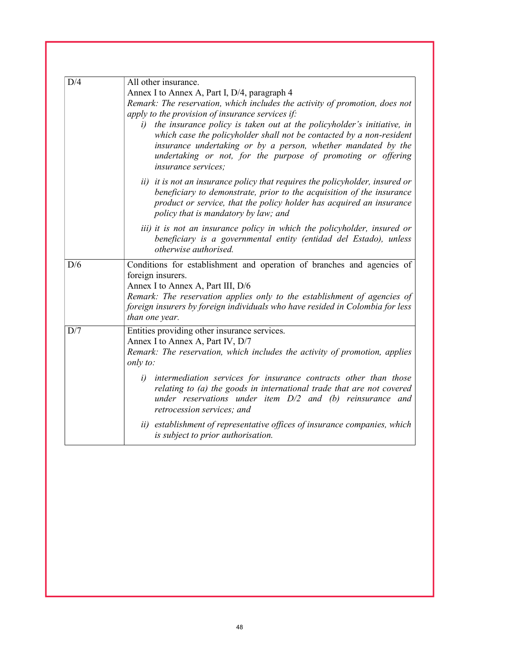| D/4 | All other insurance.                                                                                                                                                                                                                                                                                                |
|-----|---------------------------------------------------------------------------------------------------------------------------------------------------------------------------------------------------------------------------------------------------------------------------------------------------------------------|
|     | Annex I to Annex A, Part I, D/4, paragraph 4                                                                                                                                                                                                                                                                        |
|     | Remark: The reservation, which includes the activity of promotion, does not                                                                                                                                                                                                                                         |
|     | apply to the provision of insurance services if:                                                                                                                                                                                                                                                                    |
|     | the insurance policy is taken out at the policyholder's initiative, in<br>i)<br>which case the policyholder shall not be contacted by a non-resident<br>insurance undertaking or by a person, whether mandated by the<br>undertaking or not, for the purpose of promoting or offering<br><i>insurance services;</i> |
|     | ii) it is not an insurance policy that requires the policyholder, insured or<br>beneficiary to demonstrate, prior to the acquisition of the insurance<br>product or service, that the policy holder has acquired an insurance<br>policy that is mandatory by law; and                                               |
|     | iii) it is not an insurance policy in which the policyholder, insured or<br>beneficiary is a governmental entity (entidad del Estado), unless<br>otherwise authorised.                                                                                                                                              |
| D/6 | Conditions for establishment and operation of branches and agencies of                                                                                                                                                                                                                                              |
|     | foreign insurers.                                                                                                                                                                                                                                                                                                   |
|     | Annex I to Annex A, Part III, D/6                                                                                                                                                                                                                                                                                   |
|     | Remark: The reservation applies only to the establishment of agencies of<br>foreign insurers by foreign individuals who have resided in Colombia for less<br>than one year.                                                                                                                                         |
| D/7 | Entities providing other insurance services.                                                                                                                                                                                                                                                                        |
|     | Annex I to Annex A, Part IV, D/7                                                                                                                                                                                                                                                                                    |
|     | Remark: The reservation, which includes the activity of promotion, applies<br>only to:                                                                                                                                                                                                                              |
|     | intermediation services for insurance contracts other than those<br>i)<br>relating to (a) the goods in international trade that are not covered<br>under reservations under item $D/2$ and (b) reinsurance and<br><i>retrocession services; and</i>                                                                 |
|     | ii) establishment of representative offices of insurance companies, which<br>is subject to prior authorisation.                                                                                                                                                                                                     |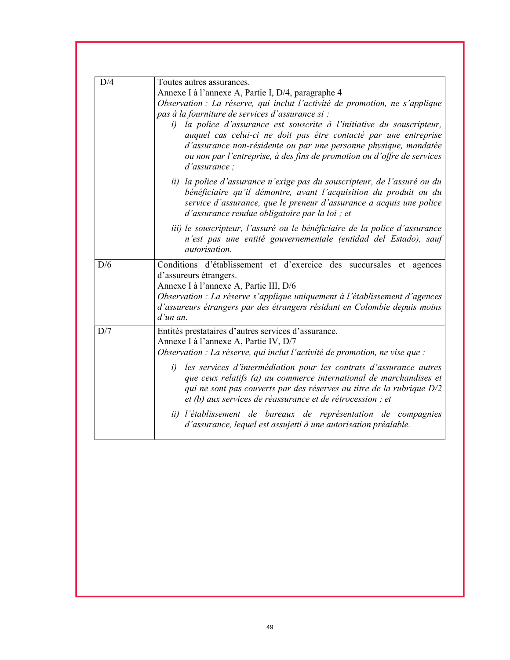| D/4 | Toutes autres assurances.                                                                                                                |
|-----|------------------------------------------------------------------------------------------------------------------------------------------|
|     | Annexe I à l'annexe A, Partie I, D/4, paragraphe 4                                                                                       |
|     | Observation : La réserve, qui inclut l'activité de promotion, ne s'applique                                                              |
|     | pas à la fourniture de services d'assurance si :                                                                                         |
|     | la police d'assurance est souscrite à l'initiative du souscripteur,<br>i)                                                                |
|     | auquel cas celui-ci ne doit pas être contacté par une entreprise                                                                         |
|     | d'assurance non-résidente ou par une personne physique, mandatée                                                                         |
|     | ou non par l'entreprise, à des fins de promotion ou d'offre de services                                                                  |
|     | $d'$ assurance;                                                                                                                          |
|     | ii) la police d'assurance n'exige pas du souscripteur, de l'assuré ou du                                                                 |
|     | bénéficiaire qu'il démontre, avant l'acquisition du produit ou du                                                                        |
|     | service d'assurance, que le preneur d'assurance a acquis une police                                                                      |
|     | d'assurance rendue obligatoire par la loi ; et                                                                                           |
|     | iii) le souscripteur, l'assuré ou le bénéficiaire de la police d'assurance                                                               |
|     | n'est pas une entité gouvernementale (entidad del Estado), sauf                                                                          |
|     | autorisation.                                                                                                                            |
| D/6 | Conditions d'établissement et d'exercice des succursales et agences                                                                      |
|     | d'assureurs étrangers.                                                                                                                   |
|     | Annexe I à l'annexe A, Partie III, D/6                                                                                                   |
|     | Observation : La réserve s'applique uniquement à l'établissement d'agences                                                               |
|     | d'assureurs étrangers par des étrangers résidant en Colombie depuis moins                                                                |
|     | $d'$ un an.                                                                                                                              |
| D/7 | Entités prestataires d'autres services d'assurance.                                                                                      |
|     | Annexe I à l'annexe A, Partie IV, D/7<br>Observation : La réserve, qui inclut l'activité de promotion, ne vise que :                     |
|     | i)                                                                                                                                       |
|     | les services d'intermédiation pour les contrats d'assurance autres<br>que ceux relatifs (a) au commerce international de marchandises et |
|     | qui ne sont pas couverts par des réserves au titre de la rubrique D/2                                                                    |
|     |                                                                                                                                          |
|     |                                                                                                                                          |
|     | et (b) aux services de réassurance et de rétrocession ; et                                                                               |
|     | ii) l'établissement de bureaux de représentation de compagnies                                                                           |
|     | d'assurance, lequel est assujetti à une autorisation préalable.                                                                          |
|     |                                                                                                                                          |
|     |                                                                                                                                          |
|     |                                                                                                                                          |
|     |                                                                                                                                          |
|     |                                                                                                                                          |
|     |                                                                                                                                          |
|     |                                                                                                                                          |
|     |                                                                                                                                          |
|     |                                                                                                                                          |
|     |                                                                                                                                          |
|     |                                                                                                                                          |
|     |                                                                                                                                          |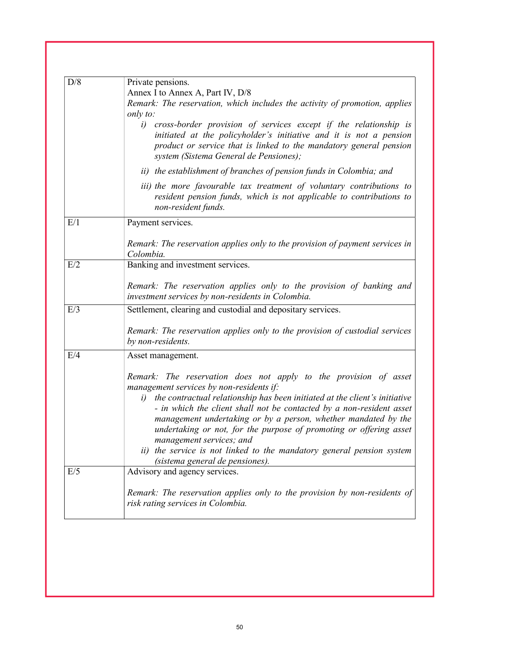| D/8 | Private pensions.                                                                                                                                                                                                                                                                                                         |
|-----|---------------------------------------------------------------------------------------------------------------------------------------------------------------------------------------------------------------------------------------------------------------------------------------------------------------------------|
|     | Annex I to Annex A, Part IV, D/8                                                                                                                                                                                                                                                                                          |
|     | Remark: The reservation, which includes the activity of promotion, applies<br>only to:                                                                                                                                                                                                                                    |
|     | i) cross-border provision of services except if the relationship is<br>initiated at the policyholder's initiative and it is not a pension<br>product or service that is linked to the mandatory general pension<br>system (Sistema General de Pensiones);                                                                 |
|     | ii) the establishment of branches of pension funds in Colombia; and                                                                                                                                                                                                                                                       |
|     | iii) the more favourable tax treatment of voluntary contributions to<br>resident pension funds, which is not applicable to contributions to<br>non-resident funds.                                                                                                                                                        |
| E/1 | Payment services.                                                                                                                                                                                                                                                                                                         |
|     | Remark: The reservation applies only to the provision of payment services in<br>Colombia.                                                                                                                                                                                                                                 |
| E/2 | Banking and investment services.                                                                                                                                                                                                                                                                                          |
|     | Remark: The reservation applies only to the provision of banking and<br>investment services by non-residents in Colombia.                                                                                                                                                                                                 |
| E/3 | Settlement, clearing and custodial and depositary services.                                                                                                                                                                                                                                                               |
|     | Remark: The reservation applies only to the provision of custodial services<br>by non-residents.                                                                                                                                                                                                                          |
| E/4 | Asset management.                                                                                                                                                                                                                                                                                                         |
|     | Remark: The reservation does not apply to the provision of asset<br>management services by non-residents if:                                                                                                                                                                                                              |
|     | i) the contractual relationship has been initiated at the client's initiative<br>- in which the client shall not be contacted by a non-resident asset<br>management undertaking or by a person, whether mandated by the<br>undertaking or not, for the purpose of promoting or offering asset<br>management services; and |
|     | ii) the service is not linked to the mandatory general pension system<br>(sistema general de pensiones).                                                                                                                                                                                                                  |
| E/5 | Advisory and agency services.                                                                                                                                                                                                                                                                                             |
|     | Remark: The reservation applies only to the provision by non-residents of<br>risk rating services in Colombia.                                                                                                                                                                                                            |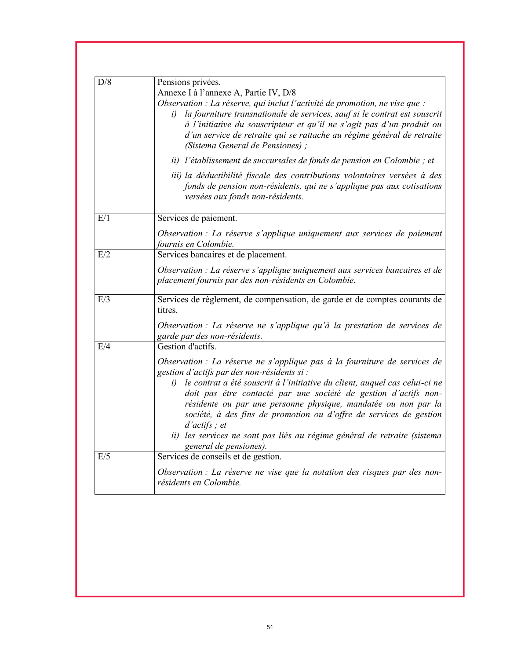| D/8 | Pensions privées.                                                                                                                                                                                                                                                                                                                                                                                                    |
|-----|----------------------------------------------------------------------------------------------------------------------------------------------------------------------------------------------------------------------------------------------------------------------------------------------------------------------------------------------------------------------------------------------------------------------|
|     | Annexe I à l'annexe A, Partie IV, D/8                                                                                                                                                                                                                                                                                                                                                                                |
|     | Observation : La réserve, qui inclut l'activité de promotion, ne vise que :<br>la fourniture transnationale de services, sauf si le contrat est souscrit<br>i)<br>à l'initiative du souscripteur et qu'il ne s'agit pas d'un produit ou<br>d'un service de retraite qui se rattache au régime général de retraite<br>(Sistema General de Pensiones);                                                                 |
|     | ii) l'établissement de succursales de fonds de pension en Colombie ; et                                                                                                                                                                                                                                                                                                                                              |
|     | iii) la déductibilité fiscale des contributions volontaires versées à des<br>fonds de pension non-résidents, qui ne s'applique pas aux cotisations<br>versées aux fonds non-résidents.                                                                                                                                                                                                                               |
| E/1 | Services de paiement.                                                                                                                                                                                                                                                                                                                                                                                                |
|     | Observation : La réserve s'applique uniquement aux services de paiement<br>fournis en Colombie.                                                                                                                                                                                                                                                                                                                      |
| E/2 | Services bancaires et de placement.                                                                                                                                                                                                                                                                                                                                                                                  |
|     | Observation : La réserve s'applique uniquement aux services bancaires et de<br>placement fournis par des non-résidents en Colombie.                                                                                                                                                                                                                                                                                  |
| E/3 | Services de règlement, de compensation, de garde et de comptes courants de<br>titres.                                                                                                                                                                                                                                                                                                                                |
|     | Observation : La réserve ne s'applique qu'à la prestation de services de<br>garde par des non-résidents.                                                                                                                                                                                                                                                                                                             |
| E/4 | Gestion d'actifs.                                                                                                                                                                                                                                                                                                                                                                                                    |
|     | Observation : La réserve ne s'applique pas à la fourniture de services de<br>gestion d'actifs par des non-résidents si :                                                                                                                                                                                                                                                                                             |
|     | le contrat a été souscrit à l'initiative du client, auquel cas celui-ci ne<br>i)<br>doit pas être contacté par une société de gestion d'actifs non-<br>résidente ou par une personne physique, mandatée ou non par la<br>société, à des fins de promotion ou d'offre de services de gestion<br>$d'actifs$ ; et<br>ii) les services ne sont pas liés au régime général de retraite (sistema<br>general de pensiones). |
| E/5 | Services de conseils et de gestion.                                                                                                                                                                                                                                                                                                                                                                                  |
|     | Observation : La réserve ne vise que la notation des risques par des non-<br>résidents en Colombie.                                                                                                                                                                                                                                                                                                                  |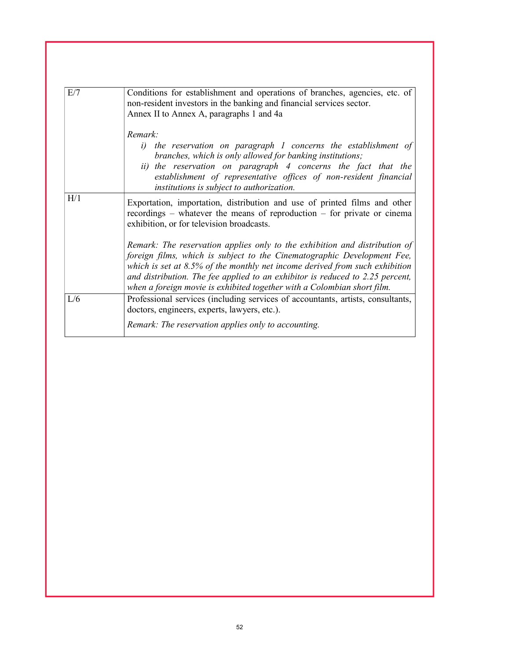| E/7 | Conditions for establishment and operations of branches, agencies, etc. of<br>non-resident investors in the banking and financial services sector.<br>Annex II to Annex A, paragraphs 1 and 4a                                                                                                                                                                                                      |
|-----|-----------------------------------------------------------------------------------------------------------------------------------------------------------------------------------------------------------------------------------------------------------------------------------------------------------------------------------------------------------------------------------------------------|
|     | Remark:<br>i) the reservation on paragraph I concerns the establishment of<br>branches, which is only allowed for banking institutions;<br>ii) the reservation on paragraph 4 concerns the fact that the<br>establishment of representative offices of non-resident financial<br>institutions is subject to authorization.                                                                          |
| H/1 | Exportation, importation, distribution and use of printed films and other<br>recordings – whatever the means of reproduction – for private or cinema<br>exhibition, or for television broadcasts.                                                                                                                                                                                                   |
|     | Remark: The reservation applies only to the exhibition and distribution of<br>foreign films, which is subject to the Cinematographic Development Fee,<br>which is set at $8.5\%$ of the monthly net income derived from such exhibition<br>and distribution. The fee applied to an exhibitor is reduced to 2.25 percent,<br>when a foreign movie is exhibited together with a Colombian short film. |
| L/6 | Professional services (including services of accountants, artists, consultants,<br>doctors, engineers, experts, lawyers, etc.).<br>Remark: The reservation applies only to accounting.                                                                                                                                                                                                              |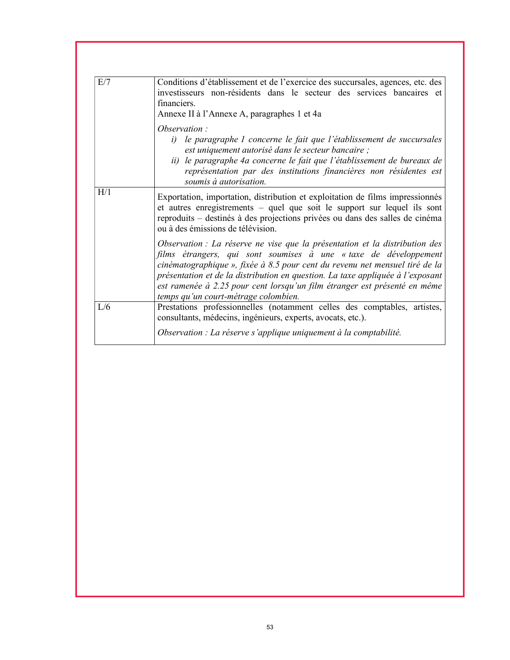| E/7 | Conditions d'établissement et de l'exercice des succursales, agences, etc. des<br>investisseurs non-résidents dans le secteur des services bancaires et<br>financiers.<br>Annexe II à l'Annexe A, paragraphes 1 et 4a                                                                                                                                                                                                                 |
|-----|---------------------------------------------------------------------------------------------------------------------------------------------------------------------------------------------------------------------------------------------------------------------------------------------------------------------------------------------------------------------------------------------------------------------------------------|
|     | Observation:<br>le paragraphe I concerne le fait que l'établissement de succursales<br>i)<br>est uniquement autorisé dans le secteur bancaire ;<br>ii) le paragraphe 4a concerne le fait que l'établissement de bureaux de<br>représentation par des institutions financières non résidentes est<br>soumis à autorisation.                                                                                                            |
| H/1 | Exportation, importation, distribution et exploitation de films impressionnés<br>et autres enregistrements – quel que soit le support sur lequel ils sont<br>reproduits – destinés à des projections privées ou dans des salles de cinéma<br>ou à des émissions de télévision.                                                                                                                                                        |
|     | Observation : La réserve ne vise que la présentation et la distribution des<br>films étrangers, qui sont soumises à une « taxe de développement<br>cinématographique », fixée à 8.5 pour cent du revenu net mensuel tiré de la<br>présentation et de la distribution en question. La taxe appliquée à l'exposant<br>est ramenée à 2.25 pour cent lorsqu'un film étranger est présenté en même<br>temps qu'un court-métrage colombien. |
| L/6 | Prestations professionnelles (notamment celles des comptables, artistes,<br>consultants, médecins, ingénieurs, experts, avocats, etc.).                                                                                                                                                                                                                                                                                               |
|     | Observation : La réserve s'applique uniquement à la comptabilité.                                                                                                                                                                                                                                                                                                                                                                     |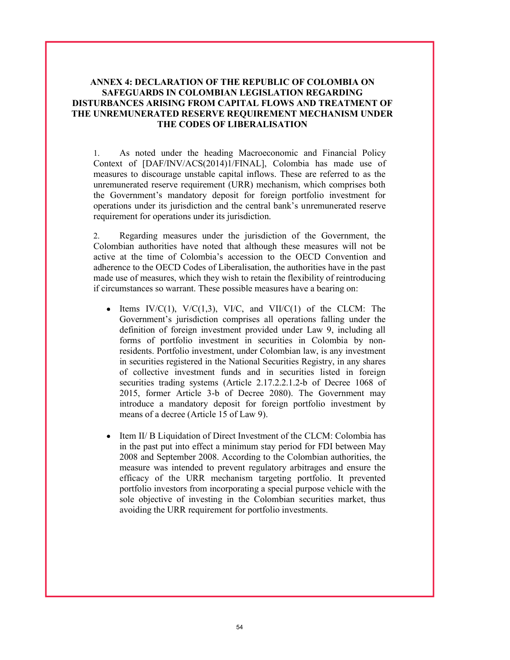## ANNEX 4: DECLARATION OF THE REPUBLIC OF COLOMBIA ON SAFEGUARDS IN COLOMBIAN LEGISLATION REGARDING DISTURBANCES ARISING FROM CAPITAL FLOWS AND TREATMENT OF THE UNREMUNERATED RESERVE REQUIREMENT MECHANISM UNDER THE CODES OF LIBERALISATION

1. As noted under the heading Macroeconomic and Financial Policy Context of [DAF/INV/ACS(2014)1/FINAL], Colombia has made use of measures to discourage unstable capital inflows. These are referred to as the unremunerated reserve requirement (URR) mechanism, which comprises both the Government's mandatory deposit for foreign portfolio investment for operations under its jurisdiction and the central bank's unremunerated reserve requirement for operations under its jurisdiction.

2. Regarding measures under the jurisdiction of the Government, the Colombian authorities have noted that although these measures will not be active at the time of Colombia's accession to the OECD Convention and adherence to the OECD Codes of Liberalisation, the authorities have in the past made use of measures, which they wish to retain the flexibility of reintroducing if circumstances so warrant. These possible measures have a bearing on:

- Items  $IV/C(1)$ ,  $V/C(1,3)$ ,  $VI/C$ , and  $VII/C(1)$  of the CLCM: The Government's jurisdiction comprises all operations falling under the definition of foreign investment provided under Law 9, including all forms of portfolio investment in securities in Colombia by nonresidents. Portfolio investment, under Colombian law, is any investment in securities registered in the National Securities Registry, in any shares of collective investment funds and in securities listed in foreign securities trading systems (Article 2.17.2.2.1.2-b of Decree 1068 of 2015, former Article 3-b of Decree 2080). The Government may introduce a mandatory deposit for foreign portfolio investment by means of a decree (Article 15 of Law 9).
- Item II/ B Liquidation of Direct Investment of the CLCM: Colombia has  $\bullet$ in the past put into effect a minimum stay period for FDI between May 2008 and September 2008. According to the Colombian authorities, the measure was intended to prevent regulatory arbitrages and ensure the efficacy of the URR mechanism targeting portfolio. It prevented portfolio investors from incorporating a special purpose vehicle with the sole objective of investing in the Colombian securities market, thus avoiding the URR requirement for portfolio investments.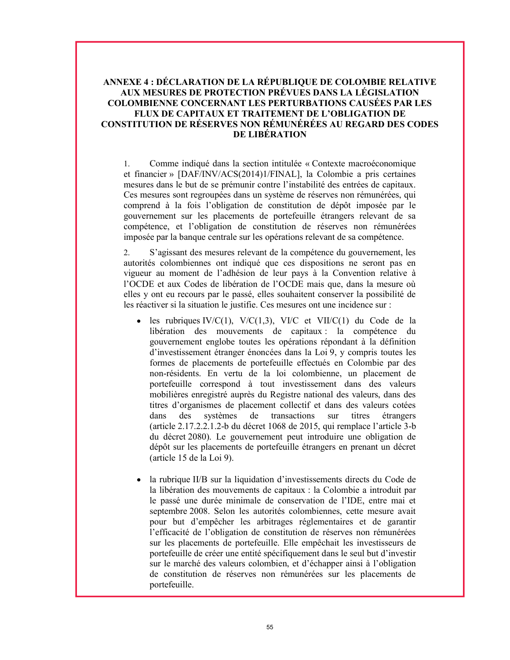## ANNEXE 4 : DÉCLARATION DE LA RÉPUBLIQUE DE COLOMBIE RELATIVE AUX MESURES DE PROTECTION PRÉVUES DANS LA LÉGISLATION COLOMBIENNE CONCERNANT LES PERTURBATIONS CAUSÉES PAR LES FLUX DE CAPITAUX ET TRAITEMENT DE L'OBLIGATION DE CONSTITUTION DE RÉSERVES NON RÉMUNÉRÉES AU REGARD DES CODES DE LIBÉRATION

1. Comme indiqué dans la section intitulée « Contexte macroéconomique et financier » [DAF/INV/ACS(2014)1/FINAL], la Colombie a pris certaines mesures dans le but de se prémunir contre l'instabilité des entrées de capitaux. Ces mesures sont regroupées dans un système de réserves non rémunérées, qui comprend à la fois l'obligation de constitution de dépôt imposée par le gouvernement sur les placements de portefeuille étrangers relevant de sa compétence, et l'obligation de constitution de réserves non rémunérées imposée par la banque centrale sur les opérations relevant de sa compétence.

2. S'agissant des mesures relevant de la compétence du gouvernement, les autorités colombiennes ont indiqué que ces dispositions ne seront pas en vigueur au moment de l'adhésion de leur pays à la Convention relative à l'OCDE et aux Codes de libération de l'OCDE mais que, dans la mesure où elles y ont eu recours par le passé, elles souhaitent conserver la possibilité de les réactiver si la situation le justifie. Ces mesures ont une incidence sur :

- $\bullet$  les rubriques IV/C(1), V/C(1,3), VI/C et VII/C(1) du Code de la libération des mouvements de capitaux : la compétence du gouvernement englobe toutes les opérations répondant à la définition d'investissement étranger énoncées dans la Loi 9, y compris toutes les formes de placements de portefeuille effectués en Colombie par des non-résidents. En vertu de la loi colombienne, un placement de portefeuille correspond à tout investissement dans des valeurs mobilières enregistré auprès du Registre national des valeurs, dans des titres d'organismes de placement collectif et dans des valeurs cotées dans des systèmes de transactions sur titres étrangers (article 2.17.2.2.1.2-b du décret 1068 de 2015, qui remplace l'article 3-b du décret 2080). Le gouvernement peut introduire une obligation de dépôt sur les placements de portefeuille étrangers en prenant un décret (article 15 de la Loi 9).
- la rubrique II/B sur la liquidation d'investissements directs du Code de la libération des mouvements de capitaux : la Colombie a introduit par le passé une durée minimale de conservation de l'IDE, entre mai et septembre 2008. Selon les autorités colombiennes, cette mesure avait pour but d'empêcher les arbitrages réglementaires et de garantir l'efficacité de l'obligation de constitution de réserves non rémunérées sur les placements de portefeuille. Elle empêchait les investisseurs de portefeuille de créer une entité spécifiquement dans le seul but d'investir sur le marché des valeurs colombien, et d'échapper ainsi à l'obligation de constitution de réserves non rémunérées sur les placements de portefeuille.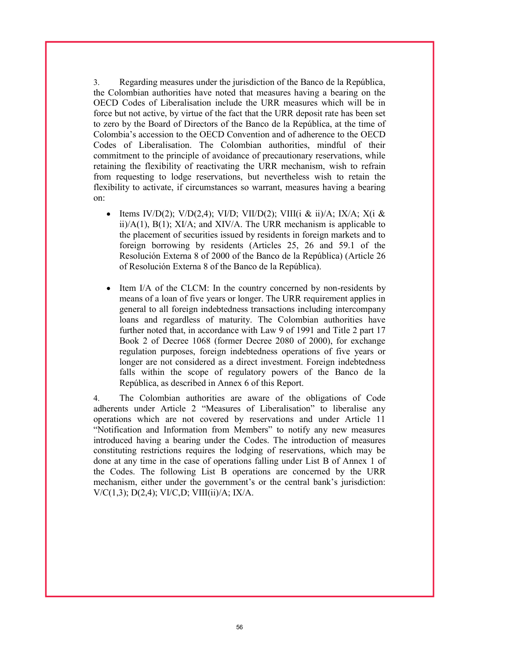3. Regarding measures under the jurisdiction of the Banco de la República, the Colombian authorities have noted that measures having a bearing on the OECD Codes of Liberalisation include the URR measures which will be in force but not active, by virtue of the fact that the URR deposit rate has been set to zero by the Board of Directors of the Banco de la República, at the time of Colombia's accession to the OECD Convention and of adherence to the OECD Codes of Liberalisation. The Colombian authorities, mindful of their commitment to the principle of avoidance of precautionary reservations, while retaining the flexibility of reactivating the URR mechanism, wish to refrain from requesting to lodge reservations, but nevertheless wish to retain the flexibility to activate, if circumstances so warrant, measures having a bearing on:

- Items IV/D(2); V/D(2,4); VI/D; VII/D(2); VIII(i & ii)/A; IX/A; X(i & ii)/ $A(1)$ ,  $B(1)$ ;  $XI/A$ ; and  $XIV/A$ . The URR mechanism is applicable to the placement of securities issued by residents in foreign markets and to foreign borrowing by residents (Articles 25, 26 and 59.1 of the Resolución Externa 8 of 2000 of the Banco de la República) (Article 26 of Resolución Externa 8 of the Banco de la República).
- Item I/A of the CLCM: In the country concerned by non-residents by means of a loan of five years or longer. The URR requirement applies in general to all foreign indebtedness transactions including intercompany loans and regardless of maturity. The Colombian authorities have further noted that, in accordance with Law 9 of 1991 and Title 2 part 17 Book 2 of Decree 1068 (former Decree 2080 of 2000), for exchange regulation purposes, foreign indebtedness operations of five years or longer are not considered as a direct investment. Foreign indebtedness falls within the scope of regulatory powers of the Banco de la República, as described in Annex 6 of this Report.

4. The Colombian authorities are aware of the obligations of Code adherents under Article 2 "Measures of Liberalisation" to liberalise any operations which are not covered by reservations and under Article 11 "Notification and Information from Members" to notify any new measures introduced having a bearing under the Codes. The introduction of measures constituting restrictions requires the lodging of reservations, which may be done at any time in the case of operations falling under List B of Annex 1 of the Codes. The following List B operations are concerned by the URR mechanism, either under the government's or the central bank's jurisdiction:  $V/C(1,3)$ ;  $D(2,4)$ ;  $VI/C,D$ ;  $VIII(ii)/A$ ; IX/A.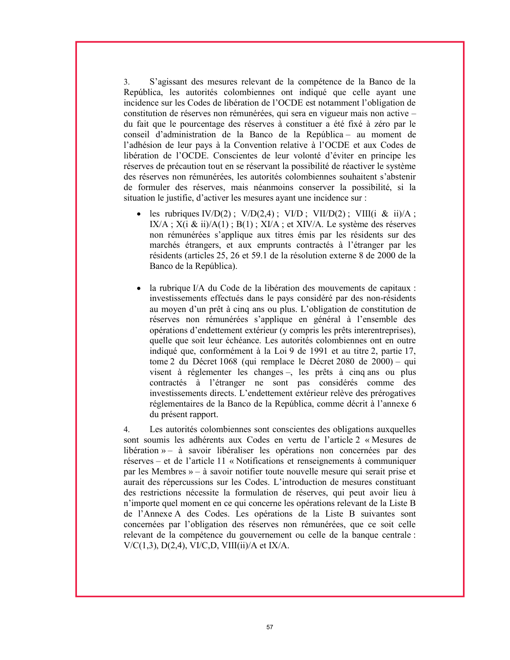3. S'agissant des mesures relevant de la compétence de la Banco de la República, les autorités colombiennes ont indiqué que celle ayant une incidence sur les Codes de libération de l'OCDE est notamment l'obligation de constitution de réserves non rémunérées, qui sera en vigueur mais non active – du fait que le pourcentage des réserves à constituer a été fixé à zéro par le conseil d'administration de la Banco de la República – au moment de l'adhésion de leur pays à la Convention relative à l'OCDE et aux Codes de libération de l'OCDE. Conscientes de leur volonté d'éviter en principe les réserves de précaution tout en se réservant la possibilité de réactiver le système des réserves non rémunérées, les autorités colombiennes souhaitent s'abstenir de formuler des réserves, mais néanmoins conserver la possibilité, si la situation le justifie, d'activer les mesures ayant une incidence sur :

- les rubriques IV/D(2) ; V/D(2,4) ; VI/D ; VII/D(2) ; VIII(i & ii)/A ; IX/A ;  $X(i \& i i)/A(1)$ ;  $B(1)$ ;  $X I/A$ ; et  $X IV/A$ . Le système des réserves non rémunérées s'applique aux titres émis par les résidents sur des marchés étrangers, et aux emprunts contractés à l'étranger par les résidents (articles 25, 26 et 59.1 de la résolution externe 8 de 2000 de la Banco de la República).
- la rubrique I/A du Code de la libération des mouvements de capitaux : investissements effectués dans le pays considéré par des non-résidents au moyen d'un prêt à cinq ans ou plus. L'obligation de constitution de réserves non rémunérées s'applique en général à l'ensemble des opérations d'endettement extérieur (y compris les prêts interentreprises), quelle que soit leur échéance. Les autorités colombiennes ont en outre indiqué que, conformément à la Loi 9 de 1991 et au titre 2, partie 17, tome 2 du Décret 1068 (qui remplace le Décret 2080 de 2000) – qui visent à réglementer les changes –, les prêts à cinq ans ou plus contractés à l'étranger ne sont pas considérés comme des investissements directs. L'endettement extérieur relève des prérogatives réglementaires de la Banco de la República, comme décrit à l'annexe 6 du présent rapport.

4. Les autorités colombiennes sont conscientes des obligations auxquelles sont soumis les adhérents aux Codes en vertu de l'article 2 « Mesures de libération » – à savoir libéraliser les opérations non concernées par des réserves – et de l'article 11 « Notifications et renseignements à communiquer par les Membres » – à savoir notifier toute nouvelle mesure qui serait prise et aurait des répercussions sur les Codes. L'introduction de mesures constituant des restrictions nécessite la formulation de réserves, qui peut avoir lieu à n'importe quel moment en ce qui concerne les opérations relevant de la Liste B de l'Annexe A des Codes. Les opérations de la Liste B suivantes sont concernées par l'obligation des réserves non rémunérées, que ce soit celle relevant de la compétence du gouvernement ou celle de la banque centrale : V/C(1,3), D(2,4), VI/C,D, VIII(ii)/A et IX/A.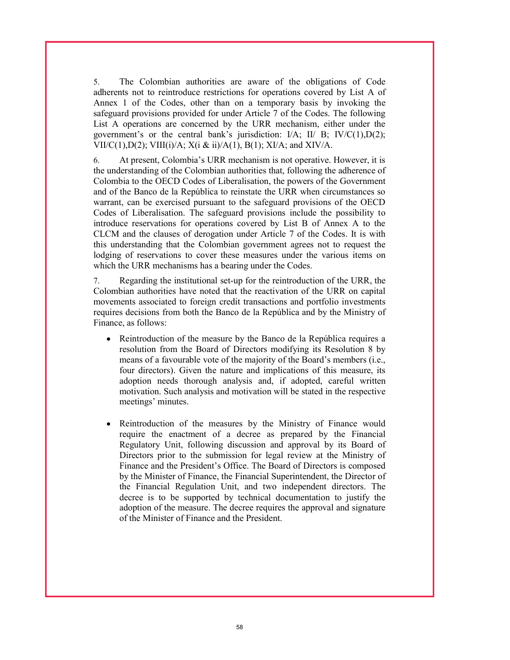5. The Colombian authorities are aware of the obligations of Code adherents not to reintroduce restrictions for operations covered by List A of Annex 1 of the Codes, other than on a temporary basis by invoking the safeguard provisions provided for under Article 7 of the Codes. The following List A operations are concerned by the URR mechanism, either under the government's or the central bank's jurisdiction:  $I/A$ ;  $II/ B$ ;  $IV/C(1),D(2)$ ; VII/C(1),D(2); VIII(i)/A;  $X(i \& i)/A(1)$ , B(1);  $XI/A$ ; and  $XIV/A$ .

6. At present, Colombia's URR mechanism is not operative. However, it is the understanding of the Colombian authorities that, following the adherence of Colombia to the OECD Codes of Liberalisation, the powers of the Government and of the Banco de la República to reinstate the URR when circumstances so warrant, can be exercised pursuant to the safeguard provisions of the OECD Codes of Liberalisation. The safeguard provisions include the possibility to introduce reservations for operations covered by List B of Annex A to the CLCM and the clauses of derogation under Article 7 of the Codes. It is with this understanding that the Colombian government agrees not to request the lodging of reservations to cover these measures under the various items on which the URR mechanisms has a bearing under the Codes.

7. Regarding the institutional set-up for the reintroduction of the URR, the Colombian authorities have noted that the reactivation of the URR on capital movements associated to foreign credit transactions and portfolio investments requires decisions from both the Banco de la República and by the Ministry of Finance, as follows:

- Reintroduction of the measure by the Banco de la República requires a resolution from the Board of Directors modifying its Resolution 8 by means of a favourable vote of the majority of the Board's members (i.e., four directors). Given the nature and implications of this measure, its adoption needs thorough analysis and, if adopted, careful written motivation. Such analysis and motivation will be stated in the respective meetings' minutes.
- $\bullet$ Reintroduction of the measures by the Ministry of Finance would require the enactment of a decree as prepared by the Financial Regulatory Unit, following discussion and approval by its Board of Directors prior to the submission for legal review at the Ministry of Finance and the President's Office. The Board of Directors is composed by the Minister of Finance, the Financial Superintendent, the Director of the Financial Regulation Unit, and two independent directors. The decree is to be supported by technical documentation to justify the adoption of the measure. The decree requires the approval and signature of the Minister of Finance and the President.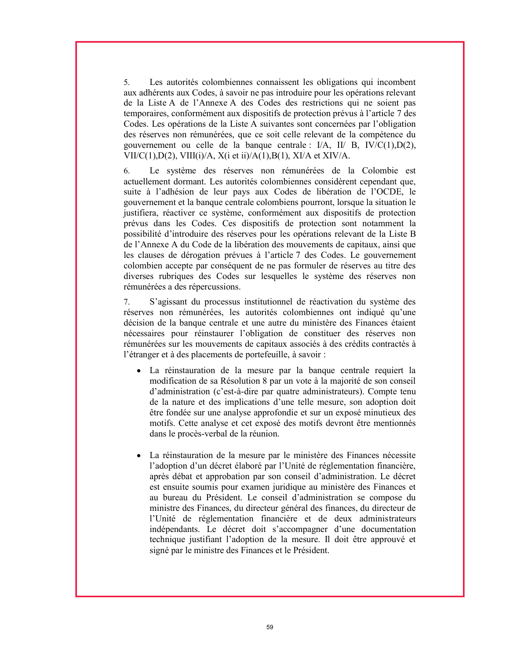5. Les autorités colombiennes connaissent les obligations qui incombent aux adhérents aux Codes, à savoir ne pas introduire pour les opérations relevant de la Liste A de l'Annexe A des Codes des restrictions qui ne soient pas temporaires, conformément aux dispositifs de protection prévus à l'article 7 des Codes. Les opérations de la Liste A suivantes sont concernées par l'obligation des réserves non rémunérées, que ce soit celle relevant de la compétence du gouvernement ou celle de la banque centrale : I/A, II/ B, IV/C(1),D(2), VII/C(1),D(2), VIII(i)/A, X(i et ii)/A(1),B(1), XI/A et XIV/A.

6. Le système des réserves non rémunérées de la Colombie est actuellement dormant. Les autorités colombiennes considèrent cependant que, suite à l'adhésion de leur pays aux Codes de libération de l'OCDE, le gouvernement et la banque centrale colombiens pourront, lorsque la situation le justifiera, réactiver ce système, conformément aux dispositifs de protection prévus dans les Codes. Ces dispositifs de protection sont notamment la possibilité d'introduire des réserves pour les opérations relevant de la Liste B de l'Annexe A du Code de la libération des mouvements de capitaux, ainsi que les clauses de dérogation prévues à l'article 7 des Codes. Le gouvernement colombien accepte par conséquent de ne pas formuler de réserves au titre des diverses rubriques des Codes sur lesquelles le système des réserves non rémunérées a des répercussions.

7. S'agissant du processus institutionnel de réactivation du système des réserves non rémunérées, les autorités colombiennes ont indiqué qu'une décision de la banque centrale et une autre du ministère des Finances étaient nécessaires pour réinstaurer l'obligation de constituer des réserves non rémunérées sur les mouvements de capitaux associés à des crédits contractés à l'étranger et à des placements de portefeuille, à savoir :

- La réinstauration de la mesure par la banque centrale requiert la modification de sa Résolution 8 par un vote à la majorité de son conseil d'administration (c'est-à-dire par quatre administrateurs). Compte tenu de la nature et des implications d'une telle mesure, son adoption doit être fondée sur une analyse approfondie et sur un exposé minutieux des motifs. Cette analyse et cet exposé des motifs devront être mentionnés dans le procès-verbal de la réunion.
- La réinstauration de la mesure par le ministère des Finances nécessite l'adoption d'un décret élaboré par l'Unité de réglementation financière, après débat et approbation par son conseil d'administration. Le décret est ensuite soumis pour examen juridique au ministère des Finances et au bureau du Président. Le conseil d'administration se compose du ministre des Finances, du directeur général des finances, du directeur de l'Unité de réglementation financière et de deux administrateurs indépendants. Le décret doit s'accompagner d'une documentation technique justifiant l'adoption de la mesure. Il doit être approuvé et signé par le ministre des Finances et le Président.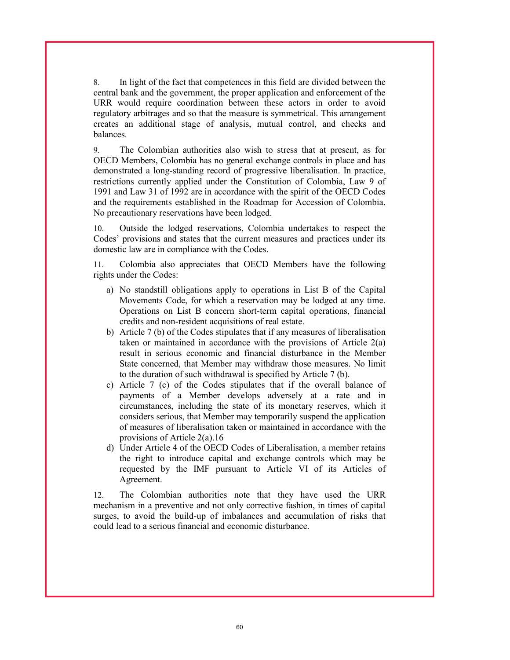8. In light of the fact that competences in this field are divided between the central bank and the government, the proper application and enforcement of the URR would require coordination between these actors in order to avoid regulatory arbitrages and so that the measure is symmetrical. This arrangement creates an additional stage of analysis, mutual control, and checks and balances.

9. The Colombian authorities also wish to stress that at present, as for OECD Members, Colombia has no general exchange controls in place and has demonstrated a long-standing record of progressive liberalisation. In practice, restrictions currently applied under the Constitution of Colombia, Law 9 of 1991 and Law 31 of 1992 are in accordance with the spirit of the OECD Codes and the requirements established in the Roadmap for Accession of Colombia. No precautionary reservations have been lodged.

10. Outside the lodged reservations, Colombia undertakes to respect the Codes' provisions and states that the current measures and practices under its domestic law are in compliance with the Codes.

11. Colombia also appreciates that OECD Members have the following rights under the Codes:

- a) No standstill obligations apply to operations in List B of the Capital Movements Code, for which a reservation may be lodged at any time. Operations on List B concern short-term capital operations, financial credits and non-resident acquisitions of real estate.
- b) Article 7 (b) of the Codes stipulates that if any measures of liberalisation taken or maintained in accordance with the provisions of Article 2(a) result in serious economic and financial disturbance in the Member State concerned, that Member may withdraw those measures. No limit to the duration of such withdrawal is specified by Article 7 (b).
- c) Article 7 (c) of the Codes stipulates that if the overall balance of payments of a Member develops adversely at a rate and in circumstances, including the state of its monetary reserves, which it considers serious, that Member may temporarily suspend the application of measures of liberalisation taken or maintained in accordance with the provisions of Article 2(a).16
- d) Under Article 4 of the OECD Codes of Liberalisation, a member retains the right to introduce capital and exchange controls which may be requested by the IMF pursuant to Article VI of its Articles of Agreement.

12. The Colombian authorities note that they have used the URR mechanism in a preventive and not only corrective fashion, in times of capital surges, to avoid the build-up of imbalances and accumulation of risks that could lead to a serious financial and economic disturbance.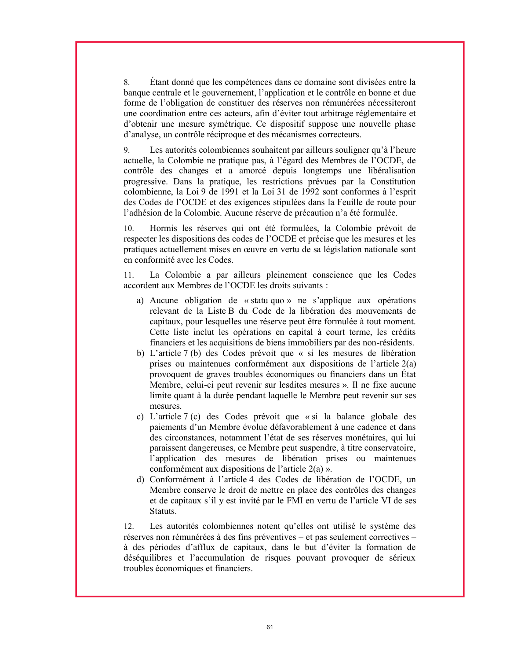8. Étant donné que les compétences dans ce domaine sont divisées entre la banque centrale et le gouvernement, l'application et le contrôle en bonne et due forme de l'obligation de constituer des réserves non rémunérées nécessiteront une coordination entre ces acteurs, afin d'éviter tout arbitrage réglementaire et d'obtenir une mesure symétrique. Ce dispositif suppose une nouvelle phase d'analyse, un contrôle réciproque et des mécanismes correcteurs.

9. Les autorités colombiennes souhaitent par ailleurs souligner qu'à l'heure actuelle, la Colombie ne pratique pas, à l'égard des Membres de l'OCDE, de contrôle des changes et a amorcé depuis longtemps une libéralisation progressive. Dans la pratique, les restrictions prévues par la Constitution colombienne, la Loi 9 de 1991 et la Loi 31 de 1992 sont conformes à l'esprit des Codes de l'OCDE et des exigences stipulées dans la Feuille de route pour l'adhésion de la Colombie. Aucune réserve de précaution n'a été formulée.

10. Hormis les réserves qui ont été formulées, la Colombie prévoit de respecter les dispositions des codes de l'OCDE et précise que les mesures et les pratiques actuellement mises en œuvre en vertu de sa législation nationale sont en conformité avec les Codes.

11. La Colombie a par ailleurs pleinement conscience que les Codes accordent aux Membres de l'OCDE les droits suivants :

- a) Aucune obligation de « statu quo » ne s'applique aux opérations relevant de la Liste B du Code de la libération des mouvements de capitaux, pour lesquelles une réserve peut être formulée à tout moment. Cette liste inclut les opérations en capital à court terme, les crédits financiers et les acquisitions de biens immobiliers par des non-résidents.
- b) L'article 7 (b) des Codes prévoit que « si les mesures de libération prises ou maintenues conformément aux dispositions de l'article 2(a) provoquent de graves troubles économiques ou financiers dans un État Membre, celui-ci peut revenir sur lesdites mesures ». Il ne fixe aucune limite quant à la durée pendant laquelle le Membre peut revenir sur ses mesures.
- c) L'article 7 (c) des Codes prévoit que « si la balance globale des paiements d'un Membre évolue défavorablement à une cadence et dans des circonstances, notamment l'état de ses réserves monétaires, qui lui paraissent dangereuses, ce Membre peut suspendre, à titre conservatoire, l'application des mesures de libération prises ou maintenues conformément aux dispositions de l'article 2(a) ».
- d) Conformément à l'article 4 des Codes de libération de l'OCDE, un Membre conserve le droit de mettre en place des contrôles des changes et de capitaux s'il y est invité par le FMI en vertu de l'article VI de ses Statuts.

12. Les autorités colombiennes notent qu'elles ont utilisé le système des réserves non rémunérées à des fins préventives – et pas seulement correctives – à des périodes d'afflux de capitaux, dans le but d'éviter la formation de déséquilibres et l'accumulation de risques pouvant provoquer de sérieux troubles économiques et financiers.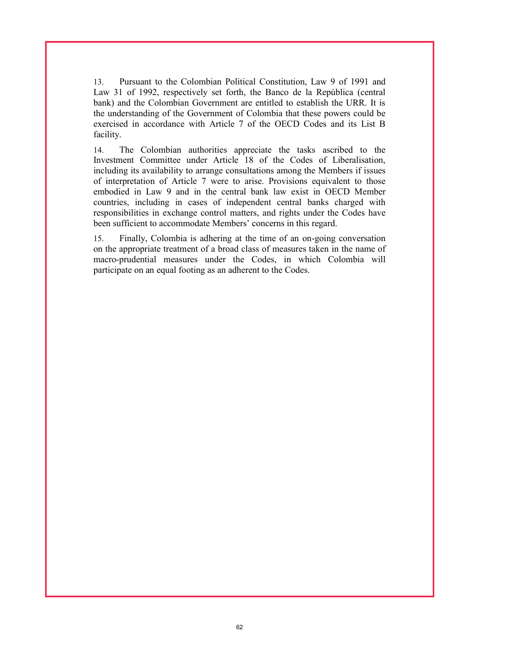13. Pursuant to the Colombian Political Constitution, Law 9 of 1991 and Law 31 of 1992, respectively set forth, the Banco de la República (central bank) and the Colombian Government are entitled to establish the URR. It is the understanding of the Government of Colombia that these powers could be exercised in accordance with Article 7 of the OECD Codes and its List B facility.

14. The Colombian authorities appreciate the tasks ascribed to the Investment Committee under Article 18 of the Codes of Liberalisation, including its availability to arrange consultations among the Members if issues of interpretation of Article 7 were to arise. Provisions equivalent to those embodied in Law 9 and in the central bank law exist in OECD Member countries, including in cases of independent central banks charged with responsibilities in exchange control matters, and rights under the Codes have been sufficient to accommodate Members' concerns in this regard.

15. Finally, Colombia is adhering at the time of an on-going conversation on the appropriate treatment of a broad class of measures taken in the name of macro-prudential measures under the Codes, in which Colombia will participate on an equal footing as an adherent to the Codes.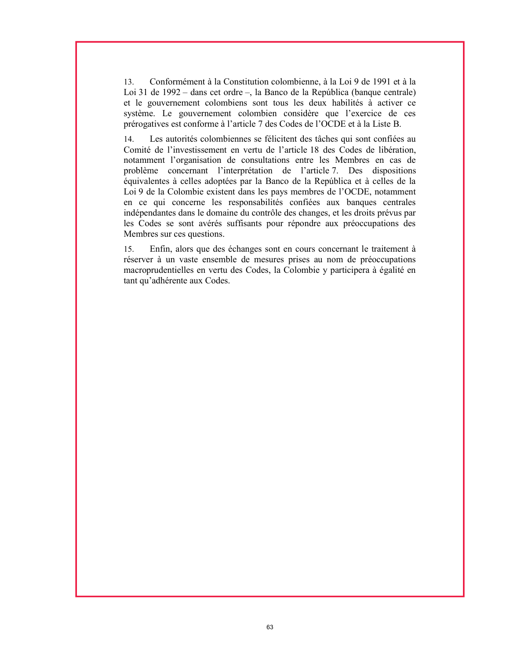13. Conformément à la Constitution colombienne, à la Loi 9 de 1991 et à la Loi 31 de 1992 – dans cet ordre –, la Banco de la República (banque centrale) et le gouvernement colombiens sont tous les deux habilités à activer ce système. Le gouvernement colombien considère que l'exercice de ces prérogatives est conforme à l'article 7 des Codes de l'OCDE et à la Liste B.

14. Les autorités colombiennes se félicitent des tâches qui sont confiées au Comité de l'investissement en vertu de l'article 18 des Codes de libération, notamment l'organisation de consultations entre les Membres en cas de problème concernant l'interprétation de l'article 7. Des dispositions équivalentes à celles adoptées par la Banco de la República et à celles de la Loi 9 de la Colombie existent dans les pays membres de l'OCDE, notamment en ce qui concerne les responsabilités confiées aux banques centrales indépendantes dans le domaine du contrôle des changes, et les droits prévus par les Codes se sont avérés suffisants pour répondre aux préoccupations des Membres sur ces questions.

15. Enfin, alors que des échanges sont en cours concernant le traitement à réserver à un vaste ensemble de mesures prises au nom de préoccupations macroprudentielles en vertu des Codes, la Colombie y participera à égalité en tant qu'adhérente aux Codes.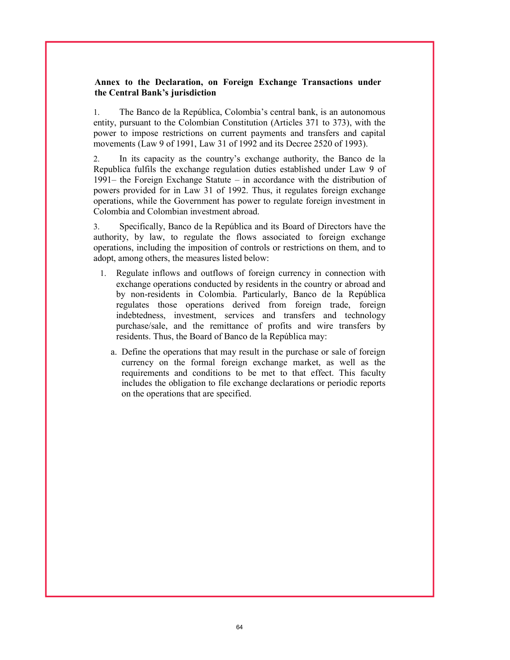### Annex to the Declaration, on Foreign Exchange Transactions under the Central Bank's jurisdiction

1. The Banco de la República, Colombia's central bank, is an autonomous entity, pursuant to the Colombian Constitution (Articles 371 to 373), with the power to impose restrictions on current payments and transfers and capital movements (Law 9 of 1991, Law 31 of 1992 and its Decree 2520 of 1993).

2. In its capacity as the country's exchange authority, the Banco de la Republica fulfils the exchange regulation duties established under Law 9 of 1991– the Foreign Exchange Statute – in accordance with the distribution of powers provided for in Law 31 of 1992. Thus, it regulates foreign exchange operations, while the Government has power to regulate foreign investment in Colombia and Colombian investment abroad.

3. Specifically, Banco de la República and its Board of Directors have the authority, by law, to regulate the flows associated to foreign exchange operations, including the imposition of controls or restrictions on them, and to adopt, among others, the measures listed below:

- 1. Regulate inflows and outflows of foreign currency in connection with exchange operations conducted by residents in the country or abroad and by non-residents in Colombia. Particularly, Banco de la República regulates those operations derived from foreign trade, foreign indebtedness, investment, services and transfers and technology purchase/sale, and the remittance of profits and wire transfers by residents. Thus, the Board of Banco de la República may:
	- a. Define the operations that may result in the purchase or sale of foreign currency on the formal foreign exchange market, as well as the requirements and conditions to be met to that effect. This faculty includes the obligation to file exchange declarations or periodic reports on the operations that are specified.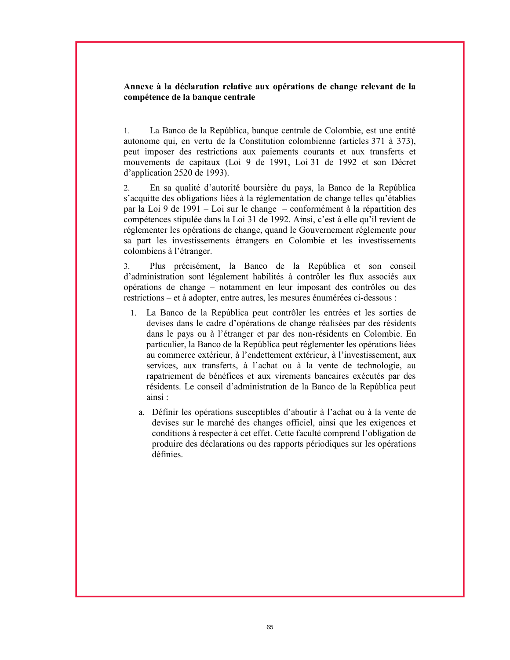### Annexe à la déclaration relative aux opérations de change relevant de la compétence de la banque centrale

1. La Banco de la República, banque centrale de Colombie, est une entité autonome qui, en vertu de la Constitution colombienne (articles 371 à 373), peut imposer des restrictions aux paiements courants et aux transferts et mouvements de capitaux (Loi 9 de 1991, Loi 31 de 1992 et son Décret d'application 2520 de 1993).

2. En sa qualité d'autorité boursière du pays, la Banco de la República s'acquitte des obligations liées à la réglementation de change telles qu'établies par la Loi 9 de 1991 – Loi sur le change – conformément à la répartition des compétences stipulée dans la Loi 31 de 1992. Ainsi, c'est à elle qu'il revient de réglementer les opérations de change, quand le Gouvernement réglemente pour sa part les investissements étrangers en Colombie et les investissements colombiens à l'étranger.

3. Plus précisément, la Banco de la República et son conseil d'administration sont légalement habilités à contrôler les flux associés aux opérations de change – notamment en leur imposant des contrôles ou des restrictions – et à adopter, entre autres, les mesures énumérées ci-dessous :

- 1. La Banco de la República peut contrôler les entrées et les sorties de devises dans le cadre d'opérations de change réalisées par des résidents dans le pays ou à l'étranger et par des non-résidents en Colombie. En particulier, la Banco de la República peut réglementer les opérations liées au commerce extérieur, à l'endettement extérieur, à l'investissement, aux services, aux transferts, à l'achat ou à la vente de technologie, au rapatriement de bénéfices et aux virements bancaires exécutés par des résidents. Le conseil d'administration de la Banco de la República peut ainsi :
	- a. Définir les opérations susceptibles d'aboutir à l'achat ou à la vente de devises sur le marché des changes officiel, ainsi que les exigences et conditions à respecter à cet effet. Cette faculté comprend l'obligation de produire des déclarations ou des rapports périodiques sur les opérations définies.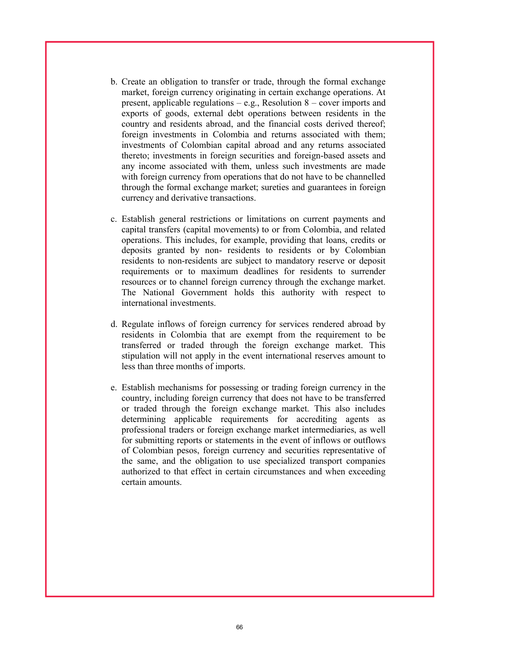- b. Create an obligation to transfer or trade, through the formal exchange market, foreign currency originating in certain exchange operations. At present, applicable regulations  $-$  e.g., Resolution 8 – cover imports and exports of goods, external debt operations between residents in the country and residents abroad, and the financial costs derived thereof; foreign investments in Colombia and returns associated with them; investments of Colombian capital abroad and any returns associated thereto; investments in foreign securities and foreign-based assets and any income associated with them, unless such investments are made with foreign currency from operations that do not have to be channelled through the formal exchange market; sureties and guarantees in foreign currency and derivative transactions.
- c. Establish general restrictions or limitations on current payments and capital transfers (capital movements) to or from Colombia, and related operations. This includes, for example, providing that loans, credits or deposits granted by non- residents to residents or by Colombian residents to non-residents are subject to mandatory reserve or deposit requirements or to maximum deadlines for residents to surrender resources or to channel foreign currency through the exchange market. The National Government holds this authority with respect to international investments.
- d. Regulate inflows of foreign currency for services rendered abroad by residents in Colombia that are exempt from the requirement to be transferred or traded through the foreign exchange market. This stipulation will not apply in the event international reserves amount to less than three months of imports.
- e. Establish mechanisms for possessing or trading foreign currency in the country, including foreign currency that does not have to be transferred or traded through the foreign exchange market. This also includes determining applicable requirements for accrediting agents as professional traders or foreign exchange market intermediaries, as well for submitting reports or statements in the event of inflows or outflows of Colombian pesos, foreign currency and securities representative of the same, and the obligation to use specialized transport companies authorized to that effect in certain circumstances and when exceeding certain amounts.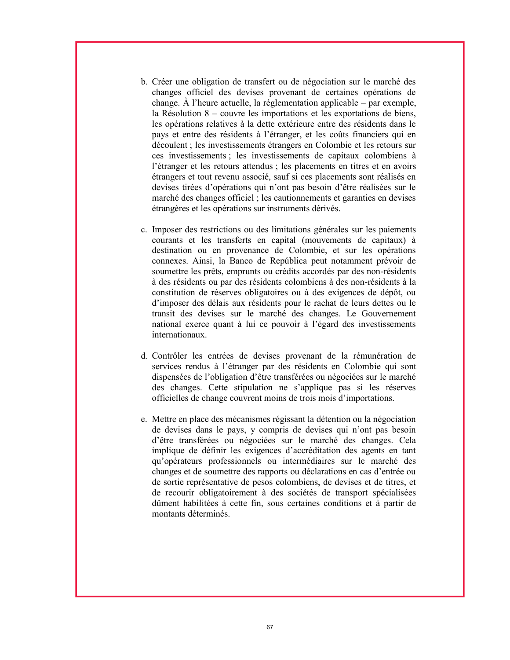- b. Créer une obligation de transfert ou de négociation sur le marché des changes officiel des devises provenant de certaines opérations de change. À l'heure actuelle, la réglementation applicable – par exemple, la Résolution 8 – couvre les importations et les exportations de biens, les opérations relatives à la dette extérieure entre des résidents dans le pays et entre des résidents à l'étranger, et les coûts financiers qui en découlent ; les investissements étrangers en Colombie et les retours sur ces investissements ; les investissements de capitaux colombiens à l'étranger et les retours attendus ; les placements en titres et en avoirs étrangers et tout revenu associé, sauf si ces placements sont réalisés en devises tirées d'opérations qui n'ont pas besoin d'être réalisées sur le marché des changes officiel ; les cautionnements et garanties en devises étrangères et les opérations sur instruments dérivés.
- c. Imposer des restrictions ou des limitations générales sur les paiements courants et les transferts en capital (mouvements de capitaux) à destination ou en provenance de Colombie, et sur les opérations connexes. Ainsi, la Banco de República peut notamment prévoir de soumettre les prêts, emprunts ou crédits accordés par des non-résidents à des résidents ou par des résidents colombiens à des non-résidents à la constitution de réserves obligatoires ou à des exigences de dépôt, ou d'imposer des délais aux résidents pour le rachat de leurs dettes ou le transit des devises sur le marché des changes. Le Gouvernement national exerce quant à lui ce pouvoir à l'égard des investissements internationaux.
- d. Contrôler les entrées de devises provenant de la rémunération de services rendus à l'étranger par des résidents en Colombie qui sont dispensées de l'obligation d'être transférées ou négociées sur le marché des changes. Cette stipulation ne s'applique pas si les réserves officielles de change couvrent moins de trois mois d'importations.
- e. Mettre en place des mécanismes régissant la détention ou la négociation de devises dans le pays, y compris de devises qui n'ont pas besoin d'être transférées ou négociées sur le marché des changes. Cela implique de définir les exigences d'accréditation des agents en tant qu'opérateurs professionnels ou intermédiaires sur le marché des changes et de soumettre des rapports ou déclarations en cas d'entrée ou de sortie représentative de pesos colombiens, de devises et de titres, et de recourir obligatoirement à des sociétés de transport spécialisées dûment habilitées à cette fin, sous certaines conditions et à partir de montants déterminés.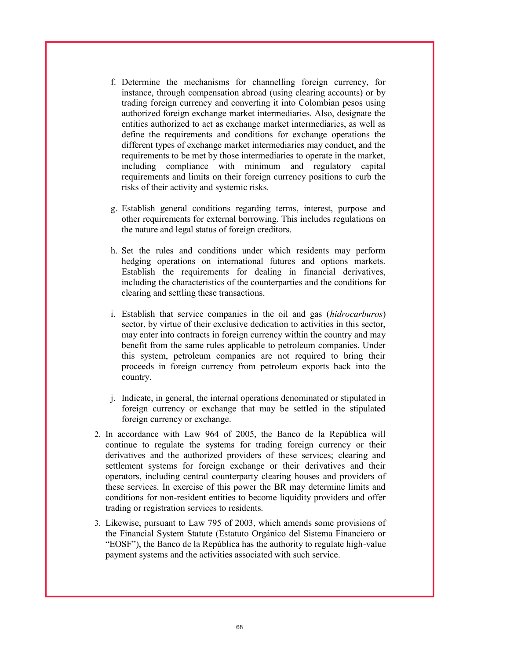- f. Determine the mechanisms for channelling foreign currency, for instance, through compensation abroad (using clearing accounts) or by trading foreign currency and converting it into Colombian pesos using authorized foreign exchange market intermediaries. Also, designate the entities authorized to act as exchange market intermediaries, as well as define the requirements and conditions for exchange operations the different types of exchange market intermediaries may conduct, and the requirements to be met by those intermediaries to operate in the market, including compliance with minimum and regulatory capital requirements and limits on their foreign currency positions to curb the risks of their activity and systemic risks.
- g. Establish general conditions regarding terms, interest, purpose and other requirements for external borrowing. This includes regulations on the nature and legal status of foreign creditors.
- h. Set the rules and conditions under which residents may perform hedging operations on international futures and options markets. Establish the requirements for dealing in financial derivatives, including the characteristics of the counterparties and the conditions for clearing and settling these transactions.
- i. Establish that service companies in the oil and gas (hidrocarburos) sector, by virtue of their exclusive dedication to activities in this sector, may enter into contracts in foreign currency within the country and may benefit from the same rules applicable to petroleum companies. Under this system, petroleum companies are not required to bring their proceeds in foreign currency from petroleum exports back into the country.
- j. Indicate, in general, the internal operations denominated or stipulated in foreign currency or exchange that may be settled in the stipulated foreign currency or exchange.
- 2. In accordance with Law 964 of 2005, the Banco de la República will continue to regulate the systems for trading foreign currency or their derivatives and the authorized providers of these services; clearing and settlement systems for foreign exchange or their derivatives and their operators, including central counterparty clearing houses and providers of these services. In exercise of this power the BR may determine limits and conditions for non-resident entities to become liquidity providers and offer trading or registration services to residents.
- 3. Likewise, pursuant to Law 795 of 2003, which amends some provisions of the Financial System Statute (Estatuto Orgánico del Sistema Financiero or "EOSF"), the Banco de la República has the authority to regulate high-value payment systems and the activities associated with such service.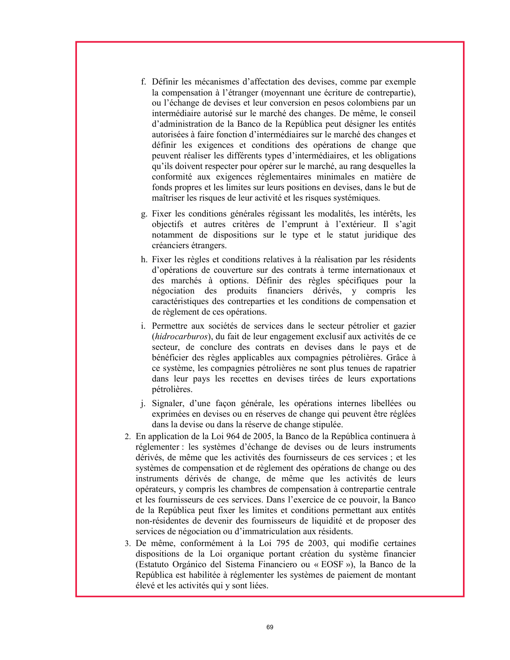- f. Définir les mécanismes d'affectation des devises, comme par exemple la compensation à l'étranger (moyennant une écriture de contrepartie), ou l'échange de devises et leur conversion en pesos colombiens par un intermédiaire autorisé sur le marché des changes. De même, le conseil d'administration de la Banco de la República peut désigner les entités autorisées à faire fonction d'intermédiaires sur le marché des changes et définir les exigences et conditions des opérations de change que peuvent réaliser les différents types d'intermédiaires, et les obligations qu'ils doivent respecter pour opérer sur le marché, au rang desquelles la conformité aux exigences réglementaires minimales en matière de fonds propres et les limites sur leurs positions en devises, dans le but de maîtriser les risques de leur activité et les risques systémiques.
- g. Fixer les conditions générales régissant les modalités, les intérêts, les objectifs et autres critères de l'emprunt à l'extérieur. Il s'agit notamment de dispositions sur le type et le statut juridique des créanciers étrangers.
- h. Fixer les règles et conditions relatives à la réalisation par les résidents d'opérations de couverture sur des contrats à terme internationaux et des marchés à options. Définir des règles spécifiques pour la négociation des produits financiers dérivés, y compris les caractéristiques des contreparties et les conditions de compensation et de règlement de ces opérations.
- i. Permettre aux sociétés de services dans le secteur pétrolier et gazier (hidrocarburos), du fait de leur engagement exclusif aux activités de ce secteur, de conclure des contrats en devises dans le pays et de bénéficier des règles applicables aux compagnies pétrolières. Grâce à ce système, les compagnies pétrolières ne sont plus tenues de rapatrier dans leur pays les recettes en devises tirées de leurs exportations pétrolières.
- j. Signaler, d'une façon générale, les opérations internes libellées ou exprimées en devises ou en réserves de change qui peuvent être réglées dans la devise ou dans la réserve de change stipulée.
- 2. En application de la Loi 964 de 2005, la Banco de la República continuera à réglementer : les systèmes d'échange de devises ou de leurs instruments dérivés, de même que les activités des fournisseurs de ces services ; et les systèmes de compensation et de règlement des opérations de change ou des instruments dérivés de change, de même que les activités de leurs opérateurs, y compris les chambres de compensation à contrepartie centrale et les fournisseurs de ces services. Dans l'exercice de ce pouvoir, la Banco de la República peut fixer les limites et conditions permettant aux entités non-résidentes de devenir des fournisseurs de liquidité et de proposer des services de négociation ou d'immatriculation aux résidents.
- 3. De même, conformément à la Loi 795 de 2003, qui modifie certaines dispositions de la Loi organique portant création du système financier (Estatuto Orgánico del Sistema Financiero ou « EOSF »), la Banco de la República est habilitée à réglementer les systèmes de paiement de montant élevé et les activités qui y sont liées.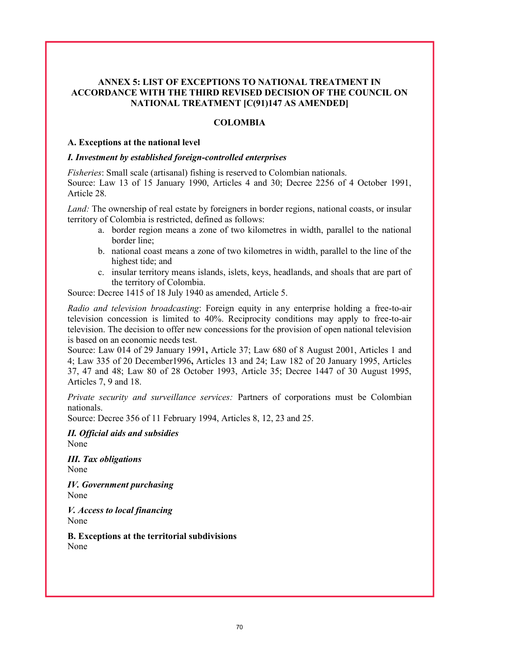## ANNEX 5: LIST OF EXCEPTIONS TO NATIONAL TREATMENT IN ACCORDANCE WITH THE THIRD REVISED DECISION OF THE COUNCIL ON NATIONAL TREATMENT [C(91)147 AS AMENDED]

#### **COLOMBIA**

#### A. Exceptions at the national level

#### I. Investment by established foreign-controlled enterprises

Fisheries: Small scale (artisanal) fishing is reserved to Colombian nationals. Source: Law 13 of 15 January 1990, Articles 4 and 30; Decree 2256 of 4 October 1991, Article 28.

Land: The ownership of real estate by foreigners in border regions, national coasts, or insular territory of Colombia is restricted, defined as follows:

- a. border region means a zone of two kilometres in width, parallel to the national border line;
- b. national coast means a zone of two kilometres in width, parallel to the line of the highest tide; and
- c. insular territory means islands, islets, keys, headlands, and shoals that are part of the territory of Colombia.

Source: Decree 1415 of 18 July 1940 as amended, Article 5.

Radio and television broadcasting: Foreign equity in any enterprise holding a free-to-air television concession is limited to 40%. Reciprocity conditions may apply to free-to-air television. The decision to offer new concessions for the provision of open national television is based on an economic needs test.

Source: Law 014 of 29 January 1991, Article 37; Law 680 of 8 August 2001, Articles 1 and 4; Law 335 of 20 December1996, Articles 13 and 24; Law 182 of 20 January 1995, Articles 37, 47 and 48; Law 80 of 28 October 1993, Article 35; Decree 1447 of 30 August 1995, Articles 7, 9 and 18.

Private security and surveillance services: Partners of corporations must be Colombian nationals.

Source: Decree 356 of 11 February 1994, Articles 8, 12, 23 and 25.

II. Official aids and subsidies None

III. Tax obligations None

IV. Government purchasing None

V. Access to local financing None

B. Exceptions at the territorial subdivisions None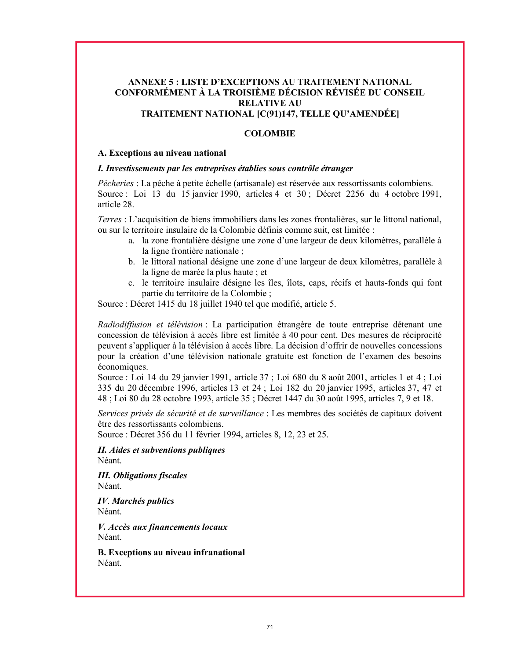## ANNEXE 5 : LISTE D'EXCEPTIONS AU TRAITEMENT NATIONAL CONFORMÉMENT À LA TROISIÈME DÉCISION RÉVISÉE DU CONSEIL RELATIVE AU TRAITEMENT NATIONAL [C(91)147, TELLE QU'AMENDÉE]

## **COLOMBIE**

#### A. Exceptions au niveau national

### I. Investissements par les entreprises établies sous contrôle étranger

Pêcheries : La pêche à petite échelle (artisanale) est réservée aux ressortissants colombiens. Source : Loi 13 du 15 janvier 1990, articles 4 et 30 ; Décret 2256 du 4 octobre 1991, article 28.

Terres : L'acquisition de biens immobiliers dans les zones frontalières, sur le littoral national, ou sur le territoire insulaire de la Colombie définis comme suit, est limitée :

- a. la zone frontalière désigne une zone d'une largeur de deux kilomètres, parallèle à la ligne frontière nationale ;
- b. le littoral national désigne une zone d'une largeur de deux kilomètres, parallèle à la ligne de marée la plus haute ; et
- c. le territoire insulaire désigne les îles, îlots, caps, récifs et hauts-fonds qui font partie du territoire de la Colombie ;

Source : Décret 1415 du 18 juillet 1940 tel que modifié, article 5.

Radiodiffusion et télévision : La participation étrangère de toute entreprise détenant une concession de télévision à accès libre est limitée à 40 pour cent. Des mesures de réciprocité peuvent s'appliquer à la télévision à accès libre. La décision d'offrir de nouvelles concessions pour la création d'une télévision nationale gratuite est fonction de l'examen des besoins économiques.

Source : Loi 14 du 29 janvier 1991, article 37 ; Loi 680 du 8 août 2001, articles 1 et 4 ; Loi 335 du 20 décembre 1996, articles 13 et 24 ; Loi 182 du 20 janvier 1995, articles 37, 47 et 48 ; Loi 80 du 28 octobre 1993, article 35 ; Décret 1447 du 30 août 1995, articles 7, 9 et 18.

Services privés de sécurité et de surveillance : Les membres des sociétés de capitaux doivent être des ressortissants colombiens.

Source : Décret 356 du 11 février 1994, articles 8, 12, 23 et 25.

II. Aides et subventions publiques Néant.

III. Obligations fiscales Néant.

IV. Marchés publics Néant.

V. Accès aux financements locaux Néant.

B. Exceptions au niveau infranational Néant.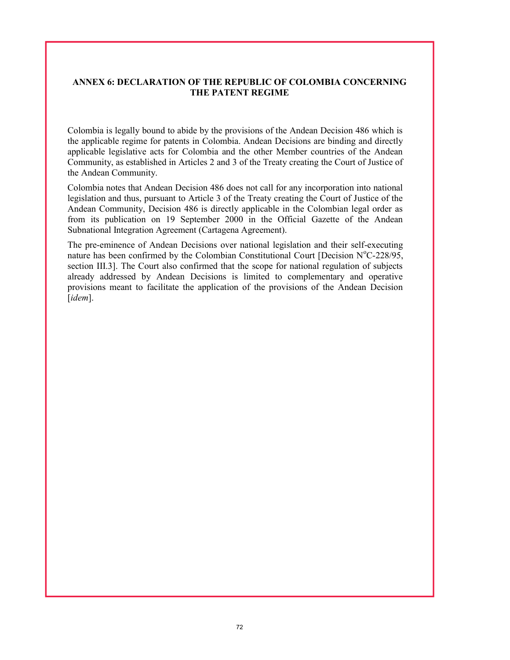## ANNEX 6: DECLARATION OF THE REPUBLIC OF COLOMBIA CONCERNING THE PATENT REGIME

Colombia is legally bound to abide by the provisions of the Andean Decision 486 which is the applicable regime for patents in Colombia. Andean Decisions are binding and directly applicable legislative acts for Colombia and the other Member countries of the Andean Community, as established in Articles 2 and 3 of the Treaty creating the Court of Justice of the Andean Community.

Colombia notes that Andean Decision 486 does not call for any incorporation into national legislation and thus, pursuant to Article 3 of the Treaty creating the Court of Justice of the Andean Community, Decision 486 is directly applicable in the Colombian legal order as from its publication on 19 September 2000 in the Official Gazette of the Andean Subnational Integration Agreement (Cartagena Agreement).

The pre-eminence of Andean Decisions over national legislation and their self-executing nature has been confirmed by the Colombian Constitutional Court [Decision  $N^{\circ}C$ -228/95, section III.3]. The Court also confirmed that the scope for national regulation of subjects already addressed by Andean Decisions is limited to complementary and operative provisions meant to facilitate the application of the provisions of the Andean Decision [*idem*].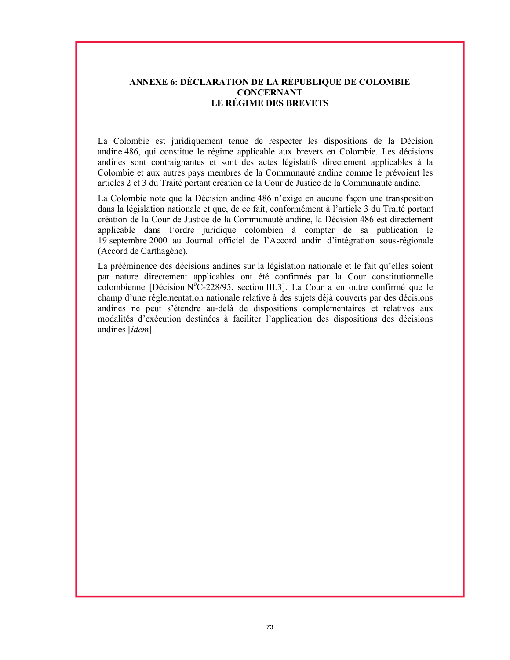# ANNEXE 6: DÉCLARATION DE LA RÉPUBLIQUE DE COLOMBIE **CONCERNANT** LE RÉGIME DES BREVETS

La Colombie est juridiquement tenue de respecter les dispositions de la Décision andine 486, qui constitue le régime applicable aux brevets en Colombie. Les décisions andines sont contraignantes et sont des actes législatifs directement applicables à la Colombie et aux autres pays membres de la Communauté andine comme le prévoient les articles 2 et 3 du Traité portant création de la Cour de Justice de la Communauté andine.

La Colombie note que la Décision andine 486 n'exige en aucune façon une transposition dans la législation nationale et que, de ce fait, conformément à l'article 3 du Traité portant création de la Cour de Justice de la Communauté andine, la Décision 486 est directement applicable dans l'ordre juridique colombien à compter de sa publication le 19 septembre 2000 au Journal officiel de l'Accord andin d'intégration sous-régionale (Accord de Carthagène).

La prééminence des décisions andines sur la législation nationale et le fait qu'elles soient par nature directement applicables ont été confirmés par la Cour constitutionnelle colombienne [Décision N°C-228/95, section III.3]. La Cour a en outre confirmé que le champ d'une réglementation nationale relative à des sujets déjà couverts par des décisions andines ne peut s'étendre au-delà de dispositions complémentaires et relatives aux modalités d'exécution destinées à faciliter l'application des dispositions des décisions andines [idem].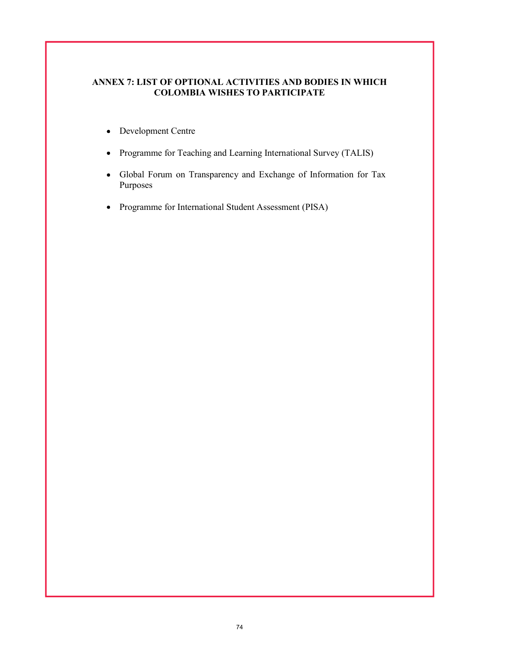## ANNEX 7: LIST OF OPTIONAL ACTIVITIES AND BODIES IN WHICH COLOMBIA WISHES TO PARTICIPATE

- Development Centre
- Programme for Teaching and Learning International Survey (TALIS)
- Global Forum on Transparency and Exchange of Information for Tax Purposes
- Programme for International Student Assessment (PISA)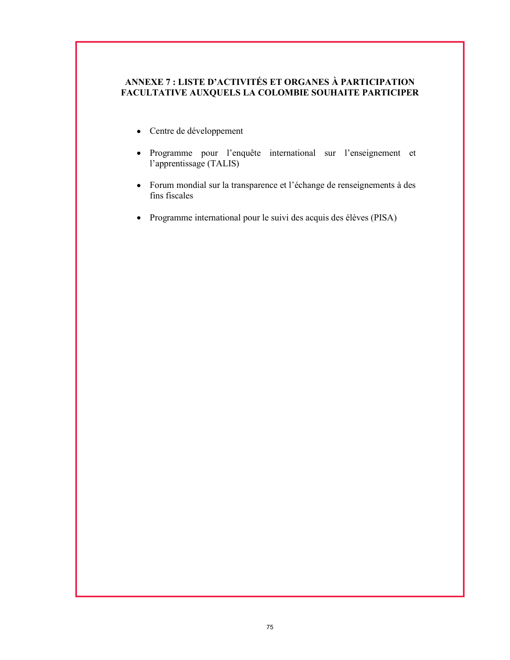# ANNEXE 7 : LISTE D'ACTIVITÉS ET ORGANES À PARTICIPATION FACULTATIVE AUXQUELS LA COLOMBIE SOUHAITE PARTICIPER

- Centre de développement
- Programme pour l'enquête international sur l'enseignement et l'apprentissage (TALIS)
- Forum mondial sur la transparence et l'échange de renseignements à des fins fiscales
- Programme international pour le suivi des acquis des élèves (PISA)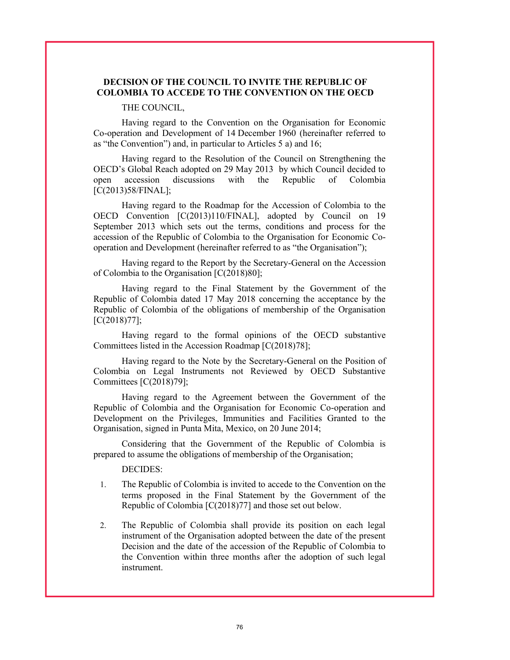### DECISION OF THE COUNCIL TO INVITE THE REPUBLIC OF COLOMBIA TO ACCEDE TO THE CONVENTION ON THE OECD

#### THE COUNCIL,

Having regard to the Convention on the Organisation for Economic Co-operation and Development of 14 December 1960 (hereinafter referred to as "the Convention") and, in particular to Articles 5 a) and 16;

Having regard to the Resolution of the Council on Strengthening the OECD's Global Reach adopted on 29 May 2013 by which Council decided to open accession discussions with the Republic of Colombia [C(2013)58/FINAL];

Having regard to the Roadmap for the Accession of Colombia to the OECD Convention [C(2013)110/FINAL], adopted by Council on 19 September 2013 which sets out the terms, conditions and process for the accession of the Republic of Colombia to the Organisation for Economic Cooperation and Development (hereinafter referred to as "the Organisation");

Having regard to the Report by the Secretary-General on the Accession of Colombia to the Organisation [C(2018)80];

Having regard to the Final Statement by the Government of the Republic of Colombia dated 17 May 2018 concerning the acceptance by the Republic of Colombia of the obligations of membership of the Organisation [C(2018)77];

Having regard to the formal opinions of the OECD substantive Committees listed in the Accession Roadmap [C(2018)78];

Having regard to the Note by the Secretary-General on the Position of Colombia on Legal Instruments not Reviewed by OECD Substantive Committees [C(2018)79];

Having regard to the Agreement between the Government of the Republic of Colombia and the Organisation for Economic Co-operation and Development on the Privileges, Immunities and Facilities Granted to the Organisation, signed in Punta Mita, Mexico, on 20 June 2014;

Considering that the Government of the Republic of Colombia is prepared to assume the obligations of membership of the Organisation;

DECIDES:

- 1. The Republic of Colombia is invited to accede to the Convention on the terms proposed in the Final Statement by the Government of the Republic of Colombia [C(2018)77] and those set out below.
- 2. The Republic of Colombia shall provide its position on each legal instrument of the Organisation adopted between the date of the present Decision and the date of the accession of the Republic of Colombia to the Convention within three months after the adoption of such legal instrument.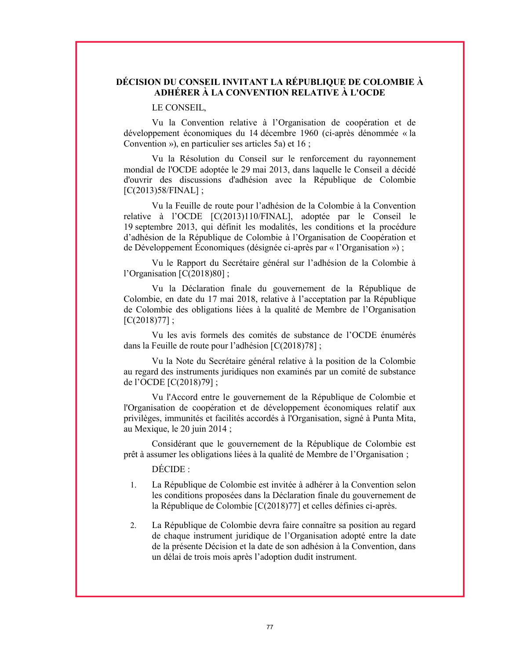### DÉCISION DU CONSEIL INVITANT LA RÉPUBLIQUE DE COLOMBIE À ADHÉRER À LA CONVENTION RELATIVE À L'OCDE

#### LE CONSEIL,

Vu la Convention relative à l'Organisation de coopération et de développement économiques du 14 décembre 1960 (ci-après dénommée « la Convention »), en particulier ses articles 5a) et 16 ;

Vu la Résolution du Conseil sur le renforcement du rayonnement mondial de l'OCDE adoptée le 29 mai 2013, dans laquelle le Conseil a décidé d'ouvrir des discussions d'adhésion avec la République de Colombie [C(2013)58/FINAL] ;

Vu la Feuille de route pour l'adhésion de la Colombie à la Convention relative à l'OCDE [C(2013)110/FINAL], adoptée par le Conseil le 19 septembre 2013, qui définit les modalités, les conditions et la procédure d'adhésion de la République de Colombie à l'Organisation de Coopération et de Développement Économiques (désignée ci-après par « l'Organisation ») ;

Vu le Rapport du Secrétaire général sur l'adhésion de la Colombie à l'Organisation [C(2018)80] ;

Vu la Déclaration finale du gouvernement de la République de Colombie, en date du 17 mai 2018, relative à l'acceptation par la République de Colombie des obligations liées à la qualité de Membre de l'Organisation  $[C(2018)77]$ ;

Vu les avis formels des comités de substance de l'OCDE énumérés dans la Feuille de route pour l'adhésion [C(2018)78] ;

Vu la Note du Secrétaire général relative à la position de la Colombie au regard des instruments juridiques non examinés par un comité de substance de l'OCDE [C(2018)79] ;

Vu l'Accord entre le gouvernement de la République de Colombie et l'Organisation de coopération et de développement économiques relatif aux privilèges, immunités et facilités accordés à l'Organisation, signé à Punta Mita, au Mexique, le 20 juin 2014 ;

Considérant que le gouvernement de la République de Colombie est prêt à assumer les obligations liées à la qualité de Membre de l'Organisation ;

DÉCIDE :

- 1. La République de Colombie est invitée à adhérer à la Convention selon les conditions proposées dans la Déclaration finale du gouvernement de la République de Colombie [C(2018)77] et celles définies ci-après.
- 2. La République de Colombie devra faire connaître sa position au regard de chaque instrument juridique de l'Organisation adopté entre la date de la présente Décision et la date de son adhésion à la Convention, dans un délai de trois mois après l'adoption dudit instrument.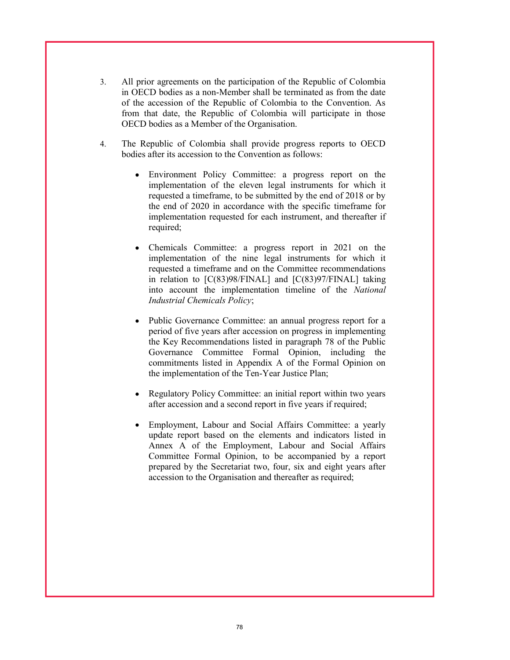- 3. All prior agreements on the participation of the Republic of Colombia in OECD bodies as a non-Member shall be terminated as from the date of the accession of the Republic of Colombia to the Convention. As from that date, the Republic of Colombia will participate in those OECD bodies as a Member of the Organisation.
- 4. The Republic of Colombia shall provide progress reports to OECD bodies after its accession to the Convention as follows:
	- Environment Policy Committee: a progress report on the implementation of the eleven legal instruments for which it requested a timeframe, to be submitted by the end of 2018 or by the end of 2020 in accordance with the specific timeframe for implementation requested for each instrument, and thereafter if required;
	- Chemicals Committee: a progress report in 2021 on the implementation of the nine legal instruments for which it requested a timeframe and on the Committee recommendations in relation to [C(83)98/FINAL] and [C(83)97/FINAL] taking into account the implementation timeline of the National Industrial Chemicals Policy;
	- Public Governance Committee: an annual progress report for a period of five years after accession on progress in implementing the Key Recommendations listed in paragraph 78 of the Public Governance Committee Formal Opinion, including the commitments listed in Appendix A of the Formal Opinion on the implementation of the Ten-Year Justice Plan;
	- Regulatory Policy Committee: an initial report within two years after accession and a second report in five years if required;
	- Employment, Labour and Social Affairs Committee: a yearly update report based on the elements and indicators listed in Annex A of the Employment, Labour and Social Affairs Committee Formal Opinion, to be accompanied by a report prepared by the Secretariat two, four, six and eight years after accession to the Organisation and thereafter as required;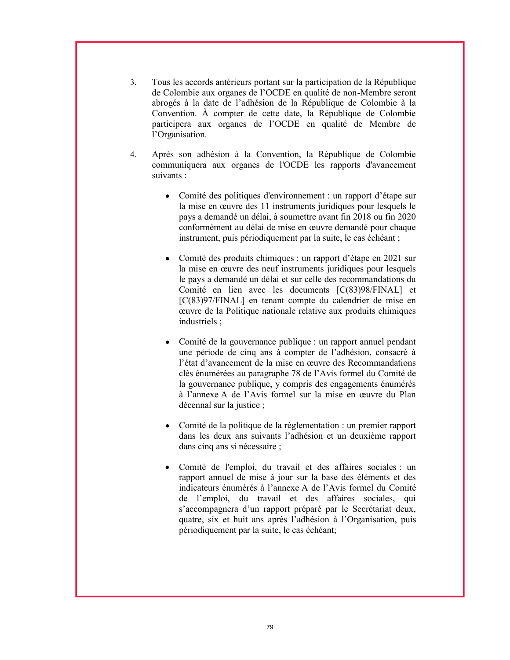- 3. Tous les accords antérieurs portant sur la participation de la République de Colombie aux organes de l'OCDE en qualité de non-Membre seront abrogés à la date de l'adhésion de la République de Colombie à la Convention. À compter de cette date, la République de Colombie participera aux organes de l'OCDE en qualité de Membre de l'Organisation.
- 4. Après son adhésion à la Convention, la République de Colombie communiquera aux organes de l'OCDE les rapports d'avancement suivants :
	- Comité des politiques d'environnement : un rapport d'étape sur la mise en œuvre des 11 instruments juridiques pour lesquels le pays a demandé un délai, à soumettre avant fin 2018 ou fin 2020 conformément au délai de mise en œuvre demandé pour chaque instrument, puis périodiquement par la suite, le cas échéant ;
	- Comité des produits chimiques : un rapport d'étape en 2021 sur la mise en œuvre des neuf instruments juridiques pour lesquels le pays a demandé un délai et sur celle des recommandations du Comité en lien avec les documents [C(83)98/FINAL] et [C(83)97/FINAL] en tenant compte du calendrier de mise en œuvre de la Politique nationale relative aux produits chimiques industriels ;
	- Comité de la gouvernance publique : un rapport annuel pendant une période de cinq ans à compter de l'adhésion, consacré à l'état d'avancement de la mise en œuvre des Recommandations clés énumérées au paragraphe 78 de l'Avis formel du Comité de la gouvernance publique, y compris des engagements énumérés à l'annexe A de l'Avis formel sur la mise en œuvre du Plan décennal sur la justice ;
	- Comité de la politique de la réglementation : un premier rapport dans les deux ans suivants l'adhésion et un deuxième rapport dans cinq ans si nécessaire ;
	- Comité de l'emploi, du travail et des affaires sociales : un rapport annuel de mise à jour sur la base des éléments et des indicateurs énumérés à l'annexe A de l'Avis formel du Comité de l'emploi, du travail et des affaires sociales, qui s'accompagnera d'un rapport préparé par le Secrétariat deux, quatre, six et huit ans après l'adhésion à l'Organisation, puis périodiquement par la suite, le cas échéant;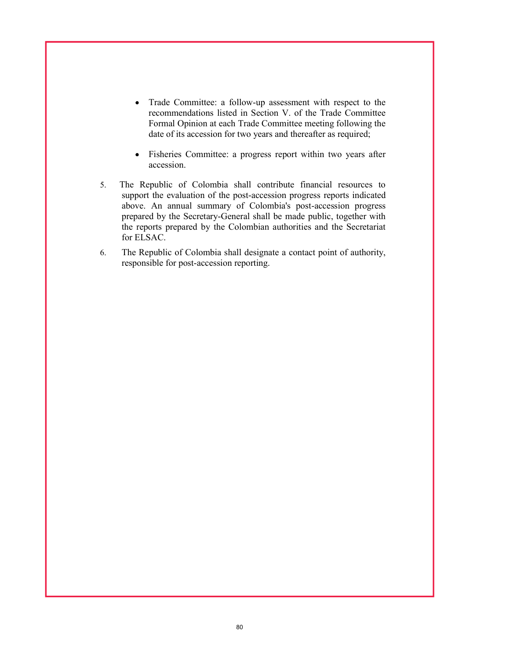- Trade Committee: a follow-up assessment with respect to the recommendations listed in Section V. of the Trade Committee Formal Opinion at each Trade Committee meeting following the date of its accession for two years and thereafter as required;
- Fisheries Committee: a progress report within two years after  $\bullet$ accession.
- 5. The Republic of Colombia shall contribute financial resources to support the evaluation of the post-accession progress reports indicated above. An annual summary of Colombia's post-accession progress prepared by the Secretary-General shall be made public, together with the reports prepared by the Colombian authorities and the Secretariat for ELSAC.
- 6. The Republic of Colombia shall designate a contact point of authority, responsible for post-accession reporting.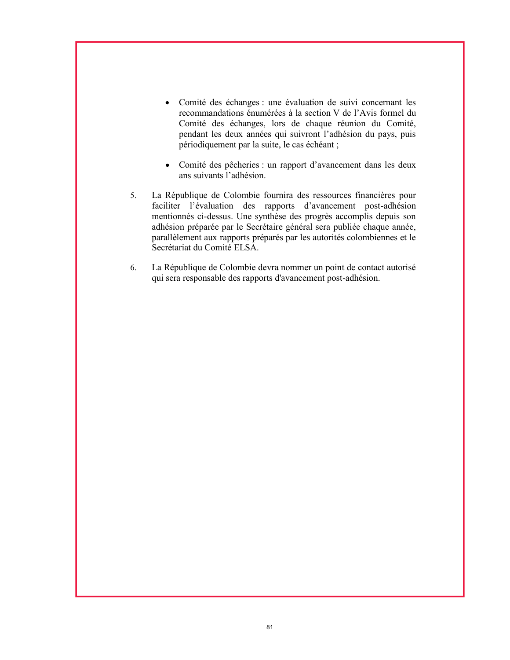- Comité des échanges : une évaluation de suivi concernant les recommandations énumérées à la section V de l'Avis formel du Comité des échanges, lors de chaque réunion du Comité, pendant les deux années qui suivront l'adhésion du pays, puis périodiquement par la suite, le cas échéant ;
- Comité des pêcheries : un rapport d'avancement dans les deux ans suivants l'adhésion.
- 5. La République de Colombie fournira des ressources financières pour faciliter l'évaluation des rapports d'avancement post-adhésion mentionnés ci-dessus. Une synthèse des progrès accomplis depuis son adhésion préparée par le Secrétaire général sera publiée chaque année, parallèlement aux rapports préparés par les autorités colombiennes et le Secrétariat du Comité ELSA.
- 6. La République de Colombie devra nommer un point de contact autorisé qui sera responsable des rapports d'avancement post-adhésion.